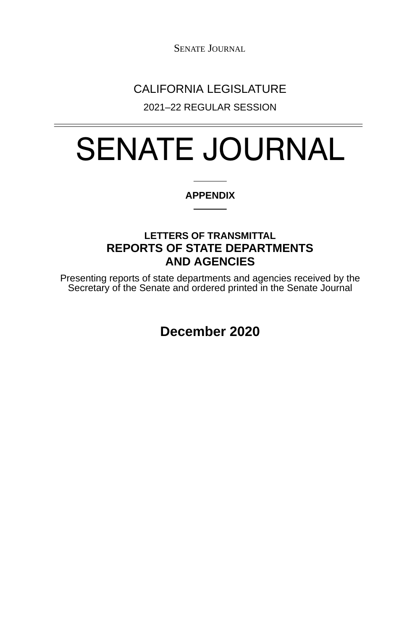SENATE JOURNAL

## CALIFORNIA LEGISLATURE

2021–22 REGULAR SESSION

# SENATE JOURNAL

#### **APPENDIX**

### **LETTERS OF TRANSMITTAL AND AGENCIES** LETTERS OF TRANSMITTAL<br>REPORTS OF STATE DEPARTMENTS<br>AND AGENCIES

Presenting reports of state departments and agencies received by the<br>Secretary of the Senate and ordered printed in the Senate Journal

**December 2020**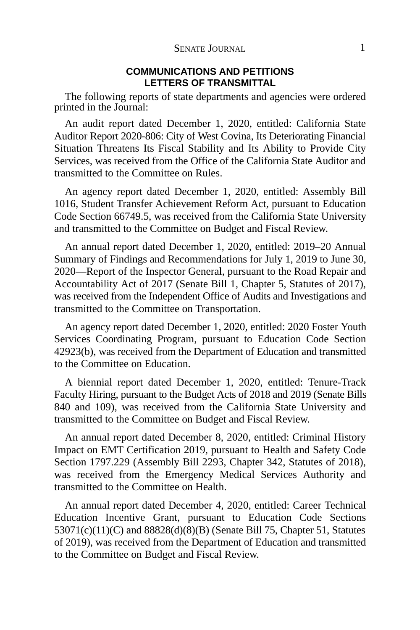#### **COMMUNICATIONS AND PETITIONSLETTERS OF TRANSMITTALLETTERS OF TRANSMITTAL**

The following reports of state departments and agencies were ordered printed in the Journal:

An audit report dated December 1, 2020, entitled: California State Auditor Report 2020-806: City of West Covina, Its Deteriorating Financial Situation Threatens Its Fiscal Stability and Its Ability to Provide City Services, was received from the Office of the California State Auditor and transmitted to the Committee on Rules.

An agency report dated December 1, 2020, entitled: Assembly Bill 1016, Student Transfer Achievement Reform Act, pursuant to Education Code Section 66749.5, was received from the California State University and transmitted to the Committee on Budget and Fiscal Review.

An annual report dated December 1, 2020, entitled: 2019–20 Annual Summary of Findings and Recommendations for July 1, 2019 to June 30, 2020—Report of the Inspector General, pursuant to the Road Repair and Accountability Act of 2017 (Senate Bill 1, Chapter 5, Statutes of 2017), was received from the Independent Office of Audits and Investigations and transmitted to the Committee on Transportation.

An agency report dated December 1, 2020, entitled: 2020 Foster Youth Services Coordinating Program, pursuant to Education Code Section 42923(b), was received from the Department of Education and transmitted to the Committee on Education.

A biennial report dated December 1, 2020, entitled: Tenure-Track Faculty Hiring, pursuant to the Budget Acts of 2018 and 2019 (Senate Bills 840 and 109), was received from the California State University and transmitted to the Committee on Budget and Fiscal Review.

An annual report dated December 8, 2020, entitled: Criminal History Impact on EMT Certification 2019, pursuant to Health and Safety Code Section 1797.229 (Assembly Bill 2293, Chapter 342, Statutes of 2018), was received from the Emergency Medical Services Authority and transmitted to the Committee on Health.

An annual report dated December 4, 2020, entitled: Career Technical Education Incentive Grant, pursuant to Education Code Sections 53071(c)(11)(C) and 88828(d)(8)(B) (Senate Bill 75, Chapter 51, Statutes of 2019), was received from the Department of Education and transmitted to the Committee on Budget and Fiscal Review.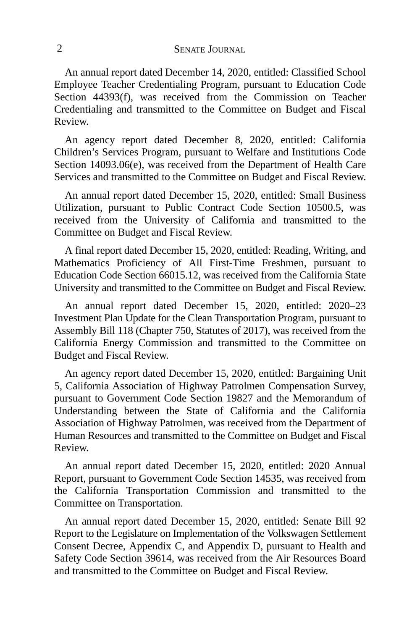An annual report dated December 14, 2020, entitled: Classified School Employee Teacher Credentialing Program, pursuant to Education Code Section 44393(f), was received from the Commission on Teacher Credentialing and transmitted to the Committee on Budget and Fiscal Review.

An agency report dated December 8, 2020, entitled: California Children's Services Program, pursuant to Welfare and Institutions Code Section 14093.06(e), was received from the Department of Health Care Services and transmitted to the Committee on Budget and Fiscal Review.

An annual report dated December 15, 2020, entitled: Small Business Utilization, pursuant to Public Contract Code Section 10500.5, was received from the University of California and transmitted to the Committee on Budget and Fiscal Review.

A final report dated December 15, 2020, entitled: Reading, Writing, and Mathematics Proficiency of All First-Time Freshmen, pursuant to Education Code Section 66015.12, was received from the California State University and transmitted to the Committee on Budget and Fiscal Review.

An annual report dated December 15, 2020, entitled: 2020–23 Investment Plan Update for the Clean Transportation Program, pursuant to Assembly Bill 118 (Chapter 750, Statutes of 2017), was received from the California Energy Commission and transmitted to the Committee on Budget and Fiscal Review.

An agency report dated December 15, 2020, entitled: Bargaining Unit 5, California Association of Highway Patrolmen Compensation Survey, pursuant to Government Code Section 19827 and the Memorandum of Understanding between the State of California and the California Association of Highway Patrolmen, was received from the Department of Human Resources and transmitted to the Committee on Budget and Fiscal Review.

An annual report dated December 15, 2020, entitled: 2020 Annual Report, pursuant to Government Code Section 14535, was received from the California Transportation Commission and transmitted to the Committee on Transportation.

An annual report dated December 15, 2020, entitled: Senate Bill 92 Report to the Legislature on Implementation of the Volkswagen Settlement Consent Decree, Appendix C, and Appendix D, pursuant to Health and Safety Code Section 39614, was received from the Air Resources Board and transmitted to the Committee on Budget and Fiscal Review.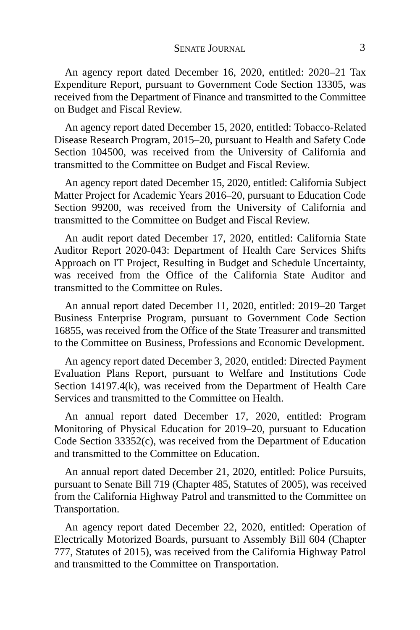An agency report dated December 16, 2020, entitled: 2020–21 Tax Expenditure Report, pursuant to Government Code Section 13305, was received from the Department of Finance and transmitted to the Committee on Budget and Fiscal Review.

An agency report dated December 15, 2020, entitled: Tobacco-Related Disease Research Program, 2015–20, pursuant to Health and Safety Code Section 104500, was received from the University of California and transmitted to the Committee on Budget and Fiscal Review.

An agency report dated December 15, 2020, entitled: California Subject Matter Project for Academic Years 2016–20, pursuant to Education Code Section 99200, was received from the University of California and transmitted to the Committee on Budget and Fiscal Review.

An audit report dated December 17, 2020, entitled: California State Auditor Report 2020-043: Department of Health Care Services Shifts Approach on IT Project, Resulting in Budget and Schedule Uncertainty, was received from the Office of the California State Auditor and transmitted to the Committee on Rules.

An annual report dated December 11, 2020, entitled: 2019–20 Target Business Enterprise Program, pursuant to Government Code Section 16855, was received from the Office of the State Treasurer and transmitted to the Committee on Business, Professions and Economic Development.

An agency report dated December 3, 2020, entitled: Directed Payment Evaluation Plans Report, pursuant to Welfare and Institutions Code Section 14197.4(k), was received from the Department of Health Care Services and transmitted to the Committee on Health.

An annual report dated December 17, 2020, entitled: Program Monitoring of Physical Education for 2019–20, pursuant to Education Code Section 33352(c), was received from the Department of Education and transmitted to the Committee on Education.

An annual report dated December 21, 2020, entitled: Police Pursuits, pursuant to Senate Bill 719 (Chapter 485, Statutes of 2005), was received from the California Highway Patrol and transmitted to the Committee on Transportation.

An agency report dated December 22, 2020, entitled: Operation of Electrically Motorized Boards, pursuant to Assembly Bill 604 (Chapter 777, Statutes of 2015), was received from the California Highway Patrol and transmitted to the Committee on Transportation.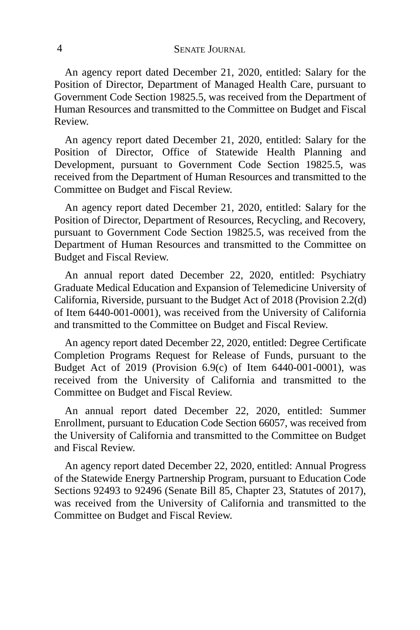An agency report dated December 21, 2020, entitled: Salary for the Position of Director, Department of Managed Health Care, pursuant to Government Code Section 19825.5, was received from the Department of Human Resources and transmitted to the Committee on Budget and Fiscal Review.

An agency report dated December 21, 2020, entitled: Salary for the Position of Director, Office of Statewide Health Planning and Development, pursuant to Government Code Section 19825.5, was received from the Department of Human Resources and transmitted to the Committee on Budget and Fiscal Review.

An agency report dated December 21, 2020, entitled: Salary for the Position of Director, Department of Resources, Recycling, and Recovery, pursuant to Government Code Section 19825.5, was received from the Department of Human Resources and transmitted to the Committee on Budget and Fiscal Review.

An annual report dated December 22, 2020, entitled: Psychiatry Graduate Medical Education and Expansion of Telemedicine University of California, Riverside, pursuant to the Budget Act of 2018 (Provision 2.2(d) of Item 6440-001-0001), was received from the University of California and transmitted to the Committee on Budget and Fiscal Review.

An agency report dated December 22, 2020, entitled: Degree Certificate Completion Programs Request for Release of Funds, pursuant to the Budget Act of 2019 (Provision 6.9(c) of Item 6440-001-0001), was received from the University of California and transmitted to the Committee on Budget and Fiscal Review.

An annual report dated December 22, 2020, entitled: Summer Enrollment, pursuant to Education Code Section 66057, was received from the University of California and transmitted to the Committee on Budget and Fiscal Review.

An agency report dated December 22, 2020, entitled: Annual Progress of the Statewide Energy Partnership Program, pursuant to Education Code Sections 92493 to 92496 (Senate Bill 85, Chapter 23, Statutes of 2017), was received from the University of California and transmitted to the Committee on Budget and Fiscal Review.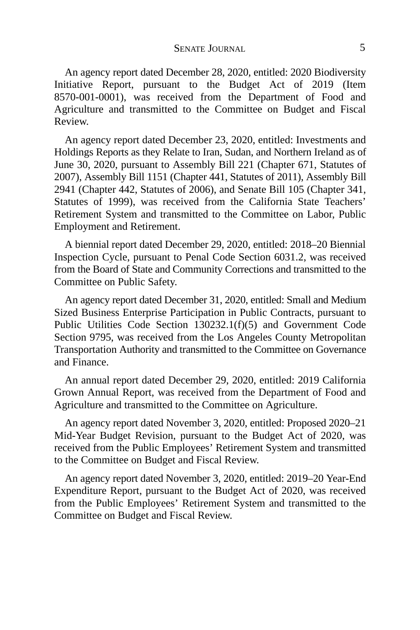An agency report dated December 28, 2020, entitled: 2020 Biodiversity Initiative Report, pursuant to the Budget Act of 2019 (Item 8570-001-0001), was received from the Department of Food and Agriculture and transmitted to the Committee on Budget and Fiscal Review.

An agency report dated December 23, 2020, entitled: Investments and Holdings Reports as they Relate to Iran, Sudan, and Northern Ireland as of June 30, 2020, pursuant to Assembly Bill 221 (Chapter 671, Statutes of 2007), Assembly Bill 1151 (Chapter 441, Statutes of 2011), Assembly Bill 2941 (Chapter 442, Statutes of 2006), and Senate Bill 105 (Chapter 341, Statutes of 1999), was received from the California State Teachers' Retirement System and transmitted to the Committee on Labor, Public Employment and Retirement.

A biennial report dated December 29, 2020, entitled: 2018–20 Biennial Inspection Cycle, pursuant to Penal Code Section 6031.2, was received from the Board of State and Community Corrections and transmitted to the Committee on Public Safety.

An agency report dated December 31, 2020, entitled: Small and Medium Sized Business Enterprise Participation in Public Contracts, pursuant to Public Utilities Code Section 130232.1(f)(5) and Government Code Section 9795, was received from the Los Angeles County Metropolitan Transportation Authority and transmitted to the Committee on Governance and Finance.

An annual report dated December 29, 2020, entitled: 2019 California Grown Annual Report, was received from the Department of Food and Agriculture and transmitted to the Committee on Agriculture.

An agency report dated November 3, 2020, entitled: Proposed 2020–21 Mid-Year Budget Revision, pursuant to the Budget Act of 2020, was received from the Public Employees' Retirement System and transmitted to the Committee on Budget and Fiscal Review.

An agency report dated November 3, 2020, entitled: 2019–20 Year-End Expenditure Report, pursuant to the Budget Act of 2020, was received from the Public Employees' Retirement System and transmitted to the Committee on Budget and Fiscal Review.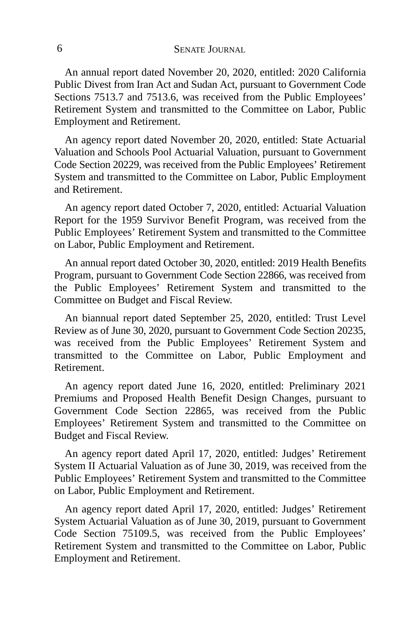An annual report dated November 20, 2020, entitled: 2020 California Public Divest from Iran Act and Sudan Act, pursuant to Government Code Sections 7513.7 and 7513.6, was received from the Public Employees' Retirement System and transmitted to the Committee on Labor, Public Employment and Retirement.

An agency report dated November 20, 2020, entitled: State Actuarial Valuation and Schools Pool Actuarial Valuation, pursuant to Government Code Section 20229, was received from the Public Employees' Retirement System and transmitted to the Committee on Labor, Public Employment and Retirement.

An agency report dated October 7, 2020, entitled: Actuarial Valuation Report for the 1959 Survivor Benefit Program, was received from the Public Employees' Retirement System and transmitted to the Committee on Labor, Public Employment and Retirement.

An annual report dated October 30, 2020, entitled: 2019 Health Benefits Program, pursuant to Government Code Section 22866, was received from the Public Employees' Retirement System and transmitted to the Committee on Budget and Fiscal Review.

An biannual report dated September 25, 2020, entitled: Trust Level Review as of June 30, 2020, pursuant to Government Code Section 20235, was received from the Public Employees' Retirement System and transmitted to the Committee on Labor, Public Employment and Retirement.

An agency report dated June 16, 2020, entitled: Preliminary 2021 Premiums and Proposed Health Benefit Design Changes, pursuant to Government Code Section 22865, was received from the Public Employees' Retirement System and transmitted to the Committee on Budget and Fiscal Review.

An agency report dated April 17, 2020, entitled: Judges' Retirement System II Actuarial Valuation as of June 30, 2019, was received from the Public Employees' Retirement System and transmitted to the Committee on Labor, Public Employment and Retirement.

An agency report dated April 17, 2020, entitled: Judges' Retirement System Actuarial Valuation as of June 30, 2019, pursuant to Government Code Section 75109.5, was received from the Public Employees' Retirement System and transmitted to the Committee on Labor, Public Employment and Retirement.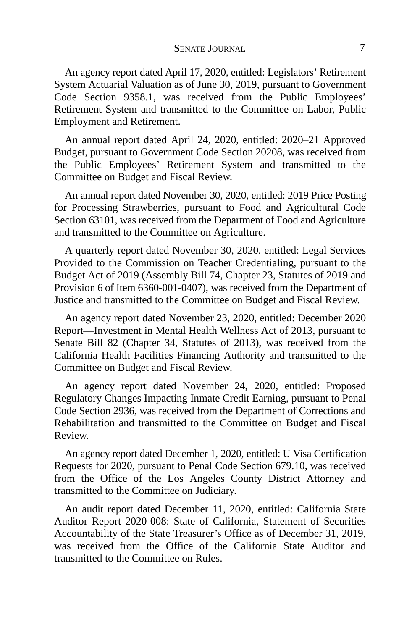An agency report dated April 17, 2020, entitled: Legislators' Retirement System Actuarial Valuation as of June 30, 2019, pursuant to Government Code Section 9358.1, was received from the Public Employees' Retirement System and transmitted to the Committee on Labor, Public Employment and Retirement.

An annual report dated April 24, 2020, entitled: 2020–21 Approved Budget, pursuant to Government Code Section 20208, was received from the Public Employees' Retirement System and transmitted to the Committee on Budget and Fiscal Review.

An annual report dated November 30, 2020, entitled: 2019 Price Posting for Processing Strawberries, pursuant to Food and Agricultural Code Section 63101, was received from the Department of Food and Agriculture and transmitted to the Committee on Agriculture.

A quarterly report dated November 30, 2020, entitled: Legal Services Provided to the Commission on Teacher Credentialing, pursuant to the Budget Act of 2019 (Assembly Bill 74, Chapter 23, Statutes of 2019 and Provision 6 of Item 6360-001-0407), was received from the Department of Justice and transmitted to the Committee on Budget and Fiscal Review.

An agency report dated November 23, 2020, entitled: December 2020 Report—Investment in Mental Health Wellness Act of 2013, pursuant to Senate Bill 82 (Chapter 34, Statutes of 2013), was received from the California Health Facilities Financing Authority and transmitted to the Committee on Budget and Fiscal Review.

An agency report dated November 24, 2020, entitled: Proposed Regulatory Changes Impacting Inmate Credit Earning, pursuant to Penal Code Section 2936, was received from the Department of Corrections and Rehabilitation and transmitted to the Committee on Budget and Fiscal Review.

An agency report dated December 1, 2020, entitled: U Visa Certification Requests for 2020, pursuant to Penal Code Section 679.10, was received from the Office of the Los Angeles County District Attorney and transmitted to the Committee on Judiciary.

An audit report dated December 11, 2020, entitled: California State Auditor Report 2020-008: State of California, Statement of Securities Accountability of the State Treasurer's Office as of December 31, 2019, was received from the Office of the California State Auditor and transmitted to the Committee on Rules.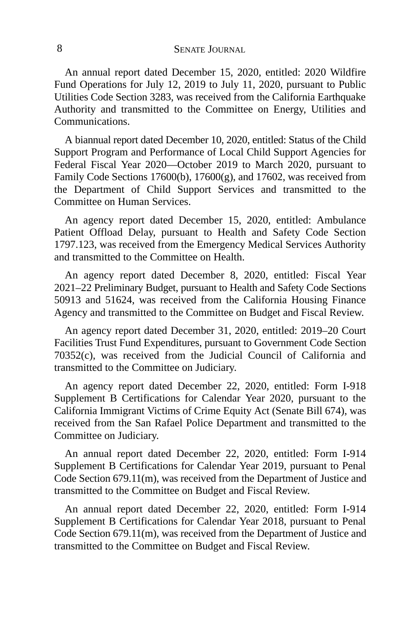An annual report dated December 15, 2020, entitled: 2020 Wildfire Fund Operations for July 12, 2019 to July 11, 2020, pursuant to Public Utilities Code Section 3283, was received from the California Earthquake Authority and transmitted to the Committee on Energy, Utilities and Communications.

A biannual report dated December 10, 2020, entitled: Status of the Child Support Program and Performance of Local Child Support Agencies for Federal Fiscal Year 2020—October 2019 to March 2020, pursuant to Family Code Sections 17600(b), 17600(g), and 17602, was received from the Department of Child Support Services and transmitted to the Committee on Human Services.

An agency report dated December 15, 2020, entitled: Ambulance Patient Offload Delay, pursuant to Health and Safety Code Section 1797.123, was received from the Emergency Medical Services Authority and transmitted to the Committee on Health.

An agency report dated December 8, 2020, entitled: Fiscal Year 2021–22 Preliminary Budget, pursuant to Health and Safety Code Sections 50913 and 51624, was received from the California Housing Finance Agency and transmitted to the Committee on Budget and Fiscal Review.

An agency report dated December 31, 2020, entitled: 2019–20 Court Facilities Trust Fund Expenditures, pursuant to Government Code Section 70352(c), was received from the Judicial Council of California and transmitted to the Committee on Judiciary.

An agency report dated December 22, 2020, entitled: Form I-918 Supplement B Certifications for Calendar Year 2020, pursuant to the California Immigrant Victims of Crime Equity Act (Senate Bill 674), was received from the San Rafael Police Department and transmitted to the Committee on Judiciary.

An annual report dated December 22, 2020, entitled: Form I-914 Supplement B Certifications for Calendar Year 2019, pursuant to Penal Code Section 679.11(m), was received from the Department of Justice and transmitted to the Committee on Budget and Fiscal Review.

An annual report dated December 22, 2020, entitled: Form I-914 Supplement B Certifications for Calendar Year 2018, pursuant to Penal Code Section 679.11(m), was received from the Department of Justice and transmitted to the Committee on Budget and Fiscal Review.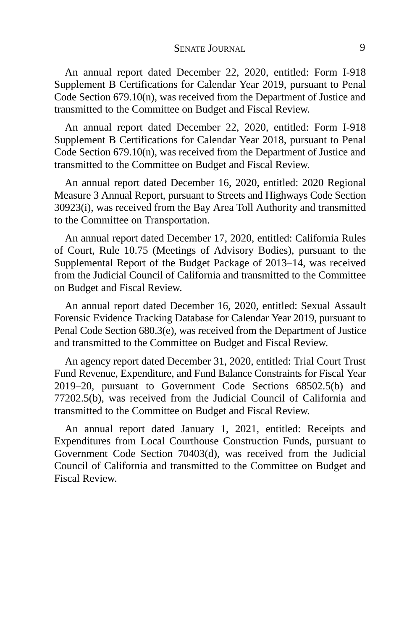An annual report dated December 22, 2020, entitled: Form I-918 Supplement B Certifications for Calendar Year 2019, pursuant to Penal Code Section 679.10(n), was received from the Department of Justice and transmitted to the Committee on Budget and Fiscal Review.

An annual report dated December 22, 2020, entitled: Form I-918 Supplement B Certifications for Calendar Year 2018, pursuant to Penal Code Section 679.10(n), was received from the Department of Justice and transmitted to the Committee on Budget and Fiscal Review.

An annual report dated December 16, 2020, entitled: 2020 Regional Measure 3 Annual Report, pursuant to Streets and Highways Code Section 30923(i), was received from the Bay Area Toll Authority and transmitted to the Committee on Transportation.

An annual report dated December 17, 2020, entitled: California Rules of Court, Rule 10.75 (Meetings of Advisory Bodies), pursuant to the Supplemental Report of the Budget Package of 2013–14, was received from the Judicial Council of California and transmitted to the Committee on Budget and Fiscal Review.

An annual report dated December 16, 2020, entitled: Sexual Assault Forensic Evidence Tracking Database for Calendar Year 2019, pursuant to Penal Code Section 680.3(e), was received from the Department of Justice and transmitted to the Committee on Budget and Fiscal Review.

An agency report dated December 31, 2020, entitled: Trial Court Trust Fund Revenue, Expenditure, and Fund Balance Constraints for Fiscal Year 2019–20, pursuant to Government Code Sections 68502.5(b) and 77202.5(b), was received from the Judicial Council of California and transmitted to the Committee on Budget and Fiscal Review.

An annual report dated January 1, 2021, entitled: Receipts and Expenditures from Local Courthouse Construction Funds, pursuant to Government Code Section 70403(d), was received from the Judicial Council of California and transmitted to the Committee on Budget and Fiscal Review.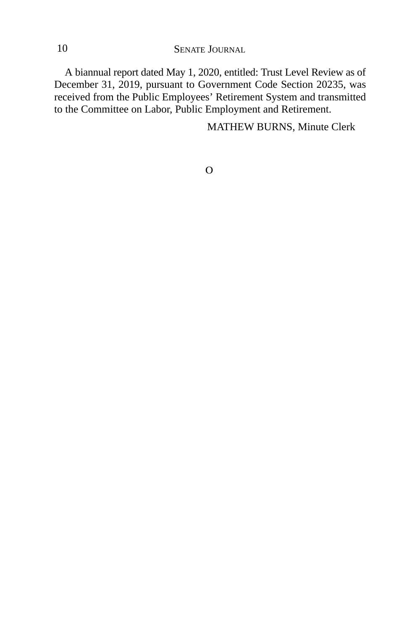10 SENATE JOURNAL

A biannual report dated May 1, 2020, entitled: Trust Level Review as of December 31, 2019, pursuant to Government Code Section 20235, was received from the Public Employees' Retirement System and transmitted to the Committee on Labor, Public Employment and Retirement.

MATHEW BURNS, Minute Clerk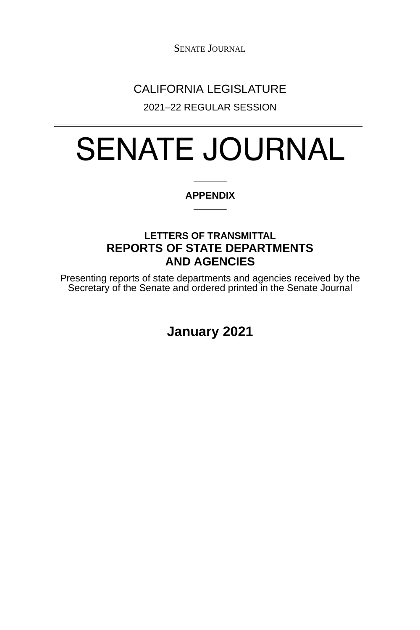SENATE JOURNAL

## CALIFORNIA LEGISLATURE

2021–22 REGULAR SESSION

# SENATE JOURNAL

#### **APPENDIX**

### **LETTERS OF TRANSMITTAL REPORTS OF STATE DEPARTMENTS AND AGENCIES**

Presenting reports of state departments and agencies received by the Secretary of the Senate and ordered printed in the Senate Journal

**January 2021**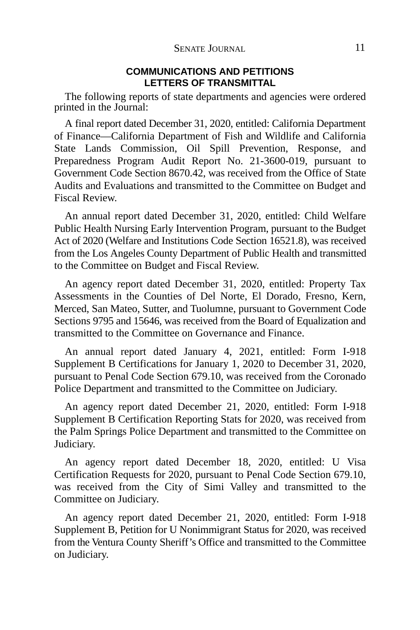#### **COMMUNICATIONS AND PETITIONS LETTERS OF TRANSMITTAL**

The following reports of state departments and agencies were ordered printed in the Journal:

A final report dated December 31, 2020, entitled: California Department of Finance—California Department of Fish and Wildlife and California State Lands Commission, Oil Spill Prevention, Response, and Preparedness Program Audit Report No. 21-3600-019, pursuant to Government Code Section 8670.42, was received from the Office of State Audits and Evaluations and transmitted to the Committee on Budget and Fiscal Review.

An annual report dated December 31, 2020, entitled: Child Welfare Public Health Nursing Early Intervention Program, pursuant to the Budget Act of 2020 (Welfare and Institutions Code Section 16521.8), was received from the Los Angeles County Department of Public Health and transmitted to the Committee on Budget and Fiscal Review.

An agency report dated December 31, 2020, entitled: Property Tax Assessments in the Counties of Del Norte, El Dorado, Fresno, Kern, Merced, San Mateo, Sutter, and Tuolumne, pursuant to Government Code Sections 9795 and 15646, was received from the Board of Equalization and transmitted to the Committee on Governance and Finance.

An annual report dated January 4, 2021, entitled: Form I-918 Supplement B Certifications for January 1, 2020 to December 31, 2020, pursuant to Penal Code Section 679.10, was received from the Coronado Police Department and transmitted to the Committee on Judiciary.

An agency report dated December 21, 2020, entitled: Form I-918 Supplement B Certification Reporting Stats for 2020, was received from the Palm Springs Police Department and transmitted to the Committee on Judiciary.

An agency report dated December 18, 2020, entitled: U Visa Certification Requests for 2020, pursuant to Penal Code Section 679.10, was received from the City of Simi Valley and transmitted to the Committee on Judiciary.

An agency report dated December 21, 2020, entitled: Form I-918 Supplement B, Petition for U Nonimmigrant Status for 2020, was received from the Ventura County Sheriff's Office and transmitted to the Committee on Judiciary.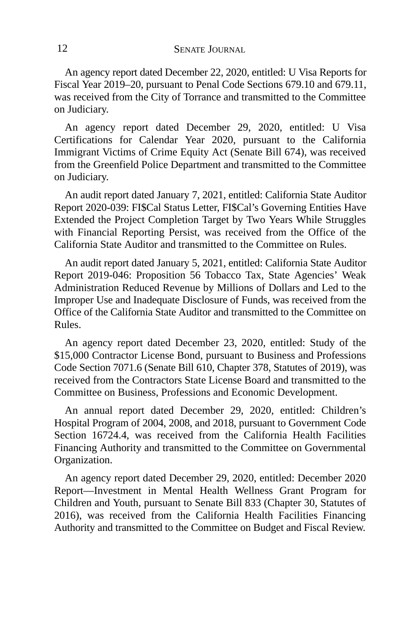An agency report dated December 22, 2020, entitled: U Visa Reports for Fiscal Year 2019–20, pursuant to Penal Code Sections 679.10 and 679.11, was received from the City of Torrance and transmitted to the Committee on Judiciary.

An agency report dated December 29, 2020, entitled: U Visa Certifications for Calendar Year 2020, pursuant to the California Immigrant Victims of Crime Equity Act (Senate Bill 674), was received from the Greenfield Police Department and transmitted to the Committee on Judiciary.

An audit report dated January 7, 2021, entitled: California State Auditor Report 2020-039: FI\$Cal Status Letter, FI\$Cal's Governing Entities Have Extended the Project Completion Target by Two Years While Struggles with Financial Reporting Persist, was received from the Office of the California State Auditor and transmitted to the Committee on Rules.

An audit report dated January 5, 2021, entitled: California State Auditor Report 2019-046: Proposition 56 Tobacco Tax, State Agencies' Weak Administration Reduced Revenue by Millions of Dollars and Led to the Improper Use and Inadequate Disclosure of Funds, was received from the Office of the California State Auditor and transmitted to the Committee on Rules.

An agency report dated December 23, 2020, entitled: Study of the \$15,000 Contractor License Bond, pursuant to Business and Professions Code Section 7071.6 (Senate Bill 610, Chapter 378, Statutes of 2019), was received from the Contractors State License Board and transmitted to the Committee on Business, Professions and Economic Development.

An annual report dated December 29, 2020, entitled: Children's Hospital Program of 2004, 2008, and 2018, pursuant to Government Code Section 16724.4, was received from the California Health Facilities Financing Authority and transmitted to the Committee on Governmental Organization.

An agency report dated December 29, 2020, entitled: December 2020 Report—Investment in Mental Health Wellness Grant Program for Children and Youth, pursuant to Senate Bill 833 (Chapter 30, Statutes of 2016), was received from the California Health Facilities Financing Authority and transmitted to the Committee on Budget and Fiscal Review.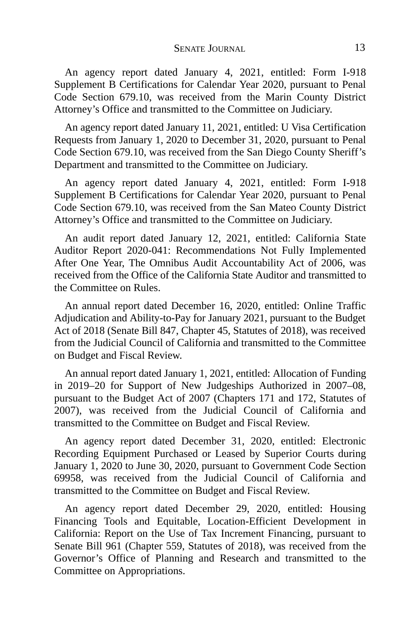An agency report dated January 4, 2021, entitled: Form I-918 Supplement B Certifications for Calendar Year 2020, pursuant to Penal Code Section 679.10, was received from the Marin County District Attorney's Office and transmitted to the Committee on Judiciary.

An agency report dated January 11, 2021, entitled: U Visa Certification Requests from January 1, 2020 to December 31, 2020, pursuant to Penal Code Section 679.10, was received from the San Diego County Sheriff's Department and transmitted to the Committee on Judiciary.

An agency report dated January 4, 2021, entitled: Form I-918 Supplement B Certifications for Calendar Year 2020, pursuant to Penal Code Section 679.10, was received from the San Mateo County District Attorney's Office and transmitted to the Committee on Judiciary.

An audit report dated January 12, 2021, entitled: California State Auditor Report 2020-041: Recommendations Not Fully Implemented After One Year, The Omnibus Audit Accountability Act of 2006, was received from the Office of the California State Auditor and transmitted to the Committee on Rules.

An annual report dated December 16, 2020, entitled: Online Traffic Adjudication and Ability-to-Pay for January 2021, pursuant to the Budget Act of 2018 (Senate Bill 847, Chapter 45, Statutes of 2018), was received from the Judicial Council of California and transmitted to the Committee on Budget and Fiscal Review.

An annual report dated January 1, 2021, entitled: Allocation of Funding in 2019–20 for Support of New Judgeships Authorized in 2007–08, pursuant to the Budget Act of 2007 (Chapters 171 and 172, Statutes of 2007), was received from the Judicial Council of California and transmitted to the Committee on Budget and Fiscal Review.

An agency report dated December 31, 2020, entitled: Electronic Recording Equipment Purchased or Leased by Superior Courts during January 1, 2020 to June 30, 2020, pursuant to Government Code Section 69958, was received from the Judicial Council of California and transmitted to the Committee on Budget and Fiscal Review.

An agency report dated December 29, 2020, entitled: Housing Financing Tools and Equitable, Location-Efficient Development in California: Report on the Use of Tax Increment Financing, pursuant to Senate Bill 961 (Chapter 559, Statutes of 2018), was received from the Governor's Office of Planning and Research and transmitted to the Committee on Appropriations.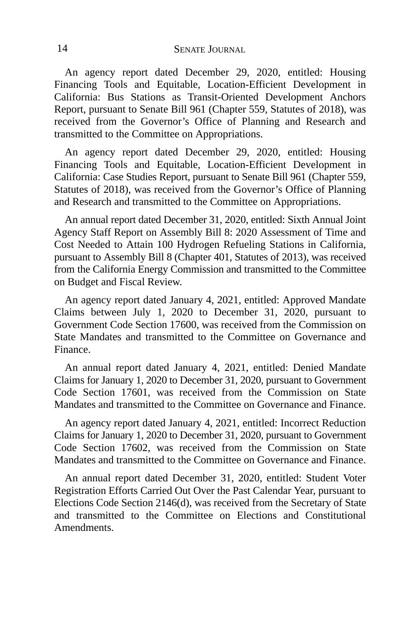An agency report dated December 29, 2020, entitled: Housing Financing Tools and Equitable, Location-Efficient Development in California: Bus Stations as Transit-Oriented Development Anchors Report, pursuant to Senate Bill 961 (Chapter 559, Statutes of 2018), was received from the Governor's Office of Planning and Research and transmitted to the Committee on Appropriations.

An agency report dated December 29, 2020, entitled: Housing Financing Tools and Equitable, Location-Efficient Development in California: Case Studies Report, pursuant to Senate Bill 961 (Chapter 559, Statutes of 2018), was received from the Governor's Office of Planning and Research and transmitted to the Committee on Appropriations.

An annual report dated December 31, 2020, entitled: Sixth Annual Joint Agency Staff Report on Assembly Bill 8: 2020 Assessment of Time and Cost Needed to Attain 100 Hydrogen Refueling Stations in California, pursuant to Assembly Bill 8 (Chapter 401, Statutes of 2013), was received from the California Energy Commission and transmitted to the Committee on Budget and Fiscal Review.

An agency report dated January 4, 2021, entitled: Approved Mandate Claims between July 1, 2020 to December 31, 2020, pursuant to Government Code Section 17600, was received from the Commission on State Mandates and transmitted to the Committee on Governance and Finance.

An annual report dated January 4, 2021, entitled: Denied Mandate Claims for January 1, 2020 to December 31, 2020, pursuant to Government Code Section 17601, was received from the Commission on State Mandates and transmitted to the Committee on Governance and Finance.

An agency report dated January 4, 2021, entitled: Incorrect Reduction Claims for January 1, 2020 to December 31, 2020, pursuant to Government Code Section 17602, was received from the Commission on State Mandates and transmitted to the Committee on Governance and Finance.

An annual report dated December 31, 2020, entitled: Student Voter Registration Efforts Carried Out Over the Past Calendar Year, pursuant to Elections Code Section 2146(d), was received from the Secretary of State and transmitted to the Committee on Elections and Constitutional Amendments.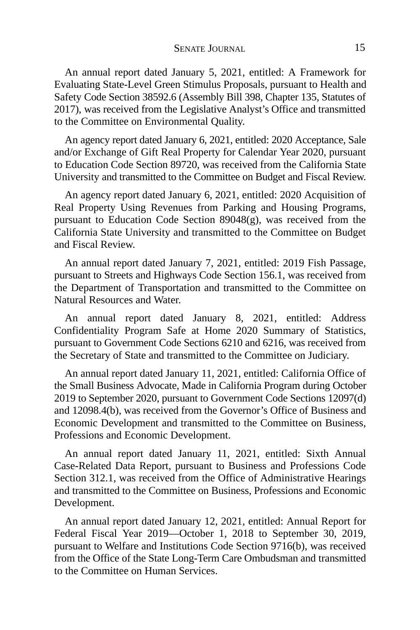An annual report dated January 5, 2021, entitled: A Framework for Evaluating State-Level Green Stimulus Proposals, pursuant to Health and Safety Code Section 38592.6 (Assembly Bill 398, Chapter 135, Statutes of 2017), was received from the Legislative Analyst's Office and transmitted to the Committee on Environmental Quality.

An agency report dated January 6, 2021, entitled: 2020 Acceptance, Sale and/or Exchange of Gift Real Property for Calendar Year 2020, pursuant to Education Code Section 89720, was received from the California State University and transmitted to the Committee on Budget and Fiscal Review.

An agency report dated January 6, 2021, entitled: 2020 Acquisition of Real Property Using Revenues from Parking and Housing Programs, pursuant to Education Code Section 89048(g), was received from the California State University and transmitted to the Committee on Budget and Fiscal Review.

An annual report dated January 7, 2021, entitled: 2019 Fish Passage, pursuant to Streets and Highways Code Section 156.1, was received from the Department of Transportation and transmitted to the Committee on Natural Resources and Water.

An annual report dated January 8, 2021, entitled: Address Confidentiality Program Safe at Home 2020 Summary of Statistics, pursuant to Government Code Sections 6210 and 6216, was received from the Secretary of State and transmitted to the Committee on Judiciary.

An annual report dated January 11, 2021, entitled: California Office of the Small Business Advocate, Made in California Program during October 2019 to September 2020, pursuant to Government Code Sections 12097(d) and 12098.4(b), was received from the Governor's Office of Business and Economic Development and transmitted to the Committee on Business, Professions and Economic Development.

An annual report dated January 11, 2021, entitled: Sixth Annual Case-Related Data Report, pursuant to Business and Professions Code Section 312.1, was received from the Office of Administrative Hearings and transmitted to the Committee on Business, Professions and Economic Development.

An annual report dated January 12, 2021, entitled: Annual Report for Federal Fiscal Year 2019—October 1, 2018 to September 30, 2019, pursuant to Welfare and Institutions Code Section 9716(b), was received from the Office of the State Long-Term Care Ombudsman and transmitted to the Committee on Human Services.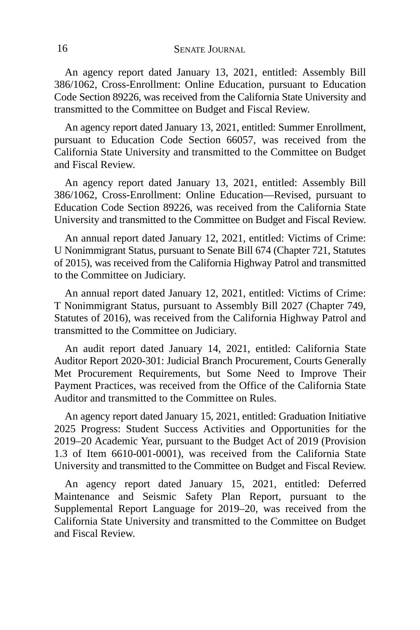An agency report dated January 13, 2021, entitled: Assembly Bill 386/1062, Cross-Enrollment: Online Education, pursuant to Education Code Section 89226, was received from the California State University and transmitted to the Committee on Budget and Fiscal Review.

An agency report dated January 13, 2021, entitled: Summer Enrollment, pursuant to Education Code Section 66057, was received from the California State University and transmitted to the Committee on Budget and Fiscal Review.

An agency report dated January 13, 2021, entitled: Assembly Bill 386/1062, Cross-Enrollment: Online Education—Revised, pursuant to Education Code Section 89226, was received from the California State University and transmitted to the Committee on Budget and Fiscal Review.

An annual report dated January 12, 2021, entitled: Victims of Crime: U Nonimmigrant Status, pursuant to Senate Bill 674 (Chapter 721, Statutes of 2015), was received from the California Highway Patrol and transmitted to the Committee on Judiciary.

An annual report dated January 12, 2021, entitled: Victims of Crime: T Nonimmigrant Status, pursuant to Assembly Bill 2027 (Chapter 749, Statutes of 2016), was received from the California Highway Patrol and transmitted to the Committee on Judiciary.

An audit report dated January 14, 2021, entitled: California State Auditor Report 2020-301: Judicial Branch Procurement, Courts Generally Met Procurement Requirements, but Some Need to Improve Their Payment Practices, was received from the Office of the California State Auditor and transmitted to the Committee on Rules.

An agency report dated January 15, 2021, entitled: Graduation Initiative 2025 Progress: Student Success Activities and Opportunities for the 2019–20 Academic Year, pursuant to the Budget Act of 2019 (Provision 1.3 of Item 6610-001-0001), was received from the California State University and transmitted to the Committee on Budget and Fiscal Review.

An agency report dated January 15, 2021, entitled: Deferred Maintenance and Seismic Safety Plan Report, pursuant to the Supplemental Report Language for 2019–20, was received from the California State University and transmitted to the Committee on Budget and Fiscal Review.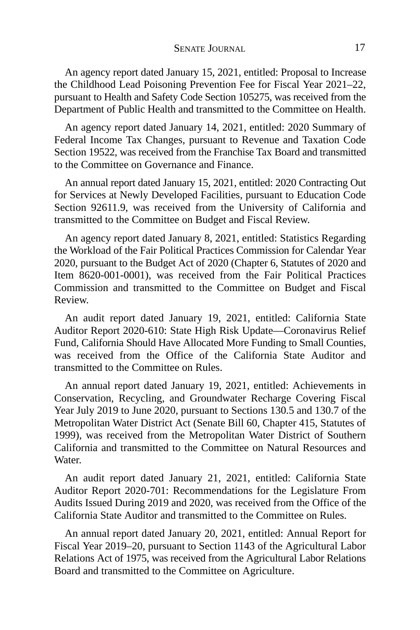An agency report dated January 15, 2021, entitled: Proposal to Increase the Childhood Lead Poisoning Prevention Fee for Fiscal Year 2021–22, pursuant to Health and Safety Code Section 105275, was received from the Department of Public Health and transmitted to the Committee on Health.

An agency report dated January 14, 2021, entitled: 2020 Summary of Federal Income Tax Changes, pursuant to Revenue and Taxation Code Section 19522, was received from the Franchise Tax Board and transmitted to the Committee on Governance and Finance.

An annual report dated January 15, 2021, entitled: 2020 Contracting Out for Services at Newly Developed Facilities, pursuant to Education Code Section 92611.9, was received from the University of California and transmitted to the Committee on Budget and Fiscal Review.

An agency report dated January 8, 2021, entitled: Statistics Regarding the Workload of the Fair Political Practices Commission for Calendar Year 2020, pursuant to the Budget Act of 2020 (Chapter 6, Statutes of 2020 and Item 8620-001-0001), was received from the Fair Political Practices Commission and transmitted to the Committee on Budget and Fiscal Review.

An audit report dated January 19, 2021, entitled: California State Auditor Report 2020-610: State High Risk Update—Coronavirus Relief Fund, California Should Have Allocated More Funding to Small Counties, was received from the Office of the California State Auditor and transmitted to the Committee on Rules.

An annual report dated January 19, 2021, entitled: Achievements in Conservation, Recycling, and Groundwater Recharge Covering Fiscal Year July 2019 to June 2020, pursuant to Sections 130.5 and 130.7 of the Metropolitan Water District Act (Senate Bill 60, Chapter 415, Statutes of 1999), was received from the Metropolitan Water District of Southern California and transmitted to the Committee on Natural Resources and Water.

An audit report dated January 21, 2021, entitled: California State Auditor Report 2020-701: Recommendations for the Legislature From Audits Issued During 2019 and 2020, was received from the Office of the California State Auditor and transmitted to the Committee on Rules.

An annual report dated January 20, 2021, entitled: Annual Report for Fiscal Year 2019–20, pursuant to Section 1143 of the Agricultural Labor Relations Act of 1975, was received from the Agricultural Labor Relations Board and transmitted to the Committee on Agriculture.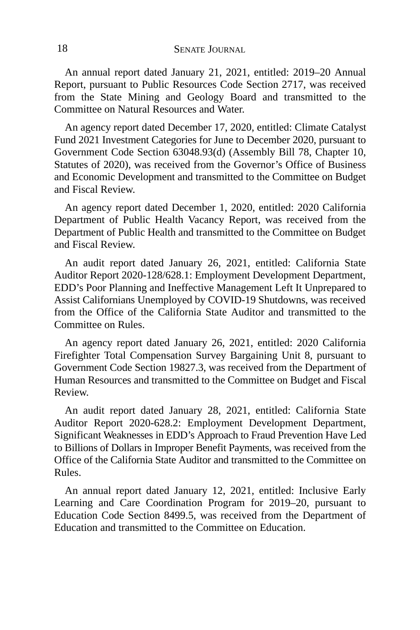An annual report dated January 21, 2021, entitled: 2019–20 Annual Report, pursuant to Public Resources Code Section 2717, was received from the State Mining and Geology Board and transmitted to the Committee on Natural Resources and Water.

An agency report dated December 17, 2020, entitled: Climate Catalyst Fund 2021 Investment Categories for June to December 2020, pursuant to Government Code Section 63048.93(d) (Assembly Bill 78, Chapter 10, Statutes of 2020), was received from the Governor's Office of Business and Economic Development and transmitted to the Committee on Budget and Fiscal Review.

An agency report dated December 1, 2020, entitled: 2020 California Department of Public Health Vacancy Report, was received from the Department of Public Health and transmitted to the Committee on Budget and Fiscal Review.

An audit report dated January 26, 2021, entitled: California State Auditor Report 2020-128/628.1: Employment Development Department, EDD's Poor Planning and Ineffective Management Left It Unprepared to Assist Californians Unemployed by COVID-19 Shutdowns, was received from the Office of the California State Auditor and transmitted to the Committee on Rules.

An agency report dated January 26, 2021, entitled: 2020 California Firefighter Total Compensation Survey Bargaining Unit 8, pursuant to Government Code Section 19827.3, was received from the Department of Human Resources and transmitted to the Committee on Budget and Fiscal Review.

An audit report dated January 28, 2021, entitled: California State Auditor Report 2020-628.2: Employment Development Department, Significant Weaknesses in EDD's Approach to Fraud Prevention Have Led to Billions of Dollars in Improper Benefit Payments, was received from the Office of the California State Auditor and transmitted to the Committee on Rules.

An annual report dated January 12, 2021, entitled: Inclusive Early Learning and Care Coordination Program for 2019–20, pursuant to Education Code Section 8499.5, was received from the Department of Education and transmitted to the Committee on Education.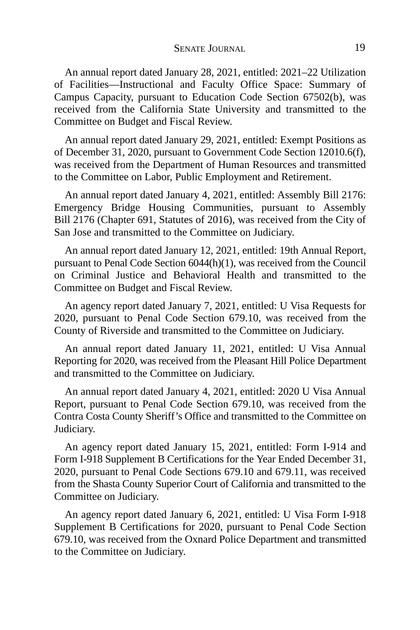An annual report dated January 28, 2021, entitled: 2021–22 Utilization of Facilities—Instructional and Faculty Office Space: Summary of Campus Capacity, pursuant to Education Code Section 67502(b), was received from the California State University and transmitted to the Committee on Budget and Fiscal Review.

An annual report dated January 29, 2021, entitled: Exempt Positions as of December 31, 2020, pursuant to Government Code Section 12010.6(f), was received from the Department of Human Resources and transmitted to the Committee on Labor, Public Employment and Retirement.

An annual report dated January 4, 2021, entitled: Assembly Bill 2176: Emergency Bridge Housing Communities, pursuant to Assembly Bill 2176 (Chapter 691, Statutes of 2016), was received from the City of San Jose and transmitted to the Committee on Judiciary.

An annual report dated January 12, 2021, entitled: 19th Annual Report, pursuant to Penal Code Section 6044(h)(1), was received from the Council on Criminal Justice and Behavioral Health and transmitted to the Committee on Budget and Fiscal Review.

An agency report dated January 7, 2021, entitled: U Visa Requests for 2020, pursuant to Penal Code Section 679.10, was received from the County of Riverside and transmitted to the Committee on Judiciary.

An annual report dated January 11, 2021, entitled: U Visa Annual Reporting for 2020, was received from the Pleasant Hill Police Department and transmitted to the Committee on Judiciary.

An annual report dated January 4, 2021, entitled: 2020 U Visa Annual Report, pursuant to Penal Code Section 679.10, was received from the Contra Costa County Sheriff's Office and transmitted to the Committee on Judiciary.

An agency report dated January 15, 2021, entitled: Form I-914 and Form I-918 Supplement B Certifications for the Year Ended December 31, 2020, pursuant to Penal Code Sections 679.10 and 679.11, was received from the Shasta County Superior Court of California and transmitted to the Committee on Judiciary.

An agency report dated January 6, 2021, entitled: U Visa Form I-918 Supplement B Certifications for 2020, pursuant to Penal Code Section 679.10, was received from the Oxnard Police Department and transmitted to the Committee on Judiciary.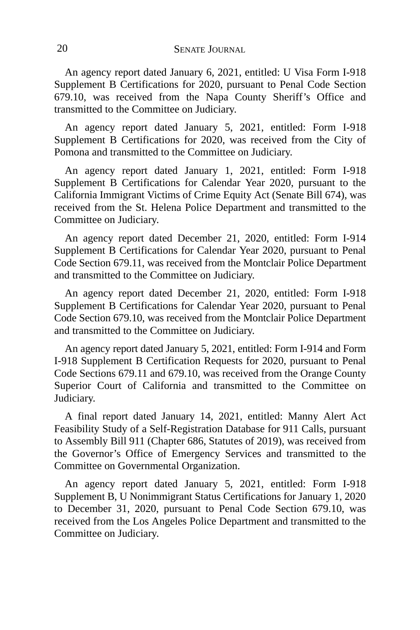An agency report dated January 6, 2021, entitled: U Visa Form I-918 Supplement B Certifications for 2020, pursuant to Penal Code Section 679.10, was received from the Napa County Sheriff's Office and transmitted to the Committee on Judiciary.

An agency report dated January 5, 2021, entitled: Form I-918 Supplement B Certifications for 2020, was received from the City of Pomona and transmitted to the Committee on Judiciary.

An agency report dated January 1, 2021, entitled: Form I-918 Supplement B Certifications for Calendar Year 2020, pursuant to the California Immigrant Victims of Crime Equity Act (Senate Bill 674), was received from the St. Helena Police Department and transmitted to the Committee on Judiciary.

An agency report dated December 21, 2020, entitled: Form I-914 Supplement B Certifications for Calendar Year 2020, pursuant to Penal Code Section 679.11, was received from the Montclair Police Department and transmitted to the Committee on Judiciary.

An agency report dated December 21, 2020, entitled: Form I-918 Supplement B Certifications for Calendar Year 2020, pursuant to Penal Code Section 679.10, was received from the Montclair Police Department and transmitted to the Committee on Judiciary.

An agency report dated January 5, 2021, entitled: Form I-914 and Form I-918 Supplement B Certification Requests for 2020, pursuant to Penal Code Sections 679.11 and 679.10, was received from the Orange County Superior Court of California and transmitted to the Committee on Judiciary.

A final report dated January 14, 2021, entitled: Manny Alert Act Feasibility Study of a Self-Registration Database for 911 Calls, pursuant to Assembly Bill 911 (Chapter 686, Statutes of 2019), was received from the Governor's Office of Emergency Services and transmitted to the Committee on Governmental Organization.

An agency report dated January 5, 2021, entitled: Form I-918 Supplement B, U Nonimmigrant Status Certifications for January 1, 2020 to December 31, 2020, pursuant to Penal Code Section 679.10, was received from the Los Angeles Police Department and transmitted to the Committee on Judiciary.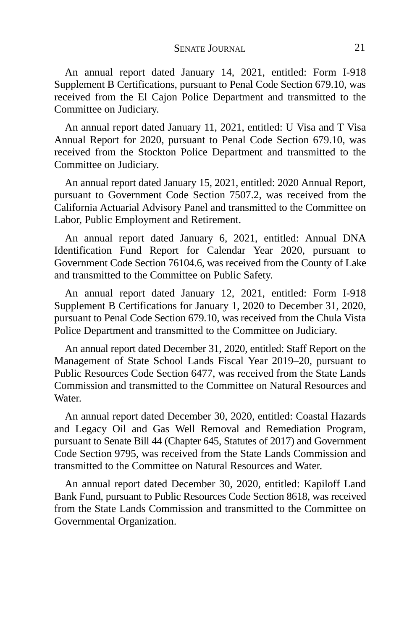An annual report dated January 14, 2021, entitled: Form I-918 Supplement B Certifications, pursuant to Penal Code Section 679.10, was received from the El Cajon Police Department and transmitted to the Committee on Judiciary.

An annual report dated January 11, 2021, entitled: U Visa and T Visa Annual Report for 2020, pursuant to Penal Code Section 679.10, was received from the Stockton Police Department and transmitted to the Committee on Judiciary.

An annual report dated January 15, 2021, entitled: 2020 Annual Report, pursuant to Government Code Section 7507.2, was received from the California Actuarial Advisory Panel and transmitted to the Committee on Labor, Public Employment and Retirement.

An annual report dated January 6, 2021, entitled: Annual DNA Identification Fund Report for Calendar Year 2020, pursuant to Government Code Section 76104.6, was received from the County of Lake and transmitted to the Committee on Public Safety.

An annual report dated January 12, 2021, entitled: Form I-918 Supplement B Certifications for January 1, 2020 to December 31, 2020, pursuant to Penal Code Section 679.10, was received from the Chula Vista Police Department and transmitted to the Committee on Judiciary.

An annual report dated December 31, 2020, entitled: Staff Report on the Management of State School Lands Fiscal Year 2019–20, pursuant to Public Resources Code Section 6477, was received from the State Lands Commission and transmitted to the Committee on Natural Resources and Water.

An annual report dated December 30, 2020, entitled: Coastal Hazards and Legacy Oil and Gas Well Removal and Remediation Program, pursuant to Senate Bill 44 (Chapter 645, Statutes of 2017) and Government Code Section 9795, was received from the State Lands Commission and transmitted to the Committee on Natural Resources and Water.

An annual report dated December 30, 2020, entitled: Kapiloff Land Bank Fund, pursuant to Public Resources Code Section 8618, was received from the State Lands Commission and transmitted to the Committee on Governmental Organization.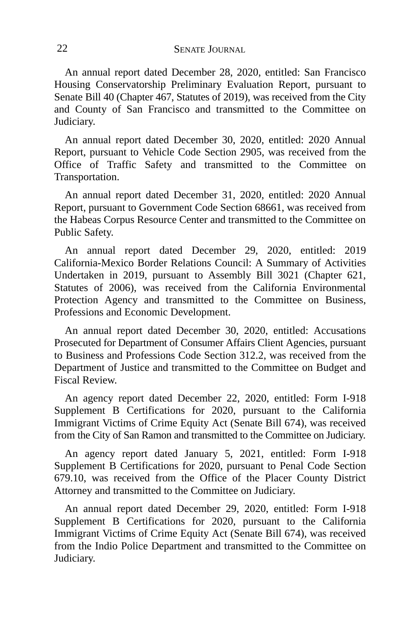An annual report dated December 28, 2020, entitled: San Francisco Housing Conservatorship Preliminary Evaluation Report, pursuant to Senate Bill 40 (Chapter 467, Statutes of 2019), was received from the City and County of San Francisco and transmitted to the Committee on Judiciary.

An annual report dated December 30, 2020, entitled: 2020 Annual Report, pursuant to Vehicle Code Section 2905, was received from the Office of Traffic Safety and transmitted to the Committee on Transportation.

An annual report dated December 31, 2020, entitled: 2020 Annual Report, pursuant to Government Code Section 68661, was received from the Habeas Corpus Resource Center and transmitted to the Committee on Public Safety.

An annual report dated December 29, 2020, entitled: 2019 California-Mexico Border Relations Council: A Summary of Activities Undertaken in 2019, pursuant to Assembly Bill 3021 (Chapter 621, Statutes of 2006), was received from the California Environmental Protection Agency and transmitted to the Committee on Business, Professions and Economic Development.

An annual report dated December 30, 2020, entitled: Accusations Prosecuted for Department of Consumer Affairs Client Agencies, pursuant to Business and Professions Code Section 312.2, was received from the Department of Justice and transmitted to the Committee on Budget and Fiscal Review.

An agency report dated December 22, 2020, entitled: Form I-918 Supplement B Certifications for 2020, pursuant to the California Immigrant Victims of Crime Equity Act (Senate Bill 674), was received from the City of San Ramon and transmitted to the Committee on Judiciary.

An agency report dated January 5, 2021, entitled: Form I-918 Supplement B Certifications for 2020, pursuant to Penal Code Section 679.10, was received from the Office of the Placer County District Attorney and transmitted to the Committee on Judiciary.

An annual report dated December 29, 2020, entitled: Form I-918 Supplement B Certifications for 2020, pursuant to the California Immigrant Victims of Crime Equity Act (Senate Bill 674), was received from the Indio Police Department and transmitted to the Committee on Judiciary.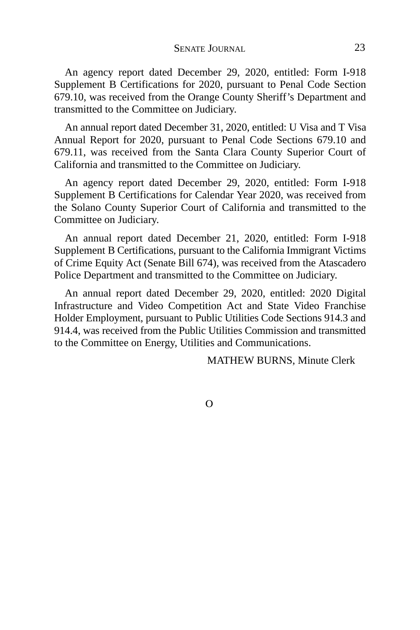An agency report dated December 29, 2020, entitled: Form I-918 Supplement B Certifications for 2020, pursuant to Penal Code Section 679.10, was received from the Orange County Sheriff's Department and transmitted to the Committee on Judiciary.

An annual report dated December 31, 2020, entitled: U Visa and T Visa Annual Report for 2020, pursuant to Penal Code Sections 679.10 and 679.11, was received from the Santa Clara County Superior Court of California and transmitted to the Committee on Judiciary.

An agency report dated December 29, 2020, entitled: Form I-918 Supplement B Certifications for Calendar Year 2020, was received from the Solano County Superior Court of California and transmitted to the Committee on Judiciary.

An annual report dated December 21, 2020, entitled: Form I-918 Supplement B Certifications, pursuant to the California Immigrant Victims of Crime Equity Act (Senate Bill 674), was received from the Atascadero Police Department and transmitted to the Committee on Judiciary.

An annual report dated December 29, 2020, entitled: 2020 Digital Infrastructure and Video Competition Act and State Video Franchise Holder Employment, pursuant to Public Utilities Code Sections 914.3 and 914.4, was received from the Public Utilities Commission and transmitted to the Committee on Energy, Utilities and Communications.

MATHEW BURNS, Minute Clerk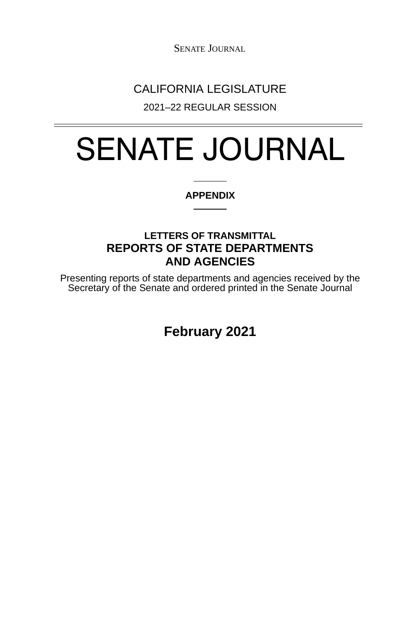SENATE JOURNAL

## CALIFORNIA LEGISLATURE

2021–22 REGULAR SESSION

# SENATE JOURNAL

#### **APPENDIX**

### **LETTERS OF TRANSMITTAL REPORTS OF STATE DEPARTMENTS AND AGENCIES**

Presenting reports of state departments and agencies received by the Secretary of the Senate and ordered printed in the Senate Journal

**February 2021**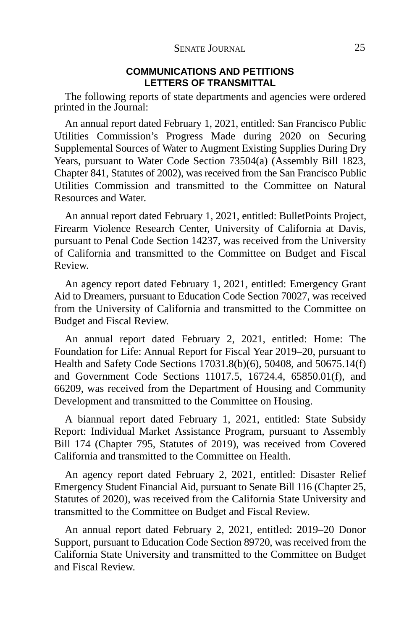#### **COMMUNICATIONS AND PETITIONS LETTERS OF TRANSMITTAL**

The following reports of state departments and agencies were ordered printed in the Journal:

An annual report dated February 1, 2021, entitled: San Francisco Public Utilities Commission's Progress Made during 2020 on Securing Supplemental Sources of Water to Augment Existing Supplies During Dry Years, pursuant to Water Code Section 73504(a) (Assembly Bill 1823, Chapter 841, Statutes of 2002), was received from the San Francisco Public Utilities Commission and transmitted to the Committee on Natural Resources and Water.

An annual report dated February 1, 2021, entitled: BulletPoints Project, Firearm Violence Research Center, University of California at Davis, pursuant to Penal Code Section 14237, was received from the University of California and transmitted to the Committee on Budget and Fiscal Review.

An agency report dated February 1, 2021, entitled: Emergency Grant Aid to Dreamers, pursuant to Education Code Section 70027, was received from the University of California and transmitted to the Committee on Budget and Fiscal Review.

An annual report dated February 2, 2021, entitled: Home: The Foundation for Life: Annual Report for Fiscal Year 2019–20, pursuant to Health and Safety Code Sections 17031.8(b)(6), 50408, and 50675.14(f) and Government Code Sections 11017.5, 16724.4, 65850.01(f), and 66209, was received from the Department of Housing and Community Development and transmitted to the Committee on Housing.

A biannual report dated February 1, 2021, entitled: State Subsidy Report: Individual Market Assistance Program, pursuant to Assembly Bill 174 (Chapter 795, Statutes of 2019), was received from Covered California and transmitted to the Committee on Health.

An agency report dated February 2, 2021, entitled: Disaster Relief Emergency Student Financial Aid, pursuant to Senate Bill 116 (Chapter 25, Statutes of 2020), was received from the California State University and transmitted to the Committee on Budget and Fiscal Review.

An annual report dated February 2, 2021, entitled: 2019–20 Donor Support, pursuant to Education Code Section 89720, was received from the California State University and transmitted to the Committee on Budget and Fiscal Review.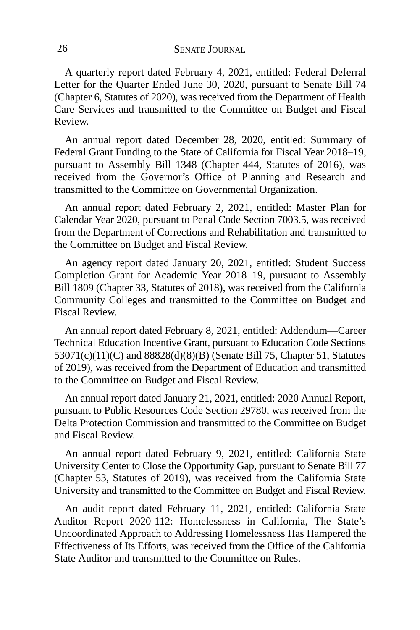A quarterly report dated February 4, 2021, entitled: Federal Deferral Letter for the Quarter Ended June 30, 2020, pursuant to Senate Bill 74 (Chapter 6, Statutes of 2020), was received from the Department of Health Care Services and transmitted to the Committee on Budget and Fiscal Review.

An annual report dated December 28, 2020, entitled: Summary of Federal Grant Funding to the State of California for Fiscal Year 2018–19, pursuant to Assembly Bill 1348 (Chapter 444, Statutes of 2016), was received from the Governor's Office of Planning and Research and transmitted to the Committee on Governmental Organization.

An annual report dated February 2, 2021, entitled: Master Plan for Calendar Year 2020, pursuant to Penal Code Section 7003.5, was received from the Department of Corrections and Rehabilitation and transmitted to the Committee on Budget and Fiscal Review.

An agency report dated January 20, 2021, entitled: Student Success Completion Grant for Academic Year 2018–19, pursuant to Assembly Bill 1809 (Chapter 33, Statutes of 2018), was received from the California Community Colleges and transmitted to the Committee on Budget and Fiscal Review.

An annual report dated February 8, 2021, entitled: Addendum—Career Technical Education Incentive Grant, pursuant to Education Code Sections 53071(c)(11)(C) and 88828(d)(8)(B) (Senate Bill 75, Chapter 51, Statutes of 2019), was received from the Department of Education and transmitted to the Committee on Budget and Fiscal Review.

An annual report dated January 21, 2021, entitled: 2020 Annual Report, pursuant to Public Resources Code Section 29780, was received from the Delta Protection Commission and transmitted to the Committee on Budget and Fiscal Review.

An annual report dated February 9, 2021, entitled: California State University Center to Close the Opportunity Gap, pursuant to Senate Bill 77 (Chapter 53, Statutes of 2019), was received from the California State University and transmitted to the Committee on Budget and Fiscal Review.

An audit report dated February 11, 2021, entitled: California State Auditor Report 2020-112: Homelessness in California, The State's Uncoordinated Approach to Addressing Homelessness Has Hampered the Effectiveness of Its Efforts, was received from the Office of the California State Auditor and transmitted to the Committee on Rules.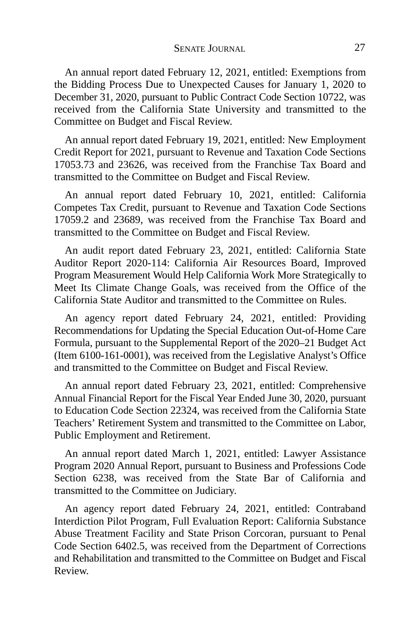An annual report dated February 12, 2021, entitled: Exemptions from the Bidding Process Due to Unexpected Causes for January 1, 2020 to December 31, 2020, pursuant to Public Contract Code Section 10722, was received from the California State University and transmitted to the Committee on Budget and Fiscal Review.

An annual report dated February 19, 2021, entitled: New Employment Credit Report for 2021, pursuant to Revenue and Taxation Code Sections 17053.73 and 23626, was received from the Franchise Tax Board and transmitted to the Committee on Budget and Fiscal Review.

An annual report dated February 10, 2021, entitled: California Competes Tax Credit, pursuant to Revenue and Taxation Code Sections 17059.2 and 23689, was received from the Franchise Tax Board and transmitted to the Committee on Budget and Fiscal Review.

An audit report dated February 23, 2021, entitled: California State Auditor Report 2020-114: California Air Resources Board, Improved Program Measurement Would Help California Work More Strategically to Meet Its Climate Change Goals, was received from the Office of the California State Auditor and transmitted to the Committee on Rules.

An agency report dated February 24, 2021, entitled: Providing Recommendations for Updating the Special Education Out-of-Home Care Formula, pursuant to the Supplemental Report of the 2020–21 Budget Act (Item 6100-161-0001), was received from the Legislative Analyst's Office and transmitted to the Committee on Budget and Fiscal Review.

An annual report dated February 23, 2021, entitled: Comprehensive Annual Financial Report for the Fiscal Year Ended June 30, 2020, pursuant to Education Code Section 22324, was received from the California State Teachers' Retirement System and transmitted to the Committee on Labor, Public Employment and Retirement.

An annual report dated March 1, 2021, entitled: Lawyer Assistance Program 2020 Annual Report, pursuant to Business and Professions Code Section 6238, was received from the State Bar of California and transmitted to the Committee on Judiciary.

An agency report dated February 24, 2021, entitled: Contraband Interdiction Pilot Program, Full Evaluation Report: California Substance Abuse Treatment Facility and State Prison Corcoran, pursuant to Penal Code Section 6402.5, was received from the Department of Corrections and Rehabilitation and transmitted to the Committee on Budget and Fiscal Review.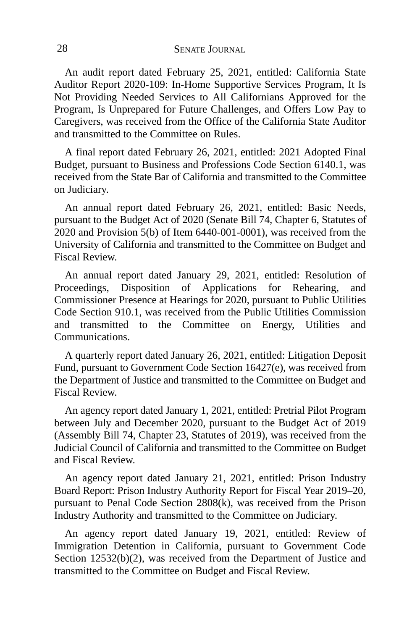An audit report dated February 25, 2021, entitled: California State Auditor Report 2020-109: In-Home Supportive Services Program, It Is Not Providing Needed Services to All Californians Approved for the Program, Is Unprepared for Future Challenges, and Offers Low Pay to Caregivers, was received from the Office of the California State Auditor and transmitted to the Committee on Rules.

A final report dated February 26, 2021, entitled: 2021 Adopted Final Budget, pursuant to Business and Professions Code Section 6140.1, was received from the State Bar of California and transmitted to the Committee on Judiciary.

An annual report dated February 26, 2021, entitled: Basic Needs, pursuant to the Budget Act of 2020 (Senate Bill 74, Chapter 6, Statutes of  $2020$  and Provision  $5(b)$  of Item  $6440-001-0001$ ), was received from the University of California and transmitted to the Committee on Budget and Fiscal Review.

An annual report dated January 29, 2021, entitled: Resolution of Proceedings, Disposition of Applications for Rehearing, and Commissioner Presence at Hearings for 2020, pursuant to Public Utilities Code Section 910.1, was received from the Public Utilities Commission and transmitted to the Committee on Energy, Utilities and Communications.

A quarterly report dated January 26, 2021, entitled: Litigation Deposit Fund, pursuant to Government Code Section 16427(e), was received from the Department of Justice and transmitted to the Committee on Budget and Fiscal Review.

An agency report dated January 1, 2021, entitled: Pretrial Pilot Program between July and December 2020, pursuant to the Budget Act of 2019 (Assembly Bill 74, Chapter 23, Statutes of 2019), was received from the Judicial Council of California and transmitted to the Committee on Budget and Fiscal Review.

An agency report dated January 21, 2021, entitled: Prison Industry Board Report: Prison Industry Authority Report for Fiscal Year 2019–20, pursuant to Penal Code Section 2808(k), was received from the Prison Industry Authority and transmitted to the Committee on Judiciary.

An agency report dated January 19, 2021, entitled: Review of Immigration Detention in California, pursuant to Government Code Section 12532(b)(2), was received from the Department of Justice and transmitted to the Committee on Budget and Fiscal Review.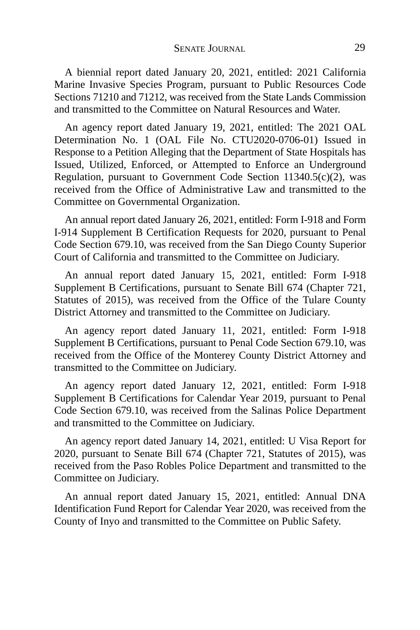A biennial report dated January 20, 2021, entitled: 2021 California Marine Invasive Species Program, pursuant to Public Resources Code Sections 71210 and 71212, was received from the State Lands Commission and transmitted to the Committee on Natural Resources and Water.

An agency report dated January 19, 2021, entitled: The 2021 OAL Determination No. 1 (OAL File No. CTU2020-0706-01) Issued in Response to a Petition Alleging that the Department of State Hospitals has Issued, Utilized, Enforced, or Attempted to Enforce an Underground Regulation, pursuant to Government Code Section 11340.5(c)(2), was received from the Office of Administrative Law and transmitted to the Committee on Governmental Organization.

An annual report dated January 26, 2021, entitled: Form I-918 and Form I-914 Supplement B Certification Requests for 2020, pursuant to Penal Code Section 679.10, was received from the San Diego County Superior Court of California and transmitted to the Committee on Judiciary.

An annual report dated January 15, 2021, entitled: Form I-918 Supplement B Certifications, pursuant to Senate Bill 674 (Chapter 721, Statutes of 2015), was received from the Office of the Tulare County District Attorney and transmitted to the Committee on Judiciary.

An agency report dated January 11, 2021, entitled: Form I-918 Supplement B Certifications, pursuant to Penal Code Section 679.10, was received from the Office of the Monterey County District Attorney and transmitted to the Committee on Judiciary.

An agency report dated January 12, 2021, entitled: Form I-918 Supplement B Certifications for Calendar Year 2019, pursuant to Penal Code Section 679.10, was received from the Salinas Police Department and transmitted to the Committee on Judiciary.

An agency report dated January 14, 2021, entitled: U Visa Report for 2020, pursuant to Senate Bill 674 (Chapter 721, Statutes of 2015), was received from the Paso Robles Police Department and transmitted to the Committee on Judiciary.

An annual report dated January 15, 2021, entitled: Annual DNA Identification Fund Report for Calendar Year 2020, was received from the County of Inyo and transmitted to the Committee on Public Safety.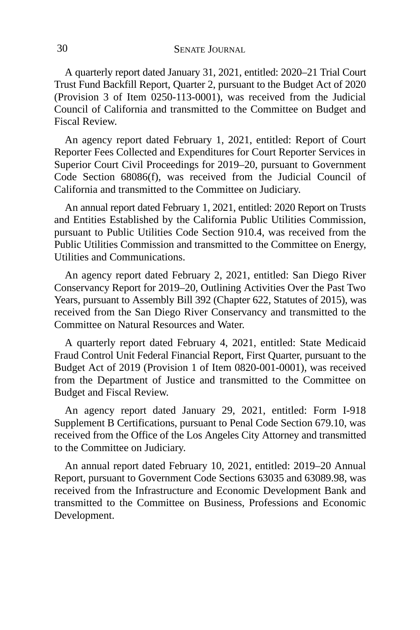A quarterly report dated January 31, 2021, entitled: 2020–21 Trial Court Trust Fund Backfill Report, Quarter 2, pursuant to the Budget Act of 2020 (Provision 3 of Item 0250-113-0001), was received from the Judicial Council of California and transmitted to the Committee on Budget and Fiscal Review.

An agency report dated February 1, 2021, entitled: Report of Court Reporter Fees Collected and Expenditures for Court Reporter Services in Superior Court Civil Proceedings for 2019–20, pursuant to Government Code Section 68086(f), was received from the Judicial Council of California and transmitted to the Committee on Judiciary.

An annual report dated February 1, 2021, entitled: 2020 Report on Trusts and Entities Established by the California Public Utilities Commission, pursuant to Public Utilities Code Section 910.4, was received from the Public Utilities Commission and transmitted to the Committee on Energy, Utilities and Communications.

An agency report dated February 2, 2021, entitled: San Diego River Conservancy Report for 2019–20, Outlining Activities Over the Past Two Years, pursuant to Assembly Bill 392 (Chapter 622, Statutes of 2015), was received from the San Diego River Conservancy and transmitted to the Committee on Natural Resources and Water.

A quarterly report dated February 4, 2021, entitled: State Medicaid Fraud Control Unit Federal Financial Report, First Quarter, pursuant to the Budget Act of 2019 (Provision 1 of Item 0820-001-0001), was received from the Department of Justice and transmitted to the Committee on Budget and Fiscal Review.

An agency report dated January 29, 2021, entitled: Form I-918 Supplement B Certifications, pursuant to Penal Code Section 679.10, was received from the Office of the Los Angeles City Attorney and transmitted to the Committee on Judiciary.

An annual report dated February 10, 2021, entitled: 2019–20 Annual Report, pursuant to Government Code Sections 63035 and 63089.98, was received from the Infrastructure and Economic Development Bank and transmitted to the Committee on Business, Professions and Economic Development.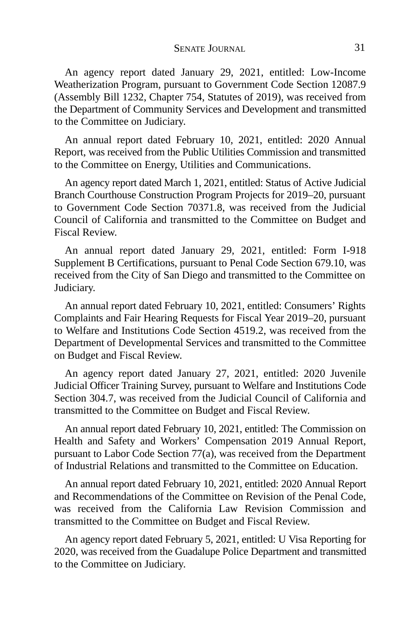An agency report dated January 29, 2021, entitled: Low-Income Weatherization Program, pursuant to Government Code Section 12087.9 (Assembly Bill 1232, Chapter 754, Statutes of 2019), was received from the Department of Community Services and Development and transmitted to the Committee on Judiciary.

An annual report dated February 10, 2021, entitled: 2020 Annual Report, was received from the Public Utilities Commission and transmitted to the Committee on Energy, Utilities and Communications.

An agency report dated March 1, 2021, entitled: Status of Active Judicial Branch Courthouse Construction Program Projects for 2019–20, pursuant to Government Code Section 70371.8, was received from the Judicial Council of California and transmitted to the Committee on Budget and Fiscal Review.

An annual report dated January 29, 2021, entitled: Form I-918 Supplement B Certifications, pursuant to Penal Code Section 679.10, was received from the City of San Diego and transmitted to the Committee on Judiciary.

An annual report dated February 10, 2021, entitled: Consumers' Rights Complaints and Fair Hearing Requests for Fiscal Year 2019–20, pursuant to Welfare and Institutions Code Section 4519.2, was received from the Department of Developmental Services and transmitted to the Committee on Budget and Fiscal Review.

An agency report dated January 27, 2021, entitled: 2020 Juvenile Judicial Officer Training Survey, pursuant to Welfare and Institutions Code Section 304.7, was received from the Judicial Council of California and transmitted to the Committee on Budget and Fiscal Review.

An annual report dated February 10, 2021, entitled: The Commission on Health and Safety and Workers' Compensation 2019 Annual Report, pursuant to Labor Code Section 77(a), was received from the Department of Industrial Relations and transmitted to the Committee on Education.

An annual report dated February 10, 2021, entitled: 2020 Annual Report and Recommendations of the Committee on Revision of the Penal Code, was received from the California Law Revision Commission and transmitted to the Committee on Budget and Fiscal Review.

An agency report dated February 5, 2021, entitled: U Visa Reporting for 2020, was received from the Guadalupe Police Department and transmitted to the Committee on Judiciary.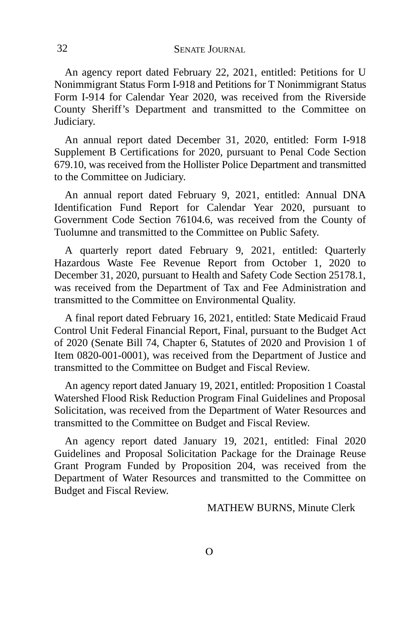An agency report dated February 22, 2021, entitled: Petitions for U Nonimmigrant Status Form I-918 and Petitions for T Nonimmigrant Status Form I-914 for Calendar Year 2020, was received from the Riverside County Sheriff's Department and transmitted to the Committee on Judiciary.

An annual report dated December 31, 2020, entitled: Form I-918 Supplement B Certifications for 2020, pursuant to Penal Code Section 679.10, was received from the Hollister Police Department and transmitted to the Committee on Judiciary.

An annual report dated February 9, 2021, entitled: Annual DNA Identification Fund Report for Calendar Year 2020, pursuant to Government Code Section 76104.6, was received from the County of Tuolumne and transmitted to the Committee on Public Safety.

A quarterly report dated February 9, 2021, entitled: Quarterly Hazardous Waste Fee Revenue Report from October 1, 2020 to December 31, 2020, pursuant to Health and Safety Code Section 25178.1, was received from the Department of Tax and Fee Administration and transmitted to the Committee on Environmental Quality.

A final report dated February 16, 2021, entitled: State Medicaid Fraud Control Unit Federal Financial Report, Final, pursuant to the Budget Act of 2020 (Senate Bill 74, Chapter 6, Statutes of 2020 and Provision 1 of Item 0820-001-0001), was received from the Department of Justice and transmitted to the Committee on Budget and Fiscal Review.

An agency report dated January 19, 2021, entitled: Proposition 1 Coastal Watershed Flood Risk Reduction Program Final Guidelines and Proposal Solicitation, was received from the Department of Water Resources and transmitted to the Committee on Budget and Fiscal Review.

An agency report dated January 19, 2021, entitled: Final 2020 Guidelines and Proposal Solicitation Package for the Drainage Reuse Grant Program Funded by Proposition 204, was received from the Department of Water Resources and transmitted to the Committee on Budget and Fiscal Review.

MATHEW BURNS, Minute Clerk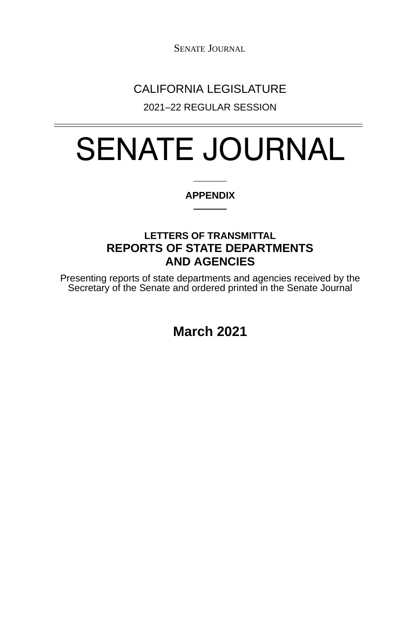SENATE JOURNAL

## CALIFORNIA LEGISLATURE

2021–22 REGULAR SESSION

# SENATE JOURNAL

#### **APPENDIX**

### **LETTERS OF TRANSMITTAL REPORTS OF STATE DEPARTMENTS AND AGENCIES**

Presenting reports of state departments and agencies received by the Secretary of the Senate and ordered printed in the Senate Journal

**March 2021**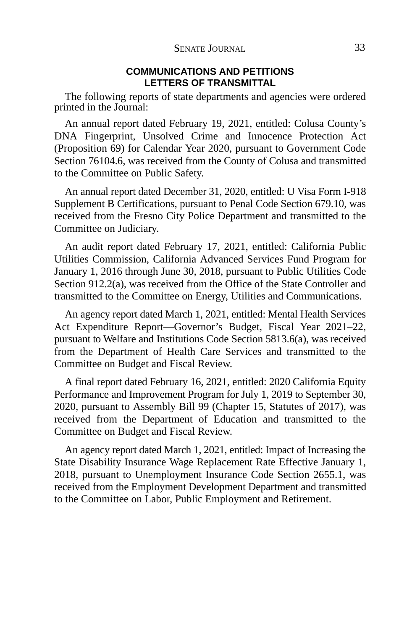#### **COMMUNICATIONS AND PETITIONS LETTERS OF TRANSMITTAL**

The following reports of state departments and agencies were ordered printed in the Journal:

An annual report dated February 19, 2021, entitled: Colusa County's DNA Fingerprint, Unsolved Crime and Innocence Protection Act (Proposition 69) for Calendar Year 2020, pursuant to Government Code Section 76104.6, was received from the County of Colusa and transmitted to the Committee on Public Safety.

An annual report dated December 31, 2020, entitled: U Visa Form I-918 Supplement B Certifications, pursuant to Penal Code Section 679.10, was received from the Fresno City Police Department and transmitted to the Committee on Judiciary.

An audit report dated February 17, 2021, entitled: California Public Utilities Commission, California Advanced Services Fund Program for January 1, 2016 through June 30, 2018, pursuant to Public Utilities Code Section 912.2(a), was received from the Office of the State Controller and transmitted to the Committee on Energy, Utilities and Communications.

An agency report dated March 1, 2021, entitled: Mental Health Services Act Expenditure Report—Governor's Budget, Fiscal Year 2021–22, pursuant to Welfare and Institutions Code Section 5813.6(a), was received from the Department of Health Care Services and transmitted to the Committee on Budget and Fiscal Review.

A final report dated February 16, 2021, entitled: 2020 California Equity Performance and Improvement Program for July 1, 2019 to September 30, 2020, pursuant to Assembly Bill 99 (Chapter 15, Statutes of 2017), was received from the Department of Education and transmitted to the Committee on Budget and Fiscal Review.

An agency report dated March 1, 2021, entitled: Impact of Increasing the State Disability Insurance Wage Replacement Rate Effective January 1, 2018, pursuant to Unemployment Insurance Code Section 2655.1, was received from the Employment Development Department and transmitted to the Committee on Labor, Public Employment and Retirement.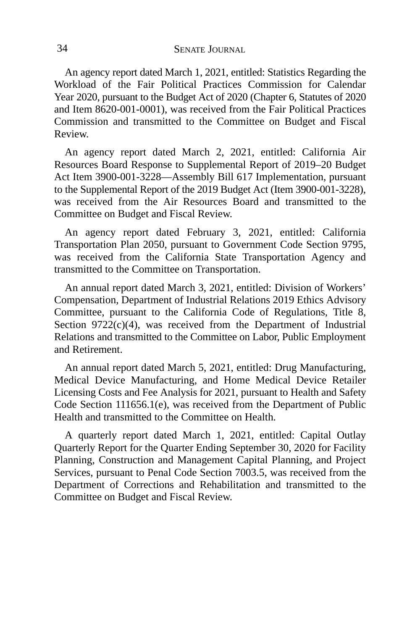An agency report dated March 1, 2021, entitled: Statistics Regarding the Workload of the Fair Political Practices Commission for Calendar Year 2020, pursuant to the Budget Act of 2020 (Chapter 6, Statutes of 2020 and Item 8620-001-0001), was received from the Fair Political Practices Commission and transmitted to the Committee on Budget and Fiscal Review.

An agency report dated March 2, 2021, entitled: California Air Resources Board Response to Supplemental Report of 2019–20 Budget Act Item 3900-001-3228—Assembly Bill 617 Implementation, pursuant to the Supplemental Report of the 2019 Budget Act (Item 3900-001-3228), was received from the Air Resources Board and transmitted to the Committee on Budget and Fiscal Review.

An agency report dated February 3, 2021, entitled: California Transportation Plan 2050, pursuant to Government Code Section 9795, was received from the California State Transportation Agency and transmitted to the Committee on Transportation.

An annual report dated March 3, 2021, entitled: Division of Workers' Compensation, Department of Industrial Relations 2019 Ethics Advisory Committee, pursuant to the California Code of Regulations, Title 8, Section  $9722(c)(4)$ , was received from the Department of Industrial Relations and transmitted to the Committee on Labor, Public Employment and Retirement.

An annual report dated March 5, 2021, entitled: Drug Manufacturing, Medical Device Manufacturing, and Home Medical Device Retailer Licensing Costs and Fee Analysis for 2021, pursuant to Health and Safety Code Section 111656.1(e), was received from the Department of Public Health and transmitted to the Committee on Health.

A quarterly report dated March 1, 2021, entitled: Capital Outlay Quarterly Report for the Quarter Ending September 30, 2020 for Facility Planning, Construction and Management Capital Planning, and Project Services, pursuant to Penal Code Section 7003.5, was received from the Department of Corrections and Rehabilitation and transmitted to the Committee on Budget and Fiscal Review.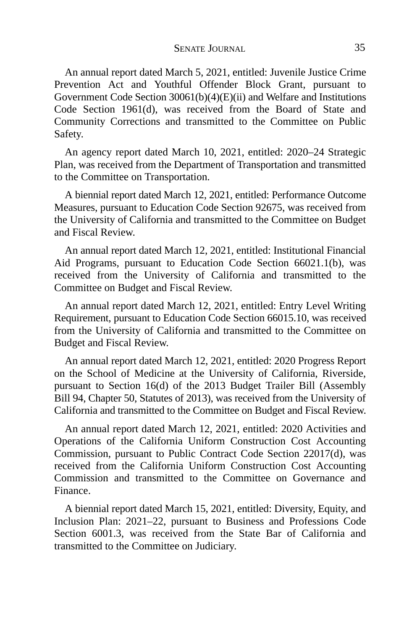An annual report dated March 5, 2021, entitled: Juvenile Justice Crime Prevention Act and Youthful Offender Block Grant, pursuant to Government Code Section 30061(b)(4)(E)(ii) and Welfare and Institutions Code Section 1961(d), was received from the Board of State and Community Corrections and transmitted to the Committee on Public Safety.

An agency report dated March 10, 2021, entitled: 2020–24 Strategic Plan, was received from the Department of Transportation and transmitted to the Committee on Transportation.

A biennial report dated March 12, 2021, entitled: Performance Outcome Measures, pursuant to Education Code Section 92675, was received from the University of California and transmitted to the Committee on Budget and Fiscal Review.

An annual report dated March 12, 2021, entitled: Institutional Financial Aid Programs, pursuant to Education Code Section 66021.1(b), was received from the University of California and transmitted to the Committee on Budget and Fiscal Review.

An annual report dated March 12, 2021, entitled: Entry Level Writing Requirement, pursuant to Education Code Section 66015.10, was received from the University of California and transmitted to the Committee on Budget and Fiscal Review.

An annual report dated March 12, 2021, entitled: 2020 Progress Report on the School of Medicine at the University of California, Riverside, pursuant to Section 16(d) of the 2013 Budget Trailer Bill (Assembly Bill 94, Chapter 50, Statutes of 2013), was received from the University of California and transmitted to the Committee on Budget and Fiscal Review.

An annual report dated March 12, 2021, entitled: 2020 Activities and Operations of the California Uniform Construction Cost Accounting Commission, pursuant to Public Contract Code Section 22017(d), was received from the California Uniform Construction Cost Accounting Commission and transmitted to the Committee on Governance and Finance.

A biennial report dated March 15, 2021, entitled: Diversity, Equity, and Inclusion Plan: 2021–22, pursuant to Business and Professions Code Section 6001.3, was received from the State Bar of California and transmitted to the Committee on Judiciary.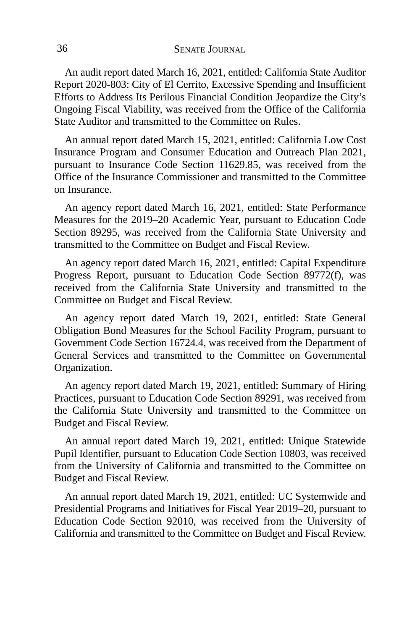An audit report dated March 16, 2021, entitled: California State Auditor Report 2020-803: City of El Cerrito, Excessive Spending and Insufficient Efforts to Address Its Perilous Financial Condition Jeopardize the City's Ongoing Fiscal Viability, was received from the Office of the California State Auditor and transmitted to the Committee on Rules.

An annual report dated March 15, 2021, entitled: California Low Cost Insurance Program and Consumer Education and Outreach Plan 2021, pursuant to Insurance Code Section 11629.85, was received from the Office of the Insurance Commissioner and transmitted to the Committee on Insurance.

An agency report dated March 16, 2021, entitled: State Performance Measures for the 2019–20 Academic Year, pursuant to Education Code Section 89295, was received from the California State University and transmitted to the Committee on Budget and Fiscal Review.

An agency report dated March 16, 2021, entitled: Capital Expenditure Progress Report, pursuant to Education Code Section 89772(f), was received from the California State University and transmitted to the Committee on Budget and Fiscal Review.

An agency report dated March 19, 2021, entitled: State General Obligation Bond Measures for the School Facility Program, pursuant to Government Code Section 16724.4, was received from the Department of General Services and transmitted to the Committee on Governmental Organization.

An agency report dated March 19, 2021, entitled: Summary of Hiring Practices, pursuant to Education Code Section 89291, was received from the California State University and transmitted to the Committee on Budget and Fiscal Review.

An annual report dated March 19, 2021, entitled: Unique Statewide Pupil Identifier, pursuant to Education Code Section 10803, was received from the University of California and transmitted to the Committee on Budget and Fiscal Review.

An annual report dated March 19, 2021, entitled: UC Systemwide and Presidential Programs and Initiatives for Fiscal Year 2019–20, pursuant to Education Code Section 92010, was received from the University of California and transmitted to the Committee on Budget and Fiscal Review.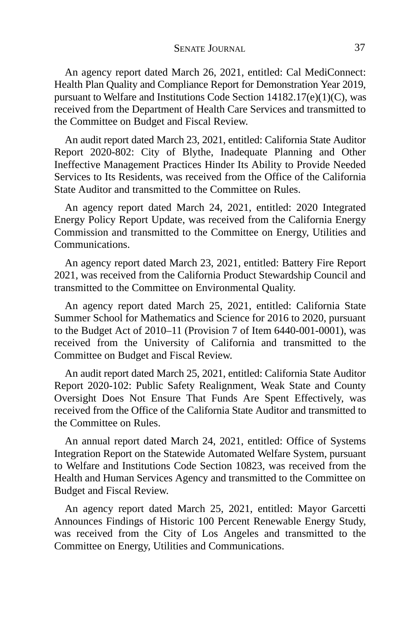An agency report dated March 26, 2021, entitled: Cal MediConnect: Health Plan Quality and Compliance Report for Demonstration Year 2019, pursuant to Welfare and Institutions Code Section 14182.17(e)(1)(C), was received from the Department of Health Care Services and transmitted to the Committee on Budget and Fiscal Review.

An audit report dated March 23, 2021, entitled: California State Auditor Report 2020-802: City of Blythe, Inadequate Planning and Other Ineffective Management Practices Hinder Its Ability to Provide Needed Services to Its Residents, was received from the Office of the California State Auditor and transmitted to the Committee on Rules.

An agency report dated March 24, 2021, entitled: 2020 Integrated Energy Policy Report Update, was received from the California Energy Commission and transmitted to the Committee on Energy, Utilities and Communications.

An agency report dated March 23, 2021, entitled: Battery Fire Report 2021, was received from the California Product Stewardship Council and transmitted to the Committee on Environmental Quality.

An agency report dated March 25, 2021, entitled: California State Summer School for Mathematics and Science for 2016 to 2020, pursuant to the Budget Act of 2010–11 (Provision 7 of Item 6440-001-0001), was received from the University of California and transmitted to the Committee on Budget and Fiscal Review.

An audit report dated March 25, 2021, entitled: California State Auditor Report 2020-102: Public Safety Realignment, Weak State and County Oversight Does Not Ensure That Funds Are Spent Effectively, was received from the Office of the California State Auditor and transmitted to the Committee on Rules.

An annual report dated March 24, 2021, entitled: Office of Systems Integration Report on the Statewide Automated Welfare System, pursuant to Welfare and Institutions Code Section 10823, was received from the Health and Human Services Agency and transmitted to the Committee on Budget and Fiscal Review.

An agency report dated March 25, 2021, entitled: Mayor Garcetti Announces Findings of Historic 100 Percent Renewable Energy Study, was received from the City of Los Angeles and transmitted to the Committee on Energy, Utilities and Communications.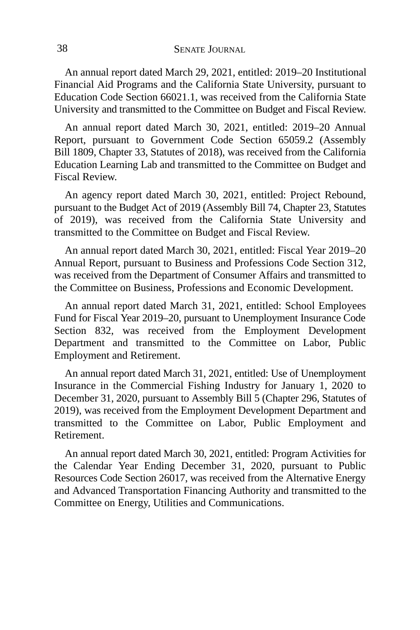An annual report dated March 29, 2021, entitled: 2019–20 Institutional Financial Aid Programs and the California State University, pursuant to Education Code Section 66021.1, was received from the California State University and transmitted to the Committee on Budget and Fiscal Review.

An annual report dated March 30, 2021, entitled: 2019–20 Annual Report, pursuant to Government Code Section 65059.2 (Assembly Bill 1809, Chapter 33, Statutes of 2018), was received from the California Education Learning Lab and transmitted to the Committee on Budget and Fiscal Review.

An agency report dated March 30, 2021, entitled: Project Rebound, pursuant to the Budget Act of 2019 (Assembly Bill 74, Chapter 23, Statutes of 2019), was received from the California State University and transmitted to the Committee on Budget and Fiscal Review.

An annual report dated March 30, 2021, entitled: Fiscal Year 2019–20 Annual Report, pursuant to Business and Professions Code Section 312, was received from the Department of Consumer Affairs and transmitted to the Committee on Business, Professions and Economic Development.

An annual report dated March 31, 2021, entitled: School Employees Fund for Fiscal Year 2019–20, pursuant to Unemployment Insurance Code Section 832, was received from the Employment Development Department and transmitted to the Committee on Labor, Public Employment and Retirement.

An annual report dated March 31, 2021, entitled: Use of Unemployment Insurance in the Commercial Fishing Industry for January 1, 2020 to December 31, 2020, pursuant to Assembly Bill 5 (Chapter 296, Statutes of 2019), was received from the Employment Development Department and transmitted to the Committee on Labor, Public Employment and Retirement.

An annual report dated March 30, 2021, entitled: Program Activities for the Calendar Year Ending December 31, 2020, pursuant to Public Resources Code Section 26017, was received from the Alternative Energy and Advanced Transportation Financing Authority and transmitted to the Committee on Energy, Utilities and Communications.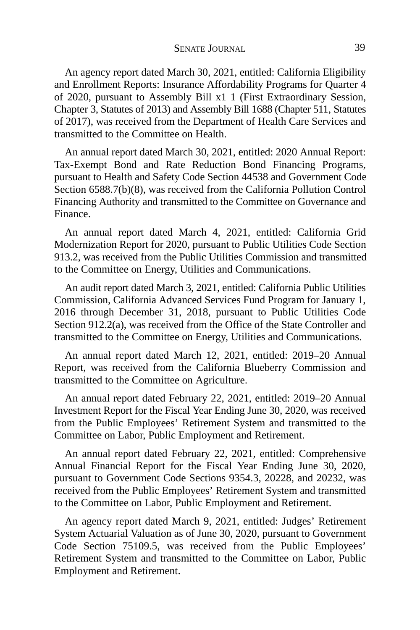An agency report dated March 30, 2021, entitled: California Eligibility and Enrollment Reports: Insurance Affordability Programs for Quarter 4 of 2020, pursuant to Assembly Bill x1 1 (First Extraordinary Session, Chapter 3, Statutes of 2013) and Assembly Bill 1688 (Chapter 511, Statutes of 2017), was received from the Department of Health Care Services and transmitted to the Committee on Health.

An annual report dated March 30, 2021, entitled: 2020 Annual Report: Tax-Exempt Bond and Rate Reduction Bond Financing Programs, pursuant to Health and Safety Code Section 44538 and Government Code Section 6588.7(b)(8), was received from the California Pollution Control Financing Authority and transmitted to the Committee on Governance and Finance.

An annual report dated March 4, 2021, entitled: California Grid Modernization Report for 2020, pursuant to Public Utilities Code Section 913.2, was received from the Public Utilities Commission and transmitted to the Committee on Energy, Utilities and Communications.

An audit report dated March 3, 2021, entitled: California Public Utilities Commission, California Advanced Services Fund Program for January 1, 2016 through December 31, 2018, pursuant to Public Utilities Code Section 912.2(a), was received from the Office of the State Controller and transmitted to the Committee on Energy, Utilities and Communications.

An annual report dated March 12, 2021, entitled: 2019–20 Annual Report, was received from the California Blueberry Commission and transmitted to the Committee on Agriculture.

An annual report dated February 22, 2021, entitled: 2019–20 Annual Investment Report for the Fiscal Year Ending June 30, 2020, was received from the Public Employees' Retirement System and transmitted to the Committee on Labor, Public Employment and Retirement.

An annual report dated February 22, 2021, entitled: Comprehensive Annual Financial Report for the Fiscal Year Ending June 30, 2020, pursuant to Government Code Sections 9354.3, 20228, and 20232, was received from the Public Employees' Retirement System and transmitted to the Committee on Labor, Public Employment and Retirement.

An agency report dated March 9, 2021, entitled: Judges' Retirement System Actuarial Valuation as of June 30, 2020, pursuant to Government Code Section 75109.5, was received from the Public Employees' Retirement System and transmitted to the Committee on Labor, Public Employment and Retirement.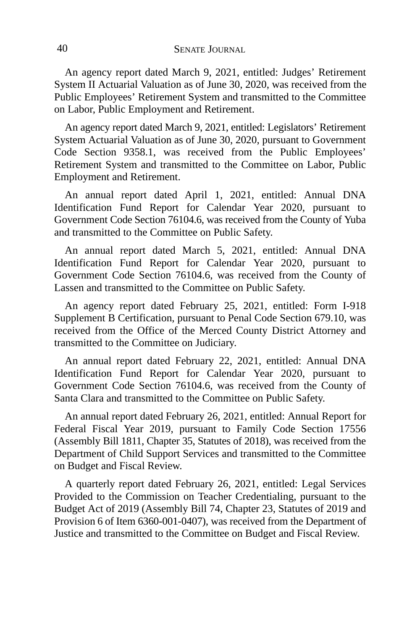An agency report dated March 9, 2021, entitled: Judges' Retirement System II Actuarial Valuation as of June 30, 2020, was received from the Public Employees' Retirement System and transmitted to the Committee on Labor, Public Employment and Retirement.

An agency report dated March 9, 2021, entitled: Legislators' Retirement System Actuarial Valuation as of June 30, 2020, pursuant to Government Code Section 9358.1, was received from the Public Employees' Retirement System and transmitted to the Committee on Labor, Public Employment and Retirement.

An annual report dated April 1, 2021, entitled: Annual DNA Identification Fund Report for Calendar Year 2020, pursuant to Government Code Section 76104.6, was received from the County of Yuba and transmitted to the Committee on Public Safety.

An annual report dated March 5, 2021, entitled: Annual DNA Identification Fund Report for Calendar Year 2020, pursuant to Government Code Section 76104.6, was received from the County of Lassen and transmitted to the Committee on Public Safety.

An agency report dated February 25, 2021, entitled: Form I-918 Supplement B Certification, pursuant to Penal Code Section 679.10, was received from the Office of the Merced County District Attorney and transmitted to the Committee on Judiciary.

An annual report dated February 22, 2021, entitled: Annual DNA Identification Fund Report for Calendar Year 2020, pursuant to Government Code Section 76104.6, was received from the County of Santa Clara and transmitted to the Committee on Public Safety.

An annual report dated February 26, 2021, entitled: Annual Report for Federal Fiscal Year 2019, pursuant to Family Code Section 17556 (Assembly Bill 1811, Chapter 35, Statutes of 2018), was received from the Department of Child Support Services and transmitted to the Committee on Budget and Fiscal Review.

A quarterly report dated February 26, 2021, entitled: Legal Services Provided to the Commission on Teacher Credentialing, pursuant to the Budget Act of 2019 (Assembly Bill 74, Chapter 23, Statutes of 2019 and Provision 6 of Item 6360-001-0407), was received from the Department of Justice and transmitted to the Committee on Budget and Fiscal Review.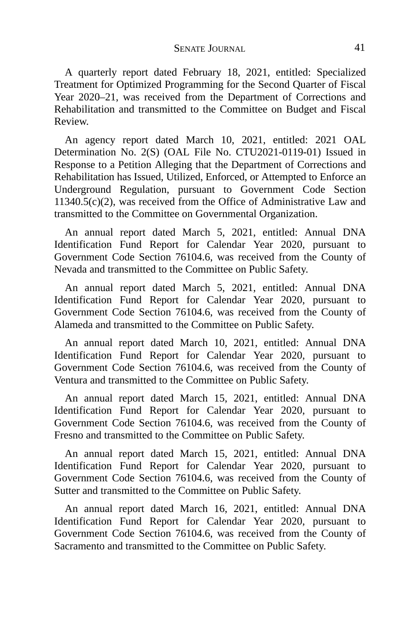A quarterly report dated February 18, 2021, entitled: Specialized Treatment for Optimized Programming for the Second Quarter of Fiscal Year 2020–21, was received from the Department of Corrections and Rehabilitation and transmitted to the Committee on Budget and Fiscal Review.

An agency report dated March 10, 2021, entitled: 2021 OAL Determination No. 2(S) (OAL File No. CTU2021-0119-01) Issued in Response to a Petition Alleging that the Department of Corrections and Rehabilitation has Issued, Utilized, Enforced, or Attempted to Enforce an Underground Regulation, pursuant to Government Code Section  $11340.5(c)(2)$ , was received from the Office of Administrative Law and transmitted to the Committee on Governmental Organization.

An annual report dated March 5, 2021, entitled: Annual DNA Identification Fund Report for Calendar Year 2020, pursuant to Government Code Section 76104.6, was received from the County of Nevada and transmitted to the Committee on Public Safety.

An annual report dated March 5, 2021, entitled: Annual DNA Identification Fund Report for Calendar Year 2020, pursuant to Government Code Section 76104.6, was received from the County of Alameda and transmitted to the Committee on Public Safety.

An annual report dated March 10, 2021, entitled: Annual DNA Identification Fund Report for Calendar Year 2020, pursuant to Government Code Section 76104.6, was received from the County of Ventura and transmitted to the Committee on Public Safety.

An annual report dated March 15, 2021, entitled: Annual DNA Identification Fund Report for Calendar Year 2020, pursuant to Government Code Section 76104.6, was received from the County of Fresno and transmitted to the Committee on Public Safety.

An annual report dated March 15, 2021, entitled: Annual DNA Identification Fund Report for Calendar Year 2020, pursuant to Government Code Section 76104.6, was received from the County of Sutter and transmitted to the Committee on Public Safety.

An annual report dated March 16, 2021, entitled: Annual DNA Identification Fund Report for Calendar Year 2020, pursuant to Government Code Section 76104.6, was received from the County of Sacramento and transmitted to the Committee on Public Safety.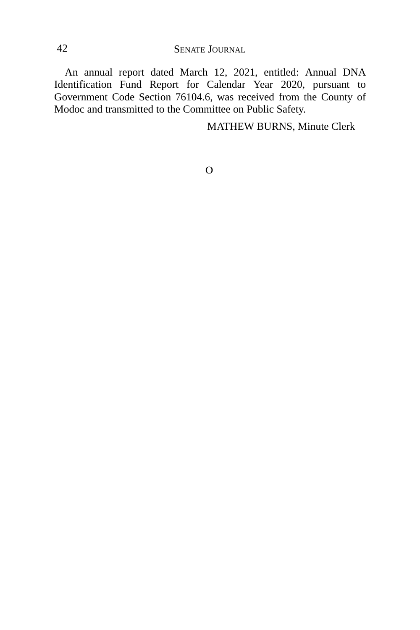42 SENATE JOURNAL

An annual report dated March 12, 2021, entitled: Annual DNA Identification Fund Report for Calendar Year 2020, pursuant to Government Code Section 76104.6, was received from the County of Modoc and transmitted to the Committee on Public Safety.

MATHEW BURNS, Minute Clerk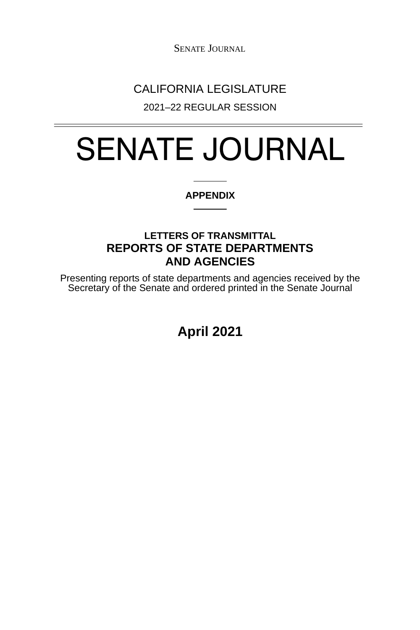SENATE JOURNAL

## CALIFORNIA LEGISLATURE

2021–22 REGULAR SESSION

# SENATE JOURNAL

#### **APPENDIX**

### **LETTERS OF TRANSMITTAL REPORTS OF STATE DEPARTMENTS AND AGENCIES**

Presenting reports of state departments and agencies received by the Secretary of the Senate and ordered printed in the Senate Journal

**April 2021**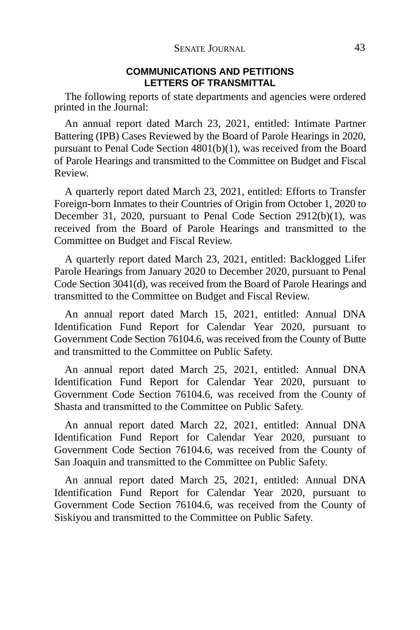#### **COMMUNICATIONS AND PETITIONS LETTERS OF TRANSMITTAL**

The following reports of state departments and agencies were ordered printed in the Journal:

An annual report dated March 23, 2021, entitled: Intimate Partner Battering (IPB) Cases Reviewed by the Board of Parole Hearings in 2020, pursuant to Penal Code Section 4801(b)(1), was received from the Board of Parole Hearings and transmitted to the Committee on Budget and Fiscal Review.

A quarterly report dated March 23, 2021, entitled: Efforts to Transfer Foreign-born Inmates to their Countries of Origin from October 1, 2020 to December 31, 2020, pursuant to Penal Code Section 2912(b)(1), was received from the Board of Parole Hearings and transmitted to the Committee on Budget and Fiscal Review.

A quarterly report dated March 23, 2021, entitled: Backlogged Lifer Parole Hearings from January 2020 to December 2020, pursuant to Penal Code Section 3041(d), was received from the Board of Parole Hearings and transmitted to the Committee on Budget and Fiscal Review.

An annual report dated March 15, 2021, entitled: Annual DNA Identification Fund Report for Calendar Year 2020, pursuant to Government Code Section 76104.6, was received from the County of Butte and transmitted to the Committee on Public Safety.

An annual report dated March 25, 2021, entitled: Annual DNA Identification Fund Report for Calendar Year 2020, pursuant to Government Code Section 76104.6, was received from the County of Shasta and transmitted to the Committee on Public Safety.

An annual report dated March 22, 2021, entitled: Annual DNA Identification Fund Report for Calendar Year 2020, pursuant to Government Code Section 76104.6, was received from the County of San Joaquin and transmitted to the Committee on Public Safety.

An annual report dated March 25, 2021, entitled: Annual DNA Identification Fund Report for Calendar Year 2020, pursuant to Government Code Section 76104.6, was received from the County of Siskiyou and transmitted to the Committee on Public Safety.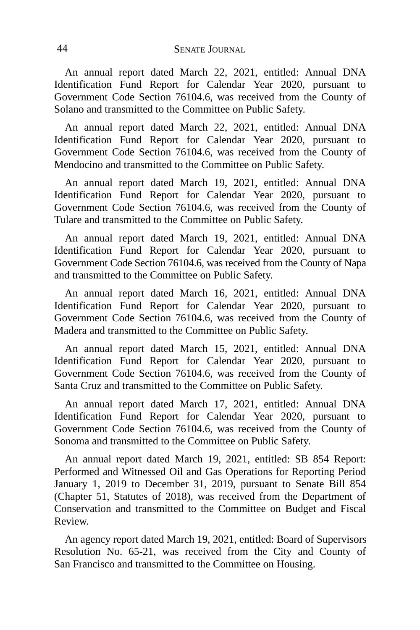An annual report dated March 22, 2021, entitled: Annual DNA Identification Fund Report for Calendar Year 2020, pursuant to Government Code Section 76104.6, was received from the County of Solano and transmitted to the Committee on Public Safety.

An annual report dated March 22, 2021, entitled: Annual DNA Identification Fund Report for Calendar Year 2020, pursuant to Government Code Section 76104.6, was received from the County of Mendocino and transmitted to the Committee on Public Safety.

An annual report dated March 19, 2021, entitled: Annual DNA Identification Fund Report for Calendar Year 2020, pursuant to Government Code Section 76104.6, was received from the County of Tulare and transmitted to the Committee on Public Safety.

An annual report dated March 19, 2021, entitled: Annual DNA Identification Fund Report for Calendar Year 2020, pursuant to Government Code Section 76104.6, was received from the County of Napa and transmitted to the Committee on Public Safety.

An annual report dated March 16, 2021, entitled: Annual DNA Identification Fund Report for Calendar Year 2020, pursuant to Government Code Section 76104.6, was received from the County of Madera and transmitted to the Committee on Public Safety.

An annual report dated March 15, 2021, entitled: Annual DNA Identification Fund Report for Calendar Year 2020, pursuant to Government Code Section 76104.6, was received from the County of Santa Cruz and transmitted to the Committee on Public Safety.

An annual report dated March 17, 2021, entitled: Annual DNA Identification Fund Report for Calendar Year 2020, pursuant to Government Code Section 76104.6, was received from the County of Sonoma and transmitted to the Committee on Public Safety.

An annual report dated March 19, 2021, entitled: SB 854 Report: Performed and Witnessed Oil and Gas Operations for Reporting Period January 1, 2019 to December 31, 2019, pursuant to Senate Bill 854 (Chapter 51, Statutes of 2018), was received from the Department of Conservation and transmitted to the Committee on Budget and Fiscal Review.

An agency report dated March 19, 2021, entitled: Board of Supervisors Resolution No. 65-21, was received from the City and County of San Francisco and transmitted to the Committee on Housing.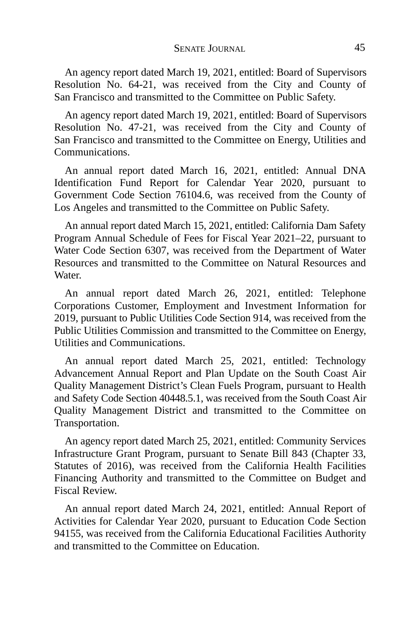An agency report dated March 19, 2021, entitled: Board of Supervisors Resolution No. 64-21, was received from the City and County of San Francisco and transmitted to the Committee on Public Safety.

An agency report dated March 19, 2021, entitled: Board of Supervisors Resolution No. 47-21, was received from the City and County of San Francisco and transmitted to the Committee on Energy, Utilities and Communications.

An annual report dated March 16, 2021, entitled: Annual DNA Identification Fund Report for Calendar Year 2020, pursuant to Government Code Section 76104.6, was received from the County of Los Angeles and transmitted to the Committee on Public Safety.

An annual report dated March 15, 2021, entitled: California Dam Safety Program Annual Schedule of Fees for Fiscal Year 2021–22, pursuant to Water Code Section 6307, was received from the Department of Water Resources and transmitted to the Committee on Natural Resources and **Water** 

An annual report dated March 26, 2021, entitled: Telephone Corporations Customer, Employment and Investment Information for 2019, pursuant to Public Utilities Code Section 914, was received from the Public Utilities Commission and transmitted to the Committee on Energy, Utilities and Communications.

An annual report dated March 25, 2021, entitled: Technology Advancement Annual Report and Plan Update on the South Coast Air Quality Management District's Clean Fuels Program, pursuant to Health and Safety Code Section 40448.5.1, was received from the South Coast Air Quality Management District and transmitted to the Committee on Transportation.

An agency report dated March 25, 2021, entitled: Community Services Infrastructure Grant Program, pursuant to Senate Bill 843 (Chapter 33, Statutes of 2016), was received from the California Health Facilities Financing Authority and transmitted to the Committee on Budget and Fiscal Review.

An annual report dated March 24, 2021, entitled: Annual Report of Activities for Calendar Year 2020, pursuant to Education Code Section 94155, was received from the California Educational Facilities Authority and transmitted to the Committee on Education.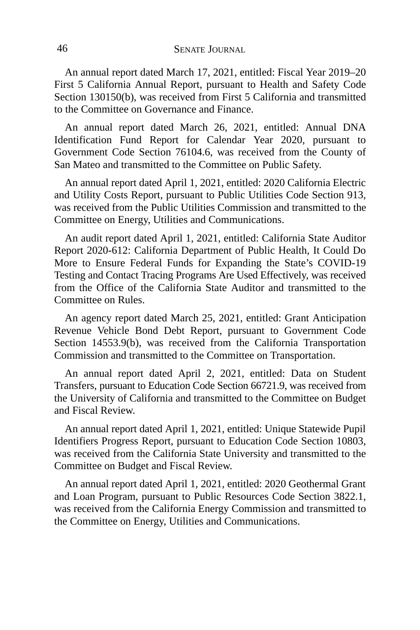An annual report dated March 17, 2021, entitled: Fiscal Year 2019–20 First 5 California Annual Report, pursuant to Health and Safety Code Section 130150(b), was received from First 5 California and transmitted to the Committee on Governance and Finance.

An annual report dated March 26, 2021, entitled: Annual DNA Identification Fund Report for Calendar Year 2020, pursuant to Government Code Section 76104.6, was received from the County of San Mateo and transmitted to the Committee on Public Safety.

An annual report dated April 1, 2021, entitled: 2020 California Electric and Utility Costs Report, pursuant to Public Utilities Code Section 913, was received from the Public Utilities Commission and transmitted to the Committee on Energy, Utilities and Communications.

An audit report dated April 1, 2021, entitled: California State Auditor Report 2020-612: California Department of Public Health, It Could Do More to Ensure Federal Funds for Expanding the State's COVID-19 Testing and Contact Tracing Programs Are Used Effectively, was received from the Office of the California State Auditor and transmitted to the Committee on Rules.

An agency report dated March 25, 2021, entitled: Grant Anticipation Revenue Vehicle Bond Debt Report, pursuant to Government Code Section 14553.9(b), was received from the California Transportation Commission and transmitted to the Committee on Transportation.

An annual report dated April 2, 2021, entitled: Data on Student Transfers, pursuant to Education Code Section 66721.9, was received from the University of California and transmitted to the Committee on Budget and Fiscal Review.

An annual report dated April 1, 2021, entitled: Unique Statewide Pupil Identifiers Progress Report, pursuant to Education Code Section 10803, was received from the California State University and transmitted to the Committee on Budget and Fiscal Review.

An annual report dated April 1, 2021, entitled: 2020 Geothermal Grant and Loan Program, pursuant to Public Resources Code Section 3822.1, was received from the California Energy Commission and transmitted to the Committee on Energy, Utilities and Communications.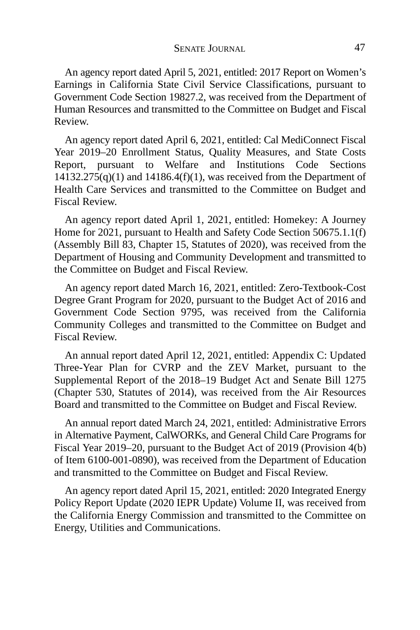An agency report dated April 5, 2021, entitled: 2017 Report on Women's Earnings in California State Civil Service Classifications, pursuant to Government Code Section 19827.2, was received from the Department of Human Resources and transmitted to the Committee on Budget and Fiscal Review.

An agency report dated April 6, 2021, entitled: Cal MediConnect Fiscal Year 2019–20 Enrollment Status, Quality Measures, and State Costs Report, pursuant to Welfare and Institutions Code Sections  $14132.275(q)(1)$  and  $14186.4(f)(1)$ , was received from the Department of Health Care Services and transmitted to the Committee on Budget and Fiscal Review.

An agency report dated April 1, 2021, entitled: Homekey: A Journey Home for 2021, pursuant to Health and Safety Code Section 50675.1.1(f) (Assembly Bill 83, Chapter 15, Statutes of 2020), was received from the Department of Housing and Community Development and transmitted to the Committee on Budget and Fiscal Review.

An agency report dated March 16, 2021, entitled: Zero-Textbook-Cost Degree Grant Program for 2020, pursuant to the Budget Act of 2016 and Government Code Section 9795, was received from the California Community Colleges and transmitted to the Committee on Budget and Fiscal Review.

An annual report dated April 12, 2021, entitled: Appendix C: Updated Three-Year Plan for CVRP and the ZEV Market, pursuant to the Supplemental Report of the 2018–19 Budget Act and Senate Bill 1275 (Chapter 530, Statutes of 2014), was received from the Air Resources Board and transmitted to the Committee on Budget and Fiscal Review.

An annual report dated March 24, 2021, entitled: Administrative Errors in Alternative Payment, CalWORKs, and General Child Care Programs for Fiscal Year 2019–20, pursuant to the Budget Act of 2019 (Provision 4(b) of Item 6100-001-0890), was received from the Department of Education and transmitted to the Committee on Budget and Fiscal Review.

An agency report dated April 15, 2021, entitled: 2020 Integrated Energy Policy Report Update (2020 IEPR Update) Volume II, was received from the California Energy Commission and transmitted to the Committee on Energy, Utilities and Communications.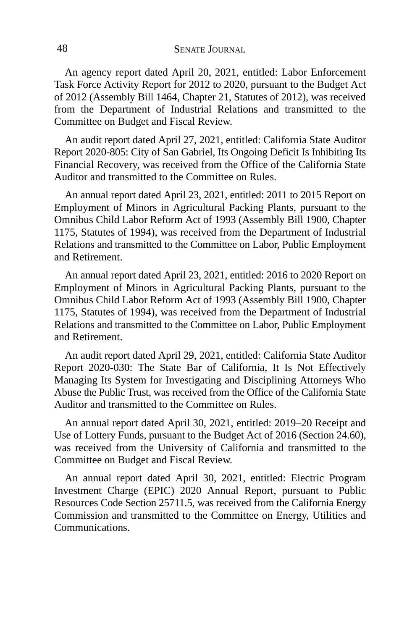An agency report dated April 20, 2021, entitled: Labor Enforcement Task Force Activity Report for 2012 to 2020, pursuant to the Budget Act of 2012 (Assembly Bill 1464, Chapter 21, Statutes of 2012), was received from the Department of Industrial Relations and transmitted to the Committee on Budget and Fiscal Review.

An audit report dated April 27, 2021, entitled: California State Auditor Report 2020-805: City of San Gabriel, Its Ongoing Deficit Is Inhibiting Its Financial Recovery, was received from the Office of the California State Auditor and transmitted to the Committee on Rules.

An annual report dated April 23, 2021, entitled: 2011 to 2015 Report on Employment of Minors in Agricultural Packing Plants, pursuant to the Omnibus Child Labor Reform Act of 1993 (Assembly Bill 1900, Chapter 1175, Statutes of 1994), was received from the Department of Industrial Relations and transmitted to the Committee on Labor, Public Employment and Retirement.

An annual report dated April 23, 2021, entitled: 2016 to 2020 Report on Employment of Minors in Agricultural Packing Plants, pursuant to the Omnibus Child Labor Reform Act of 1993 (Assembly Bill 1900, Chapter 1175, Statutes of 1994), was received from the Department of Industrial Relations and transmitted to the Committee on Labor, Public Employment and Retirement.

An audit report dated April 29, 2021, entitled: California State Auditor Report 2020-030: The State Bar of California, It Is Not Effectively Managing Its System for Investigating and Disciplining Attorneys Who Abuse the Public Trust, was received from the Office of the California State Auditor and transmitted to the Committee on Rules.

An annual report dated April 30, 2021, entitled: 2019–20 Receipt and Use of Lottery Funds, pursuant to the Budget Act of 2016 (Section 24.60), was received from the University of California and transmitted to the Committee on Budget and Fiscal Review.

An annual report dated April 30, 2021, entitled: Electric Program Investment Charge (EPIC) 2020 Annual Report, pursuant to Public Resources Code Section 25711.5, was received from the California Energy Commission and transmitted to the Committee on Energy, Utilities and Communications.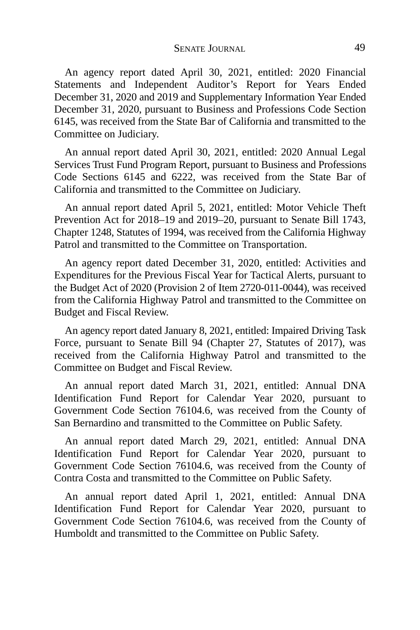An agency report dated April 30, 2021, entitled: 2020 Financial Statements and Independent Auditor's Report for Years Ended December 31, 2020 and 2019 and Supplementary Information Year Ended December 31, 2020, pursuant to Business and Professions Code Section 6145, was received from the State Bar of California and transmitted to the Committee on Judiciary.

An annual report dated April 30, 2021, entitled: 2020 Annual Legal Services Trust Fund Program Report, pursuant to Business and Professions Code Sections 6145 and 6222, was received from the State Bar of California and transmitted to the Committee on Judiciary.

An annual report dated April 5, 2021, entitled: Motor Vehicle Theft Prevention Act for 2018–19 and 2019–20, pursuant to Senate Bill 1743, Chapter 1248, Statutes of 1994, was received from the California Highway Patrol and transmitted to the Committee on Transportation.

An agency report dated December 31, 2020, entitled: Activities and Expenditures for the Previous Fiscal Year for Tactical Alerts, pursuant to the Budget Act of 2020 (Provision 2 of Item 2720-011-0044), was received from the California Highway Patrol and transmitted to the Committee on Budget and Fiscal Review.

An agency report dated January 8, 2021, entitled: Impaired Driving Task Force, pursuant to Senate Bill 94 (Chapter 27, Statutes of 2017), was received from the California Highway Patrol and transmitted to the Committee on Budget and Fiscal Review.

An annual report dated March 31, 2021, entitled: Annual DNA Identification Fund Report for Calendar Year 2020, pursuant to Government Code Section 76104.6, was received from the County of San Bernardino and transmitted to the Committee on Public Safety.

An annual report dated March 29, 2021, entitled: Annual DNA Identification Fund Report for Calendar Year 2020, pursuant to Government Code Section 76104.6, was received from the County of Contra Costa and transmitted to the Committee on Public Safety.

An annual report dated April 1, 2021, entitled: Annual DNA Identification Fund Report for Calendar Year 2020, pursuant to Government Code Section 76104.6, was received from the County of Humboldt and transmitted to the Committee on Public Safety.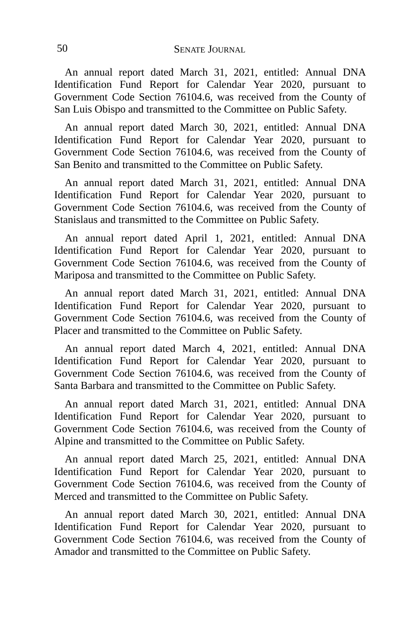An annual report dated March 31, 2021, entitled: Annual DNA Identification Fund Report for Calendar Year 2020, pursuant to Government Code Section 76104.6, was received from the County of San Luis Obispo and transmitted to the Committee on Public Safety.

An annual report dated March 30, 2021, entitled: Annual DNA Identification Fund Report for Calendar Year 2020, pursuant to Government Code Section 76104.6, was received from the County of San Benito and transmitted to the Committee on Public Safety.

An annual report dated March 31, 2021, entitled: Annual DNA Identification Fund Report for Calendar Year 2020, pursuant to Government Code Section 76104.6, was received from the County of Stanislaus and transmitted to the Committee on Public Safety.

An annual report dated April 1, 2021, entitled: Annual DNA Identification Fund Report for Calendar Year 2020, pursuant to Government Code Section 76104.6, was received from the County of Mariposa and transmitted to the Committee on Public Safety.

An annual report dated March 31, 2021, entitled: Annual DNA Identification Fund Report for Calendar Year 2020, pursuant to Government Code Section 76104.6, was received from the County of Placer and transmitted to the Committee on Public Safety.

An annual report dated March 4, 2021, entitled: Annual DNA Identification Fund Report for Calendar Year 2020, pursuant to Government Code Section 76104.6, was received from the County of Santa Barbara and transmitted to the Committee on Public Safety.

An annual report dated March 31, 2021, entitled: Annual DNA Identification Fund Report for Calendar Year 2020, pursuant to Government Code Section 76104.6, was received from the County of Alpine and transmitted to the Committee on Public Safety.

An annual report dated March 25, 2021, entitled: Annual DNA Identification Fund Report for Calendar Year 2020, pursuant to Government Code Section 76104.6, was received from the County of Merced and transmitted to the Committee on Public Safety.

An annual report dated March 30, 2021, entitled: Annual DNA Identification Fund Report for Calendar Year 2020, pursuant to Government Code Section 76104.6, was received from the County of Amador and transmitted to the Committee on Public Safety.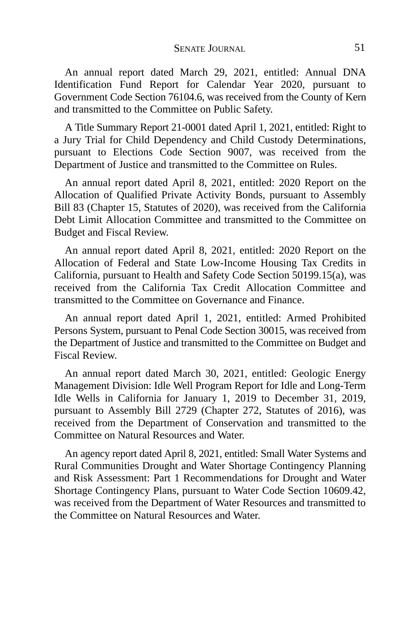An annual report dated March 29, 2021, entitled: Annual DNA Identification Fund Report for Calendar Year 2020, pursuant to Government Code Section 76104.6, was received from the County of Kern and transmitted to the Committee on Public Safety.

A Title Summary Report 21-0001 dated April 1, 2021, entitled: Right to a Jury Trial for Child Dependency and Child Custody Determinations, pursuant to Elections Code Section 9007, was received from the Department of Justice and transmitted to the Committee on Rules.

An annual report dated April 8, 2021, entitled: 2020 Report on the Allocation of Qualified Private Activity Bonds, pursuant to Assembly Bill 83 (Chapter 15, Statutes of 2020), was received from the California Debt Limit Allocation Committee and transmitted to the Committee on Budget and Fiscal Review.

An annual report dated April 8, 2021, entitled: 2020 Report on the Allocation of Federal and State Low-Income Housing Tax Credits in California, pursuant to Health and Safety Code Section 50199.15(a), was received from the California Tax Credit Allocation Committee and transmitted to the Committee on Governance and Finance.

An annual report dated April 1, 2021, entitled: Armed Prohibited Persons System, pursuant to Penal Code Section 30015, was received from the Department of Justice and transmitted to the Committee on Budget and Fiscal Review.

An annual report dated March 30, 2021, entitled: Geologic Energy Management Division: Idle Well Program Report for Idle and Long-Term Idle Wells in California for January 1, 2019 to December 31, 2019, pursuant to Assembly Bill 2729 (Chapter 272, Statutes of 2016), was received from the Department of Conservation and transmitted to the Committee on Natural Resources and Water.

An agency report dated April 8, 2021, entitled: Small Water Systems and Rural Communities Drought and Water Shortage Contingency Planning and Risk Assessment: Part 1 Recommendations for Drought and Water Shortage Contingency Plans, pursuant to Water Code Section 10609.42, was received from the Department of Water Resources and transmitted to the Committee on Natural Resources and Water.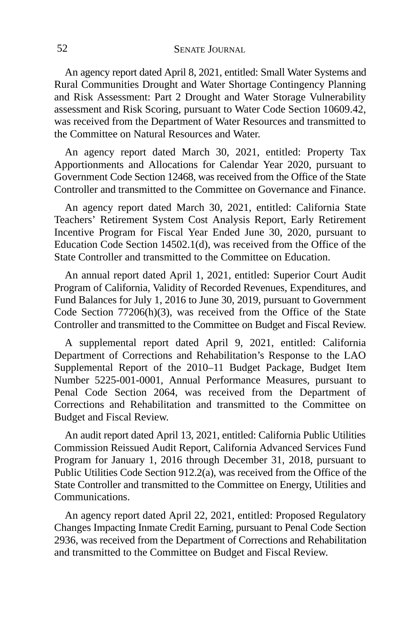An agency report dated April 8, 2021, entitled: Small Water Systems and Rural Communities Drought and Water Shortage Contingency Planning and Risk Assessment: Part 2 Drought and Water Storage Vulnerability assessment and Risk Scoring, pursuant to Water Code Section 10609.42, was received from the Department of Water Resources and transmitted to the Committee on Natural Resources and Water.

An agency report dated March 30, 2021, entitled: Property Tax Apportionments and Allocations for Calendar Year 2020, pursuant to Government Code Section 12468, was received from the Office of the State Controller and transmitted to the Committee on Governance and Finance.

An agency report dated March 30, 2021, entitled: California State Teachers' Retirement System Cost Analysis Report, Early Retirement Incentive Program for Fiscal Year Ended June 30, 2020, pursuant to Education Code Section 14502.1(d), was received from the Office of the State Controller and transmitted to the Committee on Education.

An annual report dated April 1, 2021, entitled: Superior Court Audit Program of California, Validity of Recorded Revenues, Expenditures, and Fund Balances for July 1, 2016 to June 30, 2019, pursuant to Government Code Section 77206(h)(3), was received from the Office of the State Controller and transmitted to the Committee on Budget and Fiscal Review.

A supplemental report dated April 9, 2021, entitled: California Department of Corrections and Rehabilitation's Response to the LAO Supplemental Report of the 2010–11 Budget Package, Budget Item Number 5225-001-0001, Annual Performance Measures, pursuant to Penal Code Section 2064, was received from the Department of Corrections and Rehabilitation and transmitted to the Committee on Budget and Fiscal Review.

An audit report dated April 13, 2021, entitled: California Public Utilities Commission Reissued Audit Report, California Advanced Services Fund Program for January 1, 2016 through December 31, 2018, pursuant to Public Utilities Code Section 912.2(a), was received from the Office of the State Controller and transmitted to the Committee on Energy, Utilities and Communications.

An agency report dated April 22, 2021, entitled: Proposed Regulatory Changes Impacting Inmate Credit Earning, pursuant to Penal Code Section 2936, was received from the Department of Corrections and Rehabilitation and transmitted to the Committee on Budget and Fiscal Review.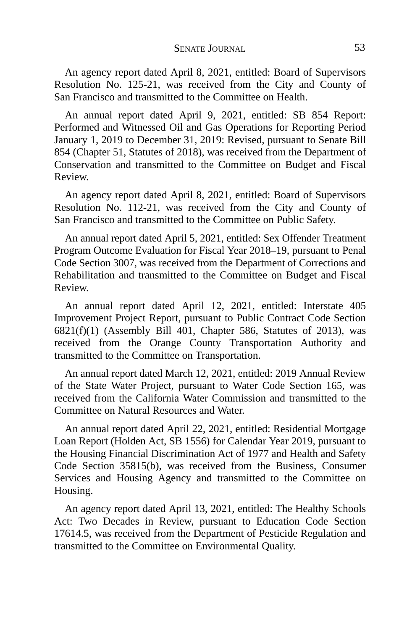An agency report dated April 8, 2021, entitled: Board of Supervisors Resolution No. 125-21, was received from the City and County of San Francisco and transmitted to the Committee on Health.

An annual report dated April 9, 2021, entitled: SB 854 Report: Performed and Witnessed Oil and Gas Operations for Reporting Period January 1, 2019 to December 31, 2019: Revised, pursuant to Senate Bill 854 (Chapter 51, Statutes of 2018), was received from the Department of Conservation and transmitted to the Committee on Budget and Fiscal Review.

An agency report dated April 8, 2021, entitled: Board of Supervisors Resolution No. 112-21, was received from the City and County of San Francisco and transmitted to the Committee on Public Safety.

An annual report dated April 5, 2021, entitled: Sex Offender Treatment Program Outcome Evaluation for Fiscal Year 2018–19, pursuant to Penal Code Section 3007, was received from the Department of Corrections and Rehabilitation and transmitted to the Committee on Budget and Fiscal Review.

An annual report dated April 12, 2021, entitled: Interstate 405 Improvement Project Report, pursuant to Public Contract Code Section  $6821(f)(1)$  (Assembly Bill 401, Chapter 586, Statutes of 2013), was received from the Orange County Transportation Authority and transmitted to the Committee on Transportation.

An annual report dated March 12, 2021, entitled: 2019 Annual Review of the State Water Project, pursuant to Water Code Section 165, was received from the California Water Commission and transmitted to the Committee on Natural Resources and Water.

An annual report dated April 22, 2021, entitled: Residential Mortgage Loan Report (Holden Act, SB 1556) for Calendar Year 2019, pursuant to the Housing Financial Discrimination Act of 1977 and Health and Safety Code Section 35815(b), was received from the Business, Consumer Services and Housing Agency and transmitted to the Committee on Housing.

An agency report dated April 13, 2021, entitled: The Healthy Schools Act: Two Decades in Review, pursuant to Education Code Section 17614.5, was received from the Department of Pesticide Regulation and transmitted to the Committee on Environmental Quality.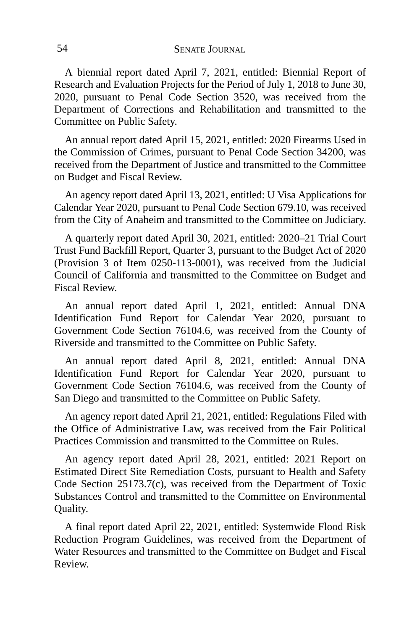A biennial report dated April 7, 2021, entitled: Biennial Report of Research and Evaluation Projects for the Period of July 1, 2018 to June 30, 2020, pursuant to Penal Code Section 3520, was received from the Department of Corrections and Rehabilitation and transmitted to the Committee on Public Safety.

An annual report dated April 15, 2021, entitled: 2020 Firearms Used in the Commission of Crimes, pursuant to Penal Code Section 34200, was received from the Department of Justice and transmitted to the Committee on Budget and Fiscal Review.

An agency report dated April 13, 2021, entitled: U Visa Applications for Calendar Year 2020, pursuant to Penal Code Section 679.10, was received from the City of Anaheim and transmitted to the Committee on Judiciary.

A quarterly report dated April 30, 2021, entitled: 2020–21 Trial Court Trust Fund Backfill Report, Quarter 3, pursuant to the Budget Act of 2020 (Provision 3 of Item 0250-113-0001), was received from the Judicial Council of California and transmitted to the Committee on Budget and Fiscal Review.

An annual report dated April 1, 2021, entitled: Annual DNA Identification Fund Report for Calendar Year 2020, pursuant to Government Code Section 76104.6, was received from the County of Riverside and transmitted to the Committee on Public Safety.

An annual report dated April 8, 2021, entitled: Annual DNA Identification Fund Report for Calendar Year 2020, pursuant to Government Code Section 76104.6, was received from the County of San Diego and transmitted to the Committee on Public Safety.

An agency report dated April 21, 2021, entitled: Regulations Filed with the Office of Administrative Law, was received from the Fair Political Practices Commission and transmitted to the Committee on Rules.

An agency report dated April 28, 2021, entitled: 2021 Report on Estimated Direct Site Remediation Costs, pursuant to Health and Safety Code Section 25173.7(c), was received from the Department of Toxic Substances Control and transmitted to the Committee on Environmental Quality.

A final report dated April 22, 2021, entitled: Systemwide Flood Risk Reduction Program Guidelines, was received from the Department of Water Resources and transmitted to the Committee on Budget and Fiscal Review.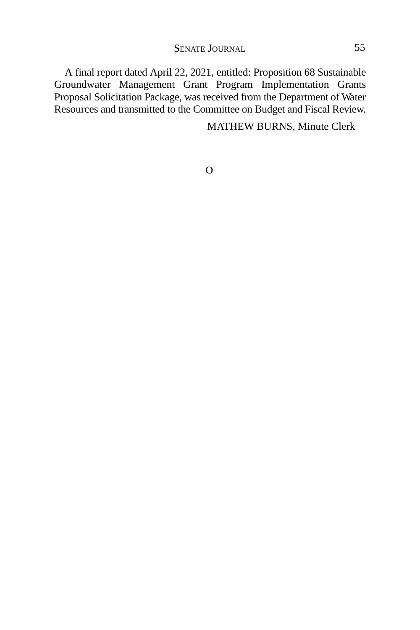A final report dated April 22, 2021, entitled: Proposition 68 Sustainable Groundwater Management Grant Program Implementation Grants Proposal Solicitation Package, was received from the Department of Water Resources and transmitted to the Committee on Budget and Fiscal Review.

MATHEW BURNS, Minute Clerk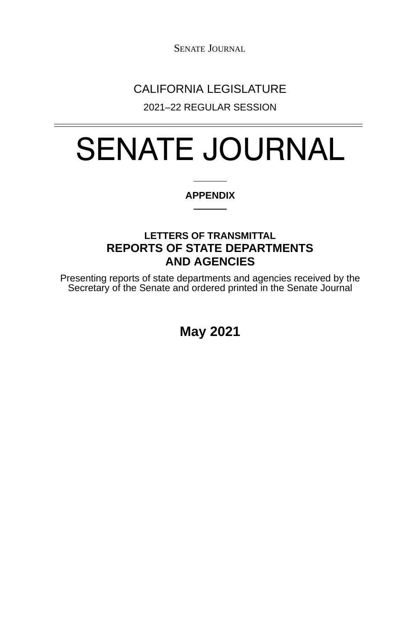SENATE JOURNAL

## CALIFORNIA LEGISLATURE

2021–22 REGULAR SESSION

# SENATE JOURNAL

#### **APPENDIX**

### **LETTERS OF TRANSMITTAL REPORTS OF STATE DEPARTMENTS AND AGENCIES**

Presenting reports of state departments and agencies received by the Secretary of the Senate and ordered printed in the Senate Journal

**May 2021**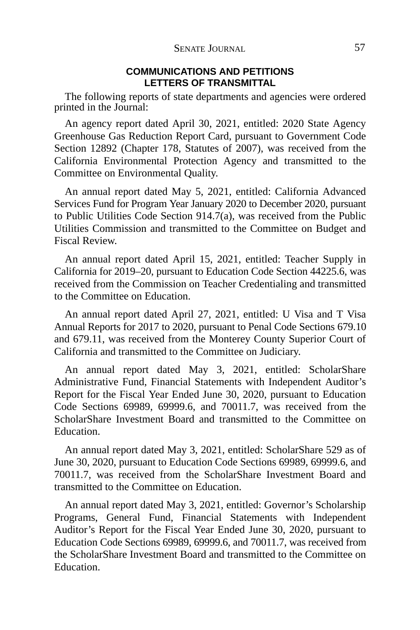#### **COMMUNICATIONS AND PETITIONS LETTERS OF TRANSMITTAL**

The following reports of state departments and agencies were ordered printed in the Journal:

An agency report dated April 30, 2021, entitled: 2020 State Agency Greenhouse Gas Reduction Report Card, pursuant to Government Code Section 12892 (Chapter 178, Statutes of 2007), was received from the California Environmental Protection Agency and transmitted to the Committee on Environmental Quality.

An annual report dated May 5, 2021, entitled: California Advanced Services Fund for Program Year January 2020 to December 2020, pursuant to Public Utilities Code Section 914.7(a), was received from the Public Utilities Commission and transmitted to the Committee on Budget and Fiscal Review.

An annual report dated April 15, 2021, entitled: Teacher Supply in California for 2019–20, pursuant to Education Code Section 44225.6, was received from the Commission on Teacher Credentialing and transmitted to the Committee on Education.

An annual report dated April 27, 2021, entitled: U Visa and T Visa Annual Reports for 2017 to 2020, pursuant to Penal Code Sections 679.10 and 679.11, was received from the Monterey County Superior Court of California and transmitted to the Committee on Judiciary.

An annual report dated May 3, 2021, entitled: ScholarShare Administrative Fund, Financial Statements with Independent Auditor's Report for the Fiscal Year Ended June 30, 2020, pursuant to Education Code Sections 69989, 69999.6, and 70011.7, was received from the ScholarShare Investment Board and transmitted to the Committee on Education.

An annual report dated May 3, 2021, entitled: ScholarShare 529 as of June 30, 2020, pursuant to Education Code Sections 69989, 69999.6, and 70011.7, was received from the ScholarShare Investment Board and transmitted to the Committee on Education.

An annual report dated May 3, 2021, entitled: Governor's Scholarship Programs, General Fund, Financial Statements with Independent Auditor's Report for the Fiscal Year Ended June 30, 2020, pursuant to Education Code Sections 69989, 69999.6, and 70011.7, was received from the ScholarShare Investment Board and transmitted to the Committee on Education.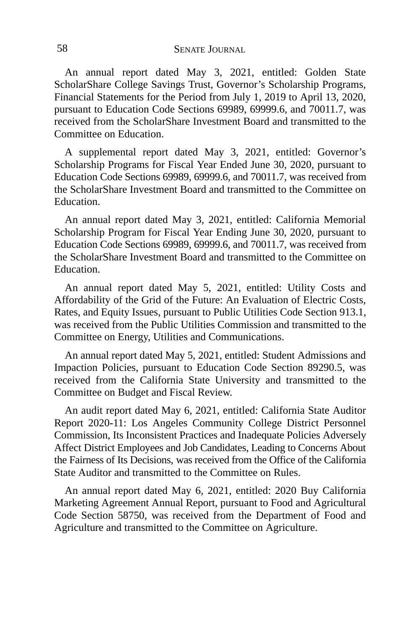An annual report dated May 3, 2021, entitled: Golden State ScholarShare College Savings Trust, Governor's Scholarship Programs, Financial Statements for the Period from July 1, 2019 to April 13, 2020, pursuant to Education Code Sections 69989, 69999.6, and 70011.7, was received from the ScholarShare Investment Board and transmitted to the Committee on Education.

A supplemental report dated May 3, 2021, entitled: Governor's Scholarship Programs for Fiscal Year Ended June 30, 2020, pursuant to Education Code Sections 69989, 69999.6, and 70011.7, was received from the ScholarShare Investment Board and transmitted to the Committee on Education.

An annual report dated May 3, 2021, entitled: California Memorial Scholarship Program for Fiscal Year Ending June 30, 2020, pursuant to Education Code Sections 69989, 69999.6, and 70011.7, was received from the ScholarShare Investment Board and transmitted to the Committee on Education.

An annual report dated May 5, 2021, entitled: Utility Costs and Affordability of the Grid of the Future: An Evaluation of Electric Costs, Rates, and Equity Issues, pursuant to Public Utilities Code Section 913.1, was received from the Public Utilities Commission and transmitted to the Committee on Energy, Utilities and Communications.

An annual report dated May 5, 2021, entitled: Student Admissions and Impaction Policies, pursuant to Education Code Section 89290.5, was received from the California State University and transmitted to the Committee on Budget and Fiscal Review.

An audit report dated May 6, 2021, entitled: California State Auditor Report 2020-11: Los Angeles Community College District Personnel Commission, Its Inconsistent Practices and Inadequate Policies Adversely Affect District Employees and Job Candidates, Leading to Concerns About the Fairness of Its Decisions, was received from the Office of the California State Auditor and transmitted to the Committee on Rules.

An annual report dated May 6, 2021, entitled: 2020 Buy California Marketing Agreement Annual Report, pursuant to Food and Agricultural Code Section 58750, was received from the Department of Food and Agriculture and transmitted to the Committee on Agriculture.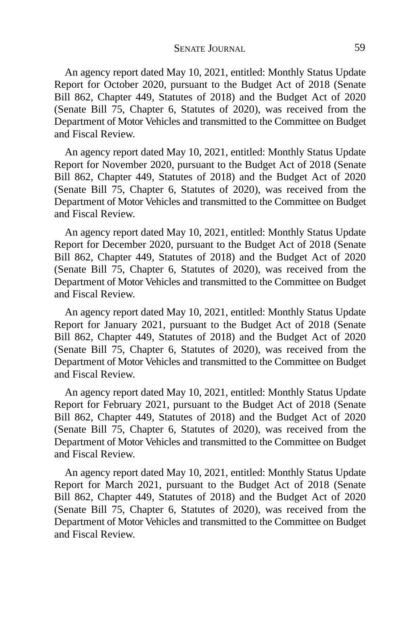An agency report dated May 10, 2021, entitled: Monthly Status Update Report for October 2020, pursuant to the Budget Act of 2018 (Senate Bill 862, Chapter 449, Statutes of 2018) and the Budget Act of 2020 (Senate Bill 75, Chapter 6, Statutes of 2020), was received from the Department of Motor Vehicles and transmitted to the Committee on Budget and Fiscal Review.

An agency report dated May 10, 2021, entitled: Monthly Status Update Report for November 2020, pursuant to the Budget Act of 2018 (Senate Bill 862, Chapter 449, Statutes of 2018) and the Budget Act of 2020 (Senate Bill 75, Chapter 6, Statutes of 2020), was received from the Department of Motor Vehicles and transmitted to the Committee on Budget and Fiscal Review.

An agency report dated May 10, 2021, entitled: Monthly Status Update Report for December 2020, pursuant to the Budget Act of 2018 (Senate Bill 862, Chapter 449, Statutes of 2018) and the Budget Act of 2020 (Senate Bill 75, Chapter 6, Statutes of 2020), was received from the Department of Motor Vehicles and transmitted to the Committee on Budget and Fiscal Review.

An agency report dated May 10, 2021, entitled: Monthly Status Update Report for January 2021, pursuant to the Budget Act of 2018 (Senate Bill 862, Chapter 449, Statutes of 2018) and the Budget Act of 2020 (Senate Bill 75, Chapter 6, Statutes of 2020), was received from the Department of Motor Vehicles and transmitted to the Committee on Budget and Fiscal Review.

An agency report dated May 10, 2021, entitled: Monthly Status Update Report for February 2021, pursuant to the Budget Act of 2018 (Senate Bill 862, Chapter 449, Statutes of 2018) and the Budget Act of 2020 (Senate Bill 75, Chapter 6, Statutes of 2020), was received from the Department of Motor Vehicles and transmitted to the Committee on Budget and Fiscal Review.

An agency report dated May 10, 2021, entitled: Monthly Status Update Report for March 2021, pursuant to the Budget Act of 2018 (Senate Bill 862, Chapter 449, Statutes of 2018) and the Budget Act of 2020 (Senate Bill 75, Chapter 6, Statutes of 2020), was received from the Department of Motor Vehicles and transmitted to the Committee on Budget and Fiscal Review.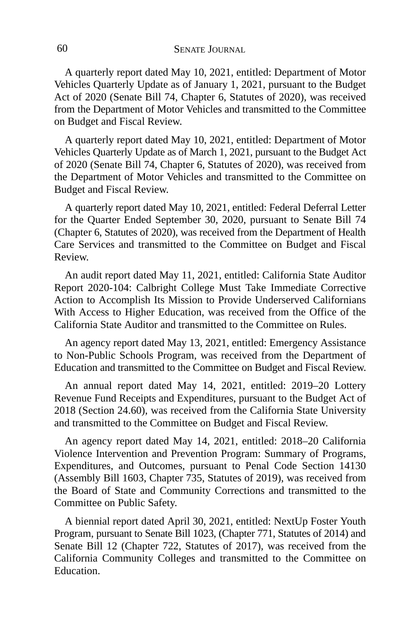A quarterly report dated May 10, 2021, entitled: Department of Motor Vehicles Quarterly Update as of January 1, 2021, pursuant to the Budget Act of 2020 (Senate Bill 74, Chapter 6, Statutes of 2020), was received from the Department of Motor Vehicles and transmitted to the Committee on Budget and Fiscal Review.

A quarterly report dated May 10, 2021, entitled: Department of Motor Vehicles Quarterly Update as of March 1, 2021, pursuant to the Budget Act of 2020 (Senate Bill 74, Chapter 6, Statutes of 2020), was received from the Department of Motor Vehicles and transmitted to the Committee on Budget and Fiscal Review.

A quarterly report dated May 10, 2021, entitled: Federal Deferral Letter for the Quarter Ended September 30, 2020, pursuant to Senate Bill 74 (Chapter 6, Statutes of 2020), was received from the Department of Health Care Services and transmitted to the Committee on Budget and Fiscal Review.

An audit report dated May 11, 2021, entitled: California State Auditor Report 2020-104: Calbright College Must Take Immediate Corrective Action to Accomplish Its Mission to Provide Underserved Californians With Access to Higher Education, was received from the Office of the California State Auditor and transmitted to the Committee on Rules.

An agency report dated May 13, 2021, entitled: Emergency Assistance to Non-Public Schools Program, was received from the Department of Education and transmitted to the Committee on Budget and Fiscal Review.

An annual report dated May 14, 2021, entitled: 2019–20 Lottery Revenue Fund Receipts and Expenditures, pursuant to the Budget Act of 2018 (Section 24.60), was received from the California State University and transmitted to the Committee on Budget and Fiscal Review.

An agency report dated May 14, 2021, entitled: 2018–20 California Violence Intervention and Prevention Program: Summary of Programs, Expenditures, and Outcomes, pursuant to Penal Code Section 14130 (Assembly Bill 1603, Chapter 735, Statutes of 2019), was received from the Board of State and Community Corrections and transmitted to the Committee on Public Safety.

A biennial report dated April 30, 2021, entitled: NextUp Foster Youth Program, pursuant to Senate Bill 1023, (Chapter 771, Statutes of 2014) and Senate Bill 12 (Chapter 722, Statutes of 2017), was received from the California Community Colleges and transmitted to the Committee on **Education**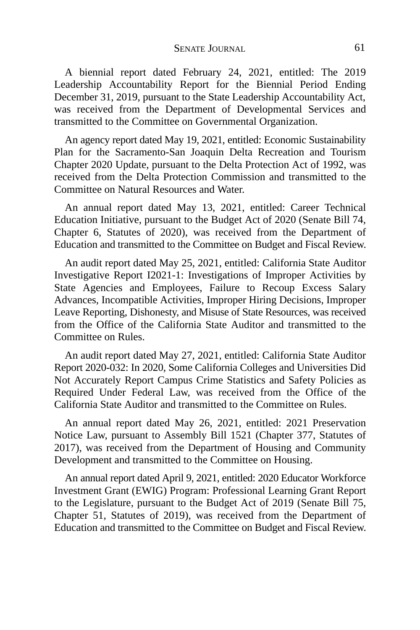A biennial report dated February 24, 2021, entitled: The 2019 Leadership Accountability Report for the Biennial Period Ending December 31, 2019, pursuant to the State Leadership Accountability Act, was received from the Department of Developmental Services and transmitted to the Committee on Governmental Organization.

An agency report dated May 19, 2021, entitled: Economic Sustainability Plan for the Sacramento-San Joaquin Delta Recreation and Tourism Chapter 2020 Update, pursuant to the Delta Protection Act of 1992, was received from the Delta Protection Commission and transmitted to the Committee on Natural Resources and Water.

An annual report dated May 13, 2021, entitled: Career Technical Education Initiative, pursuant to the Budget Act of 2020 (Senate Bill 74, Chapter 6, Statutes of 2020), was received from the Department of Education and transmitted to the Committee on Budget and Fiscal Review.

An audit report dated May 25, 2021, entitled: California State Auditor Investigative Report I2021-1: Investigations of Improper Activities by State Agencies and Employees, Failure to Recoup Excess Salary Advances, Incompatible Activities, Improper Hiring Decisions, Improper Leave Reporting, Dishonesty, and Misuse of State Resources, was received from the Office of the California State Auditor and transmitted to the Committee on Rules.

An audit report dated May 27, 2021, entitled: California State Auditor Report 2020-032: In 2020, Some California Colleges and Universities Did Not Accurately Report Campus Crime Statistics and Safety Policies as Required Under Federal Law, was received from the Office of the California State Auditor and transmitted to the Committee on Rules.

An annual report dated May 26, 2021, entitled: 2021 Preservation Notice Law, pursuant to Assembly Bill 1521 (Chapter 377, Statutes of 2017), was received from the Department of Housing and Community Development and transmitted to the Committee on Housing.

An annual report dated April 9, 2021, entitled: 2020 Educator Workforce Investment Grant (EWIG) Program: Professional Learning Grant Report to the Legislature, pursuant to the Budget Act of 2019 (Senate Bill 75, Chapter 51, Statutes of 2019), was received from the Department of Education and transmitted to the Committee on Budget and Fiscal Review.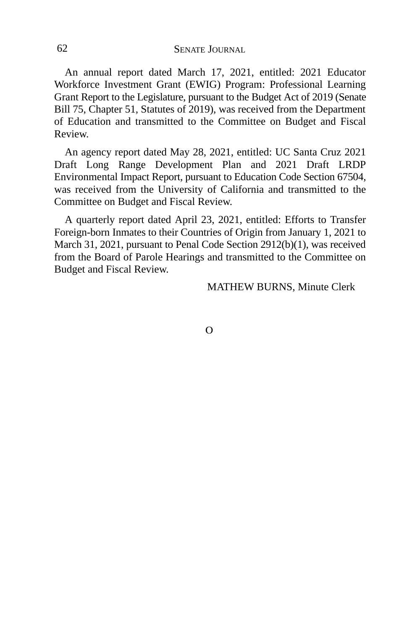An annual report dated March 17, 2021, entitled: 2021 Educator Workforce Investment Grant (EWIG) Program: Professional Learning Grant Report to the Legislature, pursuant to the Budget Act of 2019 (Senate Bill 75, Chapter 51, Statutes of 2019), was received from the Department of Education and transmitted to the Committee on Budget and Fiscal Review.

An agency report dated May 28, 2021, entitled: UC Santa Cruz 2021 Draft Long Range Development Plan and 2021 Draft LRDP Environmental Impact Report, pursuant to Education Code Section 67504, was received from the University of California and transmitted to the Committee on Budget and Fiscal Review.

A quarterly report dated April 23, 2021, entitled: Efforts to Transfer Foreign-born Inmates to their Countries of Origin from January 1, 2021 to March 31, 2021, pursuant to Penal Code Section 2912(b)(1), was received from the Board of Parole Hearings and transmitted to the Committee on Budget and Fiscal Review.

MATHEW BURNS, Minute Clerk

 $\Omega$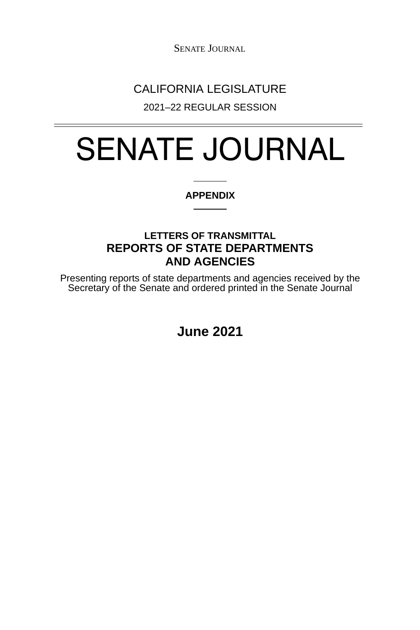## CALIFORNIA LEGISLATURE

2021–22 REGULAR SESSION

# SENATE JOURNAL

#### **APPENDIX**

### **LETTERS OF TRANSMITTAL REPORTS OF STATE DEPARTMENTS AND AGENCIES**

Presenting reports of state departments and agencies received by the Secretary of the Senate and ordered printed in the Senate Journal

**June 2021**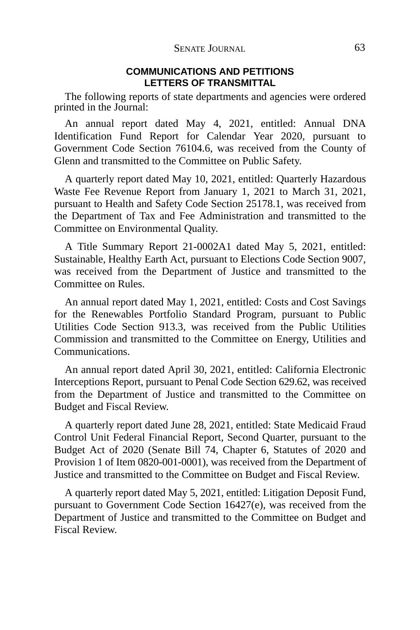#### **COMMUNICATIONS AND PETITIONS LETTERS OF TRANSMITTAL**

The following reports of state departments and agencies were ordered printed in the Journal:

An annual report dated May 4, 2021, entitled: Annual DNA Identification Fund Report for Calendar Year 2020, pursuant to Government Code Section 76104.6, was received from the County of Glenn and transmitted to the Committee on Public Safety.

A quarterly report dated May 10, 2021, entitled: Quarterly Hazardous Waste Fee Revenue Report from January 1, 2021 to March 31, 2021, pursuant to Health and Safety Code Section 25178.1, was received from the Department of Tax and Fee Administration and transmitted to the Committee on Environmental Quality.

A Title Summary Report 21-0002A1 dated May 5, 2021, entitled: Sustainable, Healthy Earth Act, pursuant to Elections Code Section 9007, was received from the Department of Justice and transmitted to the Committee on Rules.

An annual report dated May 1, 2021, entitled: Costs and Cost Savings for the Renewables Portfolio Standard Program, pursuant to Public Utilities Code Section 913.3, was received from the Public Utilities Commission and transmitted to the Committee on Energy, Utilities and Communications.

An annual report dated April 30, 2021, entitled: California Electronic Interceptions Report, pursuant to Penal Code Section 629.62, was received from the Department of Justice and transmitted to the Committee on Budget and Fiscal Review.

A quarterly report dated June 28, 2021, entitled: State Medicaid Fraud Control Unit Federal Financial Report, Second Quarter, pursuant to the Budget Act of 2020 (Senate Bill 74, Chapter 6, Statutes of 2020 and Provision 1 of Item 0820-001-0001), was received from the Department of Justice and transmitted to the Committee on Budget and Fiscal Review.

A quarterly report dated May 5, 2021, entitled: Litigation Deposit Fund, pursuant to Government Code Section 16427(e), was received from the Department of Justice and transmitted to the Committee on Budget and Fiscal Review.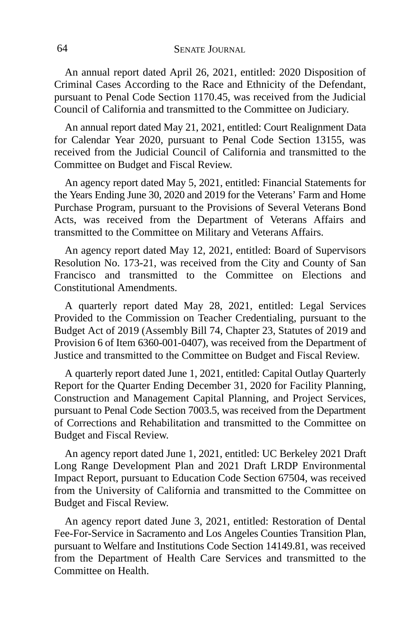An annual report dated April 26, 2021, entitled: 2020 Disposition of Criminal Cases According to the Race and Ethnicity of the Defendant, pursuant to Penal Code Section 1170.45, was received from the Judicial Council of California and transmitted to the Committee on Judiciary.

An annual report dated May 21, 2021, entitled: Court Realignment Data for Calendar Year 2020, pursuant to Penal Code Section 13155, was received from the Judicial Council of California and transmitted to the Committee on Budget and Fiscal Review.

An agency report dated May 5, 2021, entitled: Financial Statements for the Years Ending June 30, 2020 and 2019 for the Veterans' Farm and Home Purchase Program, pursuant to the Provisions of Several Veterans Bond Acts, was received from the Department of Veterans Affairs and transmitted to the Committee on Military and Veterans Affairs.

An agency report dated May 12, 2021, entitled: Board of Supervisors Resolution No. 173-21, was received from the City and County of San Francisco and transmitted to the Committee on Elections and Constitutional Amendments.

A quarterly report dated May 28, 2021, entitled: Legal Services Provided to the Commission on Teacher Credentialing, pursuant to the Budget Act of 2019 (Assembly Bill 74, Chapter 23, Statutes of 2019 and Provision 6 of Item 6360-001-0407), was received from the Department of Justice and transmitted to the Committee on Budget and Fiscal Review.

A quarterly report dated June 1, 2021, entitled: Capital Outlay Quarterly Report for the Quarter Ending December 31, 2020 for Facility Planning, Construction and Management Capital Planning, and Project Services, pursuant to Penal Code Section 7003.5, was received from the Department of Corrections and Rehabilitation and transmitted to the Committee on Budget and Fiscal Review.

An agency report dated June 1, 2021, entitled: UC Berkeley 2021 Draft Long Range Development Plan and 2021 Draft LRDP Environmental Impact Report, pursuant to Education Code Section 67504, was received from the University of California and transmitted to the Committee on Budget and Fiscal Review.

An agency report dated June 3, 2021, entitled: Restoration of Dental Fee-For-Service in Sacramento and Los Angeles Counties Transition Plan, pursuant to Welfare and Institutions Code Section 14149.81, was received from the Department of Health Care Services and transmitted to the Committee on Health.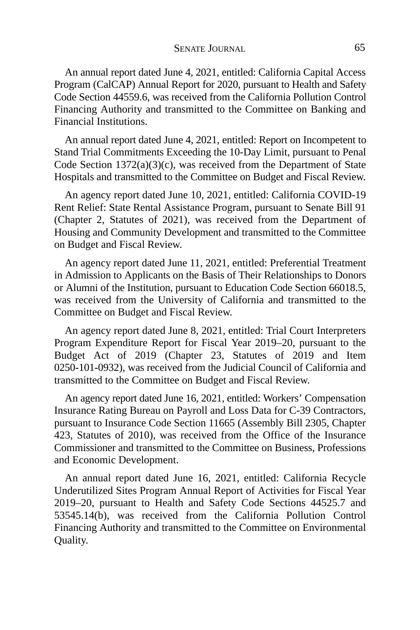An annual report dated June 4, 2021, entitled: California Capital Access Program (CalCAP) Annual Report for 2020, pursuant to Health and Safety Code Section 44559.6, was received from the California Pollution Control Financing Authority and transmitted to the Committee on Banking and Financial Institutions.

An annual report dated June 4, 2021, entitled: Report on Incompetent to Stand Trial Commitments Exceeding the 10-Day Limit, pursuant to Penal Code Section 1372(a)(3)(c), was received from the Department of State Hospitals and transmitted to the Committee on Budget and Fiscal Review.

An agency report dated June 10, 2021, entitled: California COVID-19 Rent Relief: State Rental Assistance Program, pursuant to Senate Bill 91 (Chapter 2, Statutes of 2021), was received from the Department of Housing and Community Development and transmitted to the Committee on Budget and Fiscal Review.

An agency report dated June 11, 2021, entitled: Preferential Treatment in Admission to Applicants on the Basis of Their Relationships to Donors or Alumni of the Institution, pursuant to Education Code Section 66018.5, was received from the University of California and transmitted to the Committee on Budget and Fiscal Review.

An agency report dated June 8, 2021, entitled: Trial Court Interpreters Program Expenditure Report for Fiscal Year 2019–20, pursuant to the Budget Act of 2019 (Chapter 23, Statutes of 2019 and Item 0250-101-0932), was received from the Judicial Council of California and transmitted to the Committee on Budget and Fiscal Review.

An agency report dated June 16, 2021, entitled: Workers' Compensation Insurance Rating Bureau on Payroll and Loss Data for C-39 Contractors, pursuant to Insurance Code Section 11665 (Assembly Bill 2305, Chapter 423, Statutes of 2010), was received from the Office of the Insurance Commissioner and transmitted to the Committee on Business, Professions and Economic Development.

An annual report dated June 16, 2021, entitled: California Recycle Underutilized Sites Program Annual Report of Activities for Fiscal Year 2019–20, pursuant to Health and Safety Code Sections 44525.7 and 53545.14(b), was received from the California Pollution Control Financing Authority and transmitted to the Committee on Environmental Quality.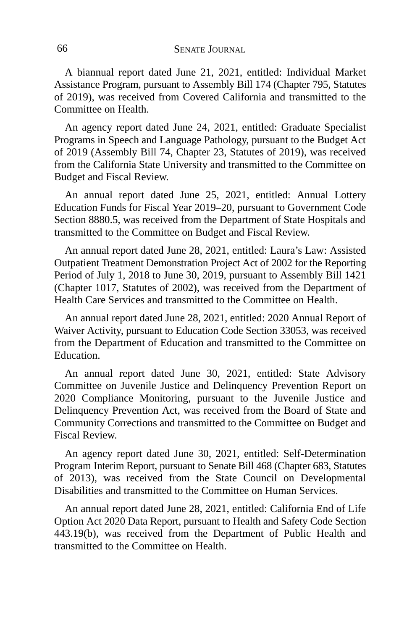A biannual report dated June 21, 2021, entitled: Individual Market Assistance Program, pursuant to Assembly Bill 174 (Chapter 795, Statutes of 2019), was received from Covered California and transmitted to the Committee on Health.

An agency report dated June 24, 2021, entitled: Graduate Specialist Programs in Speech and Language Pathology, pursuant to the Budget Act of 2019 (Assembly Bill 74, Chapter 23, Statutes of 2019), was received from the California State University and transmitted to the Committee on Budget and Fiscal Review.

An annual report dated June 25, 2021, entitled: Annual Lottery Education Funds for Fiscal Year 2019–20, pursuant to Government Code Section 8880.5, was received from the Department of State Hospitals and transmitted to the Committee on Budget and Fiscal Review.

An annual report dated June 28, 2021, entitled: Laura's Law: Assisted Outpatient Treatment Demonstration Project Act of 2002 for the Reporting Period of July 1, 2018 to June 30, 2019, pursuant to Assembly Bill 1421 (Chapter 1017, Statutes of 2002), was received from the Department of Health Care Services and transmitted to the Committee on Health.

An annual report dated June 28, 2021, entitled: 2020 Annual Report of Waiver Activity, pursuant to Education Code Section 33053, was received from the Department of Education and transmitted to the Committee on Education.

An annual report dated June 30, 2021, entitled: State Advisory Committee on Juvenile Justice and Delinquency Prevention Report on 2020 Compliance Monitoring, pursuant to the Juvenile Justice and Delinquency Prevention Act, was received from the Board of State and Community Corrections and transmitted to the Committee on Budget and Fiscal Review.

An agency report dated June 30, 2021, entitled: Self-Determination Program Interim Report, pursuant to Senate Bill 468 (Chapter 683, Statutes of 2013), was received from the State Council on Developmental Disabilities and transmitted to the Committee on Human Services.

An annual report dated June 28, 2021, entitled: California End of Life Option Act 2020 Data Report, pursuant to Health and Safety Code Section 443.19(b), was received from the Department of Public Health and transmitted to the Committee on Health.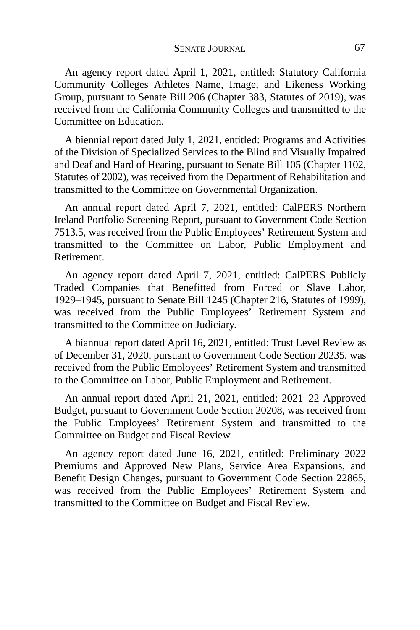An agency report dated April 1, 2021, entitled: Statutory California Community Colleges Athletes Name, Image, and Likeness Working Group, pursuant to Senate Bill 206 (Chapter 383, Statutes of 2019), was received from the California Community Colleges and transmitted to the Committee on Education.

A biennial report dated July 1, 2021, entitled: Programs and Activities of the Division of Specialized Services to the Blind and Visually Impaired and Deaf and Hard of Hearing, pursuant to Senate Bill 105 (Chapter 1102, Statutes of 2002), was received from the Department of Rehabilitation and transmitted to the Committee on Governmental Organization.

An annual report dated April 7, 2021, entitled: CalPERS Northern Ireland Portfolio Screening Report, pursuant to Government Code Section 7513.5, was received from the Public Employees' Retirement System and transmitted to the Committee on Labor, Public Employment and Retirement.

An agency report dated April 7, 2021, entitled: CalPERS Publicly Traded Companies that Benefitted from Forced or Slave Labor, 1929–1945, pursuant to Senate Bill 1245 (Chapter 216, Statutes of 1999), was received from the Public Employees' Retirement System and transmitted to the Committee on Judiciary.

A biannual report dated April 16, 2021, entitled: Trust Level Review as of December 31, 2020, pursuant to Government Code Section 20235, was received from the Public Employees' Retirement System and transmitted to the Committee on Labor, Public Employment and Retirement.

An annual report dated April 21, 2021, entitled: 2021–22 Approved Budget, pursuant to Government Code Section 20208, was received from the Public Employees' Retirement System and transmitted to the Committee on Budget and Fiscal Review.

An agency report dated June 16, 2021, entitled: Preliminary 2022 Premiums and Approved New Plans, Service Area Expansions, and Benefit Design Changes, pursuant to Government Code Section 22865, was received from the Public Employees' Retirement System and transmitted to the Committee on Budget and Fiscal Review.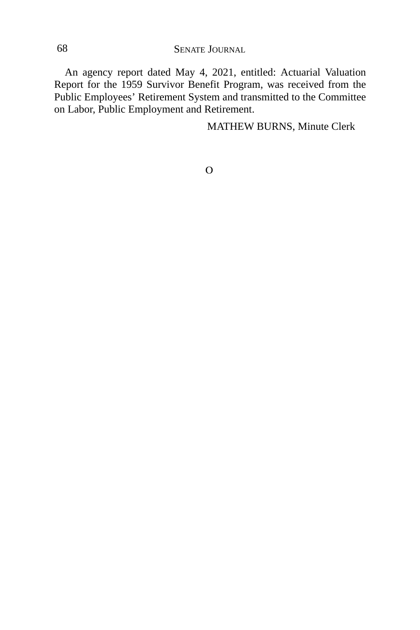An agency report dated May 4, 2021, entitled: Actuarial Valuation Report for the 1959 Survivor Benefit Program, was received from the Public Employees' Retirement System and transmitted to the Committee on Labor, Public Employment and Retirement.

MATHEW BURNS, Minute Clerk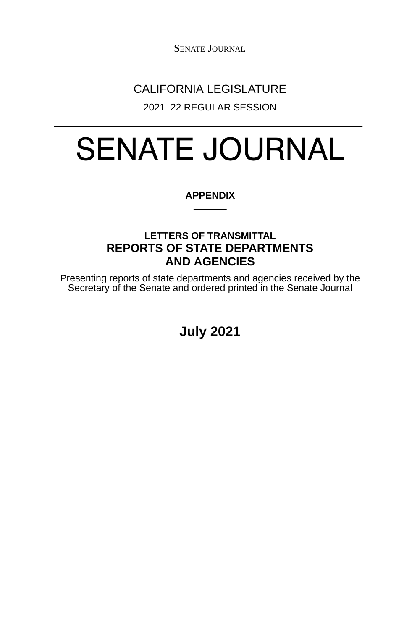## CALIFORNIA LEGISLATURE

2021–22 REGULAR SESSION

# SENATE JOURNAL

#### **APPENDIX**

### **LETTERS OF TRANSMITTAL REPORTS OF STATE DEPARTMENTS AND AGENCIES**

Presenting reports of state departments and agencies received by the Secretary of the Senate and ordered printed in the Senate Journal

**July 2021**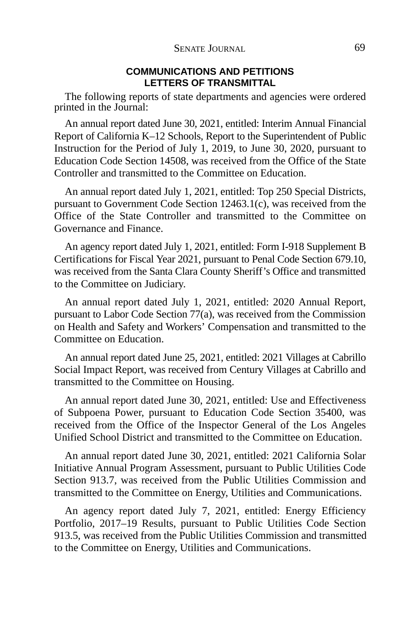#### **COMMUNICATIONS AND PETITIONS LETTERS OF TRANSMITTAL**

The following reports of state departments and agencies were ordered printed in the Journal:

An annual report dated June 30, 2021, entitled: Interim Annual Financial Report of California K–12 Schools, Report to the Superintendent of Public Instruction for the Period of July 1, 2019, to June 30, 2020, pursuant to Education Code Section 14508, was received from the Office of the State Controller and transmitted to the Committee on Education.

An annual report dated July 1, 2021, entitled: Top 250 Special Districts, pursuant to Government Code Section 12463.1(c), was received from the Office of the State Controller and transmitted to the Committee on Governance and Finance.

An agency report dated July 1, 2021, entitled: Form I-918 Supplement B Certifications for Fiscal Year 2021, pursuant to Penal Code Section 679.10, was received from the Santa Clara County Sheriff's Office and transmitted to the Committee on Judiciary.

An annual report dated July 1, 2021, entitled: 2020 Annual Report, pursuant to Labor Code Section 77(a), was received from the Commission on Health and Safety and Workers' Compensation and transmitted to the Committee on Education.

An annual report dated June 25, 2021, entitled: 2021 Villages at Cabrillo Social Impact Report, was received from Century Villages at Cabrillo and transmitted to the Committee on Housing.

An annual report dated June 30, 2021, entitled: Use and Effectiveness of Subpoena Power, pursuant to Education Code Section 35400, was received from the Office of the Inspector General of the Los Angeles Unified School District and transmitted to the Committee on Education.

An annual report dated June 30, 2021, entitled: 2021 California Solar Initiative Annual Program Assessment, pursuant to Public Utilities Code Section 913.7, was received from the Public Utilities Commission and transmitted to the Committee on Energy, Utilities and Communications.

An agency report dated July 7, 2021, entitled: Energy Efficiency Portfolio, 2017–19 Results, pursuant to Public Utilities Code Section 913.5, was received from the Public Utilities Commission and transmitted to the Committee on Energy, Utilities and Communications.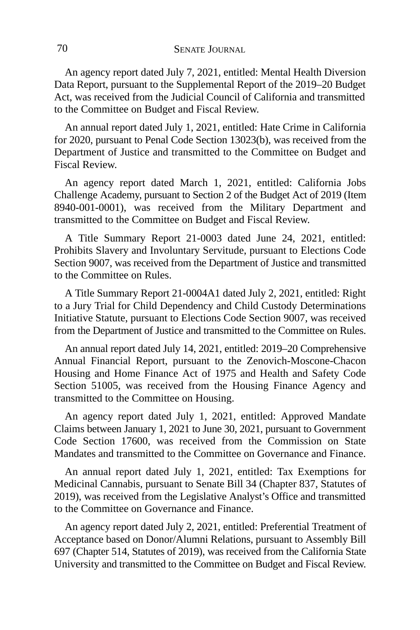An agency report dated July 7, 2021, entitled: Mental Health Diversion Data Report, pursuant to the Supplemental Report of the 2019–20 Budget Act, was received from the Judicial Council of California and transmitted to the Committee on Budget and Fiscal Review.

An annual report dated July 1, 2021, entitled: Hate Crime in California for 2020, pursuant to Penal Code Section 13023(b), was received from the Department of Justice and transmitted to the Committee on Budget and Fiscal Review.

An agency report dated March 1, 2021, entitled: California Jobs Challenge Academy, pursuant to Section 2 of the Budget Act of 2019 (Item 8940-001-0001), was received from the Military Department and transmitted to the Committee on Budget and Fiscal Review.

A Title Summary Report 21-0003 dated June 24, 2021, entitled: Prohibits Slavery and Involuntary Servitude, pursuant to Elections Code Section 9007, was received from the Department of Justice and transmitted to the Committee on Rules.

A Title Summary Report 21-0004A1 dated July 2, 2021, entitled: Right to a Jury Trial for Child Dependency and Child Custody Determinations Initiative Statute, pursuant to Elections Code Section 9007, was received from the Department of Justice and transmitted to the Committee on Rules.

An annual report dated July 14, 2021, entitled: 2019–20 Comprehensive Annual Financial Report, pursuant to the Zenovich-Moscone-Chacon Housing and Home Finance Act of 1975 and Health and Safety Code Section 51005, was received from the Housing Finance Agency and transmitted to the Committee on Housing.

An agency report dated July 1, 2021, entitled: Approved Mandate Claims between January 1, 2021 to June 30, 2021, pursuant to Government Code Section 17600, was received from the Commission on State Mandates and transmitted to the Committee on Governance and Finance.

An annual report dated July 1, 2021, entitled: Tax Exemptions for Medicinal Cannabis, pursuant to Senate Bill 34 (Chapter 837, Statutes of 2019), was received from the Legislative Analyst's Office and transmitted to the Committee on Governance and Finance.

An agency report dated July 2, 2021, entitled: Preferential Treatment of Acceptance based on Donor/Alumni Relations, pursuant to Assembly Bill 697 (Chapter 514, Statutes of 2019), was received from the California State University and transmitted to the Committee on Budget and Fiscal Review.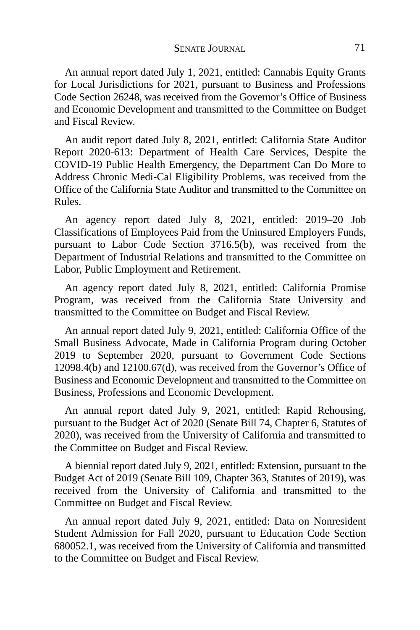An annual report dated July 1, 2021, entitled: Cannabis Equity Grants for Local Jurisdictions for 2021, pursuant to Business and Professions Code Section 26248, was received from the Governor's Office of Business and Economic Development and transmitted to the Committee on Budget and Fiscal Review.

An audit report dated July 8, 2021, entitled: California State Auditor Report 2020-613: Department of Health Care Services, Despite the COVID-19 Public Health Emergency, the Department Can Do More to Address Chronic Medi-Cal Eligibility Problems, was received from the Office of the California State Auditor and transmitted to the Committee on Rules.

An agency report dated July 8, 2021, entitled: 2019–20 Job Classifications of Employees Paid from the Uninsured Employers Funds, pursuant to Labor Code Section 3716.5(b), was received from the Department of Industrial Relations and transmitted to the Committee on Labor, Public Employment and Retirement.

An agency report dated July 8, 2021, entitled: California Promise Program, was received from the California State University and transmitted to the Committee on Budget and Fiscal Review.

An annual report dated July 9, 2021, entitled: California Office of the Small Business Advocate, Made in California Program during October 2019 to September 2020, pursuant to Government Code Sections 12098.4(b) and 12100.67(d), was received from the Governor's Office of Business and Economic Development and transmitted to the Committee on Business, Professions and Economic Development.

An annual report dated July 9, 2021, entitled: Rapid Rehousing, pursuant to the Budget Act of 2020 (Senate Bill 74, Chapter 6, Statutes of 2020), was received from the University of California and transmitted to the Committee on Budget and Fiscal Review.

A biennial report dated July 9, 2021, entitled: Extension, pursuant to the Budget Act of 2019 (Senate Bill 109, Chapter 363, Statutes of 2019), was received from the University of California and transmitted to the Committee on Budget and Fiscal Review.

An annual report dated July 9, 2021, entitled: Data on Nonresident Student Admission for Fall 2020, pursuant to Education Code Section 680052.1, was received from the University of California and transmitted to the Committee on Budget and Fiscal Review.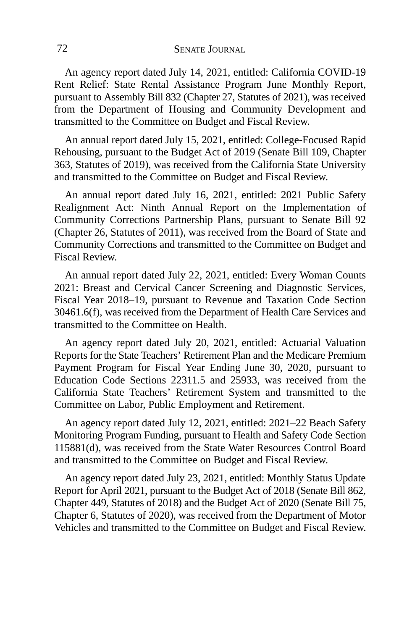An agency report dated July 14, 2021, entitled: California COVID-19 Rent Relief: State Rental Assistance Program June Monthly Report, pursuant to Assembly Bill 832 (Chapter 27, Statutes of 2021), was received from the Department of Housing and Community Development and transmitted to the Committee on Budget and Fiscal Review.

An annual report dated July 15, 2021, entitled: College-Focused Rapid Rehousing, pursuant to the Budget Act of 2019 (Senate Bill 109, Chapter 363, Statutes of 2019), was received from the California State University and transmitted to the Committee on Budget and Fiscal Review.

An annual report dated July 16, 2021, entitled: 2021 Public Safety Realignment Act: Ninth Annual Report on the Implementation of Community Corrections Partnership Plans, pursuant to Senate Bill 92 (Chapter 26, Statutes of 2011), was received from the Board of State and Community Corrections and transmitted to the Committee on Budget and Fiscal Review.

An annual report dated July 22, 2021, entitled: Every Woman Counts 2021: Breast and Cervical Cancer Screening and Diagnostic Services, Fiscal Year 2018–19, pursuant to Revenue and Taxation Code Section 30461.6(f), was received from the Department of Health Care Services and transmitted to the Committee on Health.

An agency report dated July 20, 2021, entitled: Actuarial Valuation Reports for the State Teachers' Retirement Plan and the Medicare Premium Payment Program for Fiscal Year Ending June 30, 2020, pursuant to Education Code Sections 22311.5 and 25933, was received from the California State Teachers' Retirement System and transmitted to the Committee on Labor, Public Employment and Retirement.

An agency report dated July 12, 2021, entitled: 2021–22 Beach Safety Monitoring Program Funding, pursuant to Health and Safety Code Section 115881(d), was received from the State Water Resources Control Board and transmitted to the Committee on Budget and Fiscal Review.

An agency report dated July 23, 2021, entitled: Monthly Status Update Report for April 2021, pursuant to the Budget Act of 2018 (Senate Bill 862, Chapter 449, Statutes of 2018) and the Budget Act of 2020 (Senate Bill 75, Chapter 6, Statutes of 2020), was received from the Department of Motor Vehicles and transmitted to the Committee on Budget and Fiscal Review.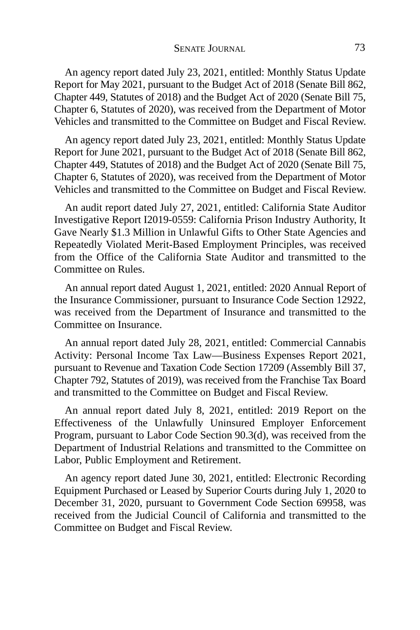An agency report dated July 23, 2021, entitled: Monthly Status Update Report for May 2021, pursuant to the Budget Act of 2018 (Senate Bill 862, Chapter 449, Statutes of 2018) and the Budget Act of 2020 (Senate Bill 75, Chapter 6, Statutes of 2020), was received from the Department of Motor Vehicles and transmitted to the Committee on Budget and Fiscal Review.

An agency report dated July 23, 2021, entitled: Monthly Status Update Report for June 2021, pursuant to the Budget Act of 2018 (Senate Bill 862, Chapter 449, Statutes of 2018) and the Budget Act of 2020 (Senate Bill 75, Chapter 6, Statutes of 2020), was received from the Department of Motor Vehicles and transmitted to the Committee on Budget and Fiscal Review.

An audit report dated July 27, 2021, entitled: California State Auditor Investigative Report I2019-0559: California Prison Industry Authority, It Gave Nearly \$1.3 Million in Unlawful Gifts to Other State Agencies and Repeatedly Violated Merit-Based Employment Principles, was received from the Office of the California State Auditor and transmitted to the Committee on Rules.

An annual report dated August 1, 2021, entitled: 2020 Annual Report of the Insurance Commissioner, pursuant to Insurance Code Section 12922, was received from the Department of Insurance and transmitted to the Committee on Insurance.

An annual report dated July 28, 2021, entitled: Commercial Cannabis Activity: Personal Income Tax Law—Business Expenses Report 2021, pursuant to Revenue and Taxation Code Section 17209 (Assembly Bill 37, Chapter 792, Statutes of 2019), was received from the Franchise Tax Board and transmitted to the Committee on Budget and Fiscal Review.

An annual report dated July 8, 2021, entitled: 2019 Report on the Effectiveness of the Unlawfully Uninsured Employer Enforcement Program, pursuant to Labor Code Section 90.3(d), was received from the Department of Industrial Relations and transmitted to the Committee on Labor, Public Employment and Retirement.

An agency report dated June 30, 2021, entitled: Electronic Recording Equipment Purchased or Leased by Superior Courts during July 1, 2020 to December 31, 2020, pursuant to Government Code Section 69958, was received from the Judicial Council of California and transmitted to the Committee on Budget and Fiscal Review.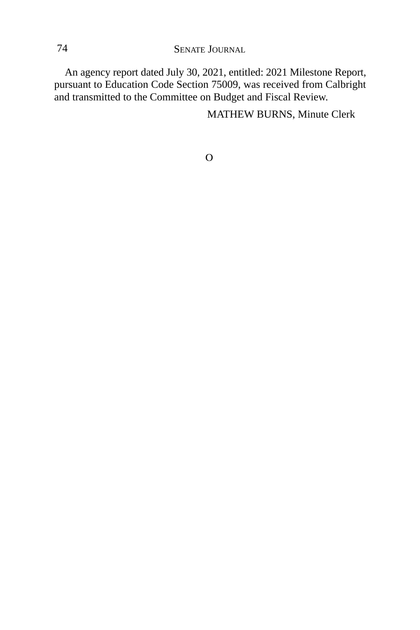An agency report dated July 30, 2021, entitled: 2021 Milestone Report, pursuant to Education Code Section 75009, was received from Calbright and transmitted to the Committee on Budget and Fiscal Review.

MATHEW BURNS, Minute Clerk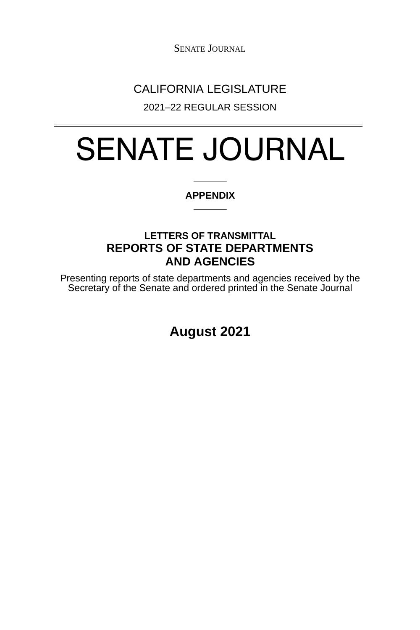## CALIFORNIA LEGISLATURE

2021–22 REGULAR SESSION

# SENATE JOURNAL

#### **APPENDIX**

### **LETTERS OF TRANSMITTAL REPORTS OF STATE DEPARTMENTS AND AGENCIES**

Presenting reports of state departments and agencies received by the Secretary of the Senate and ordered printed in the Senate Journal

**August 2021**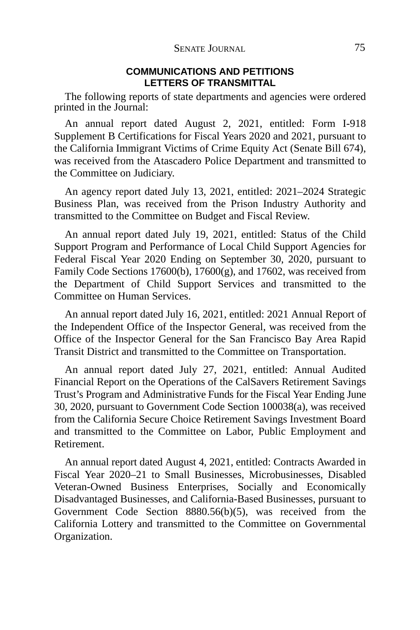#### **COMMUNICATIONS AND PETITIONS LETTERS OF TRANSMITTAL**

The following reports of state departments and agencies were ordered printed in the Journal:

An annual report dated August 2, 2021, entitled: Form I-918 Supplement B Certifications for Fiscal Years 2020 and 2021, pursuant to the California Immigrant Victims of Crime Equity Act (Senate Bill 674), was received from the Atascadero Police Department and transmitted to the Committee on Judiciary.

An agency report dated July 13, 2021, entitled: 2021–2024 Strategic Business Plan, was received from the Prison Industry Authority and transmitted to the Committee on Budget and Fiscal Review.

An annual report dated July 19, 2021, entitled: Status of the Child Support Program and Performance of Local Child Support Agencies for Federal Fiscal Year 2020 Ending on September 30, 2020, pursuant to Family Code Sections 17600(b), 17600(g), and 17602, was received from the Department of Child Support Services and transmitted to the Committee on Human Services.

An annual report dated July 16, 2021, entitled: 2021 Annual Report of the Independent Office of the Inspector General, was received from the Office of the Inspector General for the San Francisco Bay Area Rapid Transit District and transmitted to the Committee on Transportation.

An annual report dated July 27, 2021, entitled: Annual Audited Financial Report on the Operations of the CalSavers Retirement Savings Trust's Program and Administrative Funds for the Fiscal Year Ending June 30, 2020, pursuant to Government Code Section 100038(a), was received from the California Secure Choice Retirement Savings Investment Board and transmitted to the Committee on Labor, Public Employment and Retirement.

An annual report dated August 4, 2021, entitled: Contracts Awarded in Fiscal Year 2020–21 to Small Businesses, Microbusinesses, Disabled Veteran-Owned Business Enterprises, Socially and Economically Disadvantaged Businesses, and California-Based Businesses, pursuant to Government Code Section 8880.56(b)(5), was received from the California Lottery and transmitted to the Committee on Governmental Organization.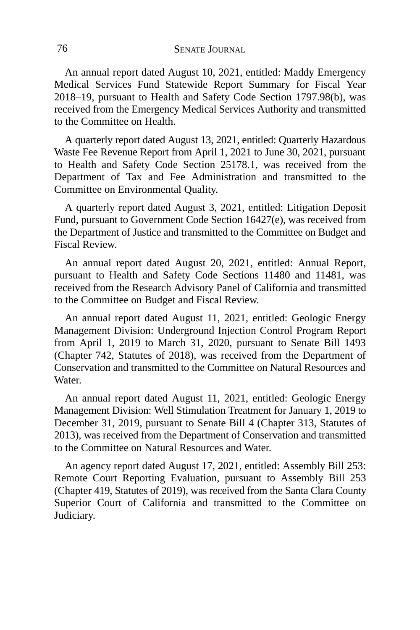An annual report dated August 10, 2021, entitled: Maddy Emergency Medical Services Fund Statewide Report Summary for Fiscal Year 2018–19, pursuant to Health and Safety Code Section 1797.98(b), was received from the Emergency Medical Services Authority and transmitted to the Committee on Health.

A quarterly report dated August 13, 2021, entitled: Quarterly Hazardous Waste Fee Revenue Report from April 1, 2021 to June 30, 2021, pursuant to Health and Safety Code Section 25178.1, was received from the Department of Tax and Fee Administration and transmitted to the Committee on Environmental Quality.

A quarterly report dated August 3, 2021, entitled: Litigation Deposit Fund, pursuant to Government Code Section 16427(e), was received from the Department of Justice and transmitted to the Committee on Budget and Fiscal Review.

An annual report dated August 20, 2021, entitled: Annual Report, pursuant to Health and Safety Code Sections 11480 and 11481, was received from the Research Advisory Panel of California and transmitted to the Committee on Budget and Fiscal Review.

An annual report dated August 11, 2021, entitled: Geologic Energy Management Division: Underground Injection Control Program Report from April 1, 2019 to March 31, 2020, pursuant to Senate Bill 1493 (Chapter 742, Statutes of 2018), was received from the Department of Conservation and transmitted to the Committee on Natural Resources and Water.

An annual report dated August 11, 2021, entitled: Geologic Energy Management Division: Well Stimulation Treatment for January 1, 2019 to December 31, 2019, pursuant to Senate Bill 4 (Chapter 313, Statutes of 2013), was received from the Department of Conservation and transmitted to the Committee on Natural Resources and Water.

An agency report dated August 17, 2021, entitled: Assembly Bill 253: Remote Court Reporting Evaluation, pursuant to Assembly Bill 253 (Chapter 419, Statutes of 2019), was received from the Santa Clara County Superior Court of California and transmitted to the Committee on Judiciary.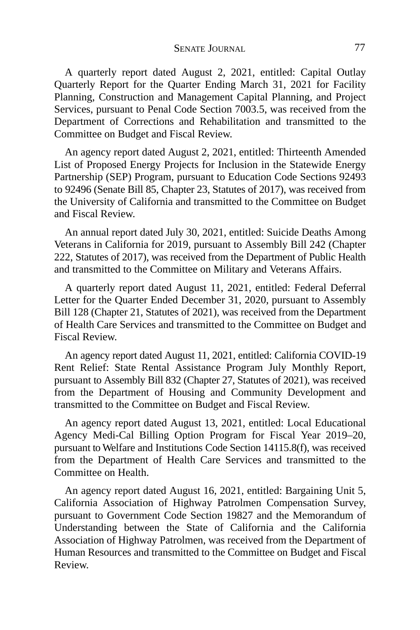A quarterly report dated August 2, 2021, entitled: Capital Outlay Quarterly Report for the Quarter Ending March 31, 2021 for Facility Planning, Construction and Management Capital Planning, and Project Services, pursuant to Penal Code Section 7003.5, was received from the Department of Corrections and Rehabilitation and transmitted to the Committee on Budget and Fiscal Review.

An agency report dated August 2, 2021, entitled: Thirteenth Amended List of Proposed Energy Projects for Inclusion in the Statewide Energy Partnership (SEP) Program, pursuant to Education Code Sections 92493 to 92496 (Senate Bill 85, Chapter 23, Statutes of 2017), was received from the University of California and transmitted to the Committee on Budget and Fiscal Review.

An annual report dated July 30, 2021, entitled: Suicide Deaths Among Veterans in California for 2019, pursuant to Assembly Bill 242 (Chapter 222, Statutes of 2017), was received from the Department of Public Health and transmitted to the Committee on Military and Veterans Affairs.

A quarterly report dated August 11, 2021, entitled: Federal Deferral Letter for the Quarter Ended December 31, 2020, pursuant to Assembly Bill 128 (Chapter 21, Statutes of 2021), was received from the Department of Health Care Services and transmitted to the Committee on Budget and Fiscal Review.

An agency report dated August 11, 2021, entitled: California COVID-19 Rent Relief: State Rental Assistance Program July Monthly Report, pursuant to Assembly Bill 832 (Chapter 27, Statutes of 2021), was received from the Department of Housing and Community Development and transmitted to the Committee on Budget and Fiscal Review.

An agency report dated August 13, 2021, entitled: Local Educational Agency Medi-Cal Billing Option Program for Fiscal Year 2019–20, pursuant to Welfare and Institutions Code Section 14115.8(f), was received from the Department of Health Care Services and transmitted to the Committee on Health.

An agency report dated August 16, 2021, entitled: Bargaining Unit 5, California Association of Highway Patrolmen Compensation Survey, pursuant to Government Code Section 19827 and the Memorandum of Understanding between the State of California and the California Association of Highway Patrolmen, was received from the Department of Human Resources and transmitted to the Committee on Budget and Fiscal Review.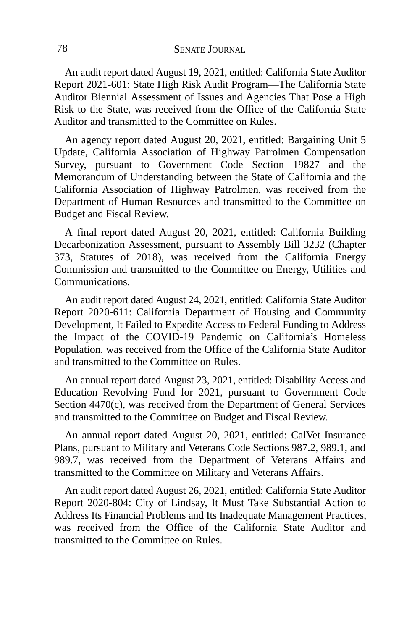An audit report dated August 19, 2021, entitled: California State Auditor Report 2021-601: State High Risk Audit Program—The California State Auditor Biennial Assessment of Issues and Agencies That Pose a High Risk to the State, was received from the Office of the California State Auditor and transmitted to the Committee on Rules.

An agency report dated August 20, 2021, entitled: Bargaining Unit 5 Update, California Association of Highway Patrolmen Compensation Survey, pursuant to Government Code Section 19827 and the Memorandum of Understanding between the State of California and the California Association of Highway Patrolmen, was received from the Department of Human Resources and transmitted to the Committee on Budget and Fiscal Review.

A final report dated August 20, 2021, entitled: California Building Decarbonization Assessment, pursuant to Assembly Bill 3232 (Chapter 373, Statutes of 2018), was received from the California Energy Commission and transmitted to the Committee on Energy, Utilities and Communications.

An audit report dated August 24, 2021, entitled: California State Auditor Report 2020-611: California Department of Housing and Community Development, It Failed to Expedite Access to Federal Funding to Address the Impact of the COVID-19 Pandemic on California's Homeless Population, was received from the Office of the California State Auditor and transmitted to the Committee on Rules.

An annual report dated August 23, 2021, entitled: Disability Access and Education Revolving Fund for 2021, pursuant to Government Code Section 4470(c), was received from the Department of General Services and transmitted to the Committee on Budget and Fiscal Review.

An annual report dated August 20, 2021, entitled: CalVet Insurance Plans, pursuant to Military and Veterans Code Sections 987.2, 989.1, and 989.7, was received from the Department of Veterans Affairs and transmitted to the Committee on Military and Veterans Affairs.

An audit report dated August 26, 2021, entitled: California State Auditor Report 2020-804: City of Lindsay, It Must Take Substantial Action to Address Its Financial Problems and Its Inadequate Management Practices, was received from the Office of the California State Auditor and transmitted to the Committee on Rules.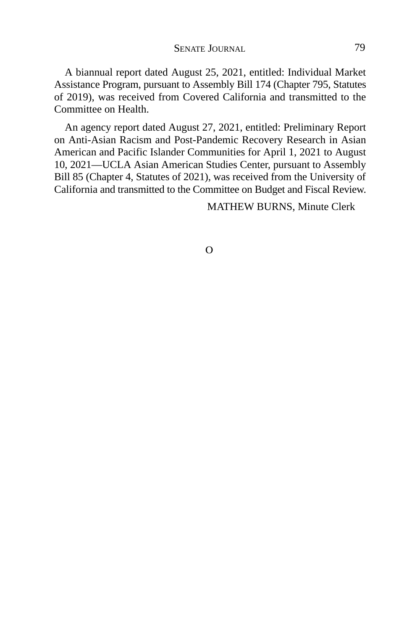A biannual report dated August 25, 2021, entitled: Individual Market Assistance Program, pursuant to Assembly Bill 174 (Chapter 795, Statutes of 2019), was received from Covered California and transmitted to the Committee on Health.

An agency report dated August 27, 2021, entitled: Preliminary Report on Anti-Asian Racism and Post-Pandemic Recovery Research in Asian American and Pacific Islander Communities for April 1, 2021 to August 10, 2021—UCLA Asian American Studies Center, pursuant to Assembly Bill 85 (Chapter 4, Statutes of 2021), was received from the University of California and transmitted to the Committee on Budget and Fiscal Review.

MATHEW BURNS, Minute Clerk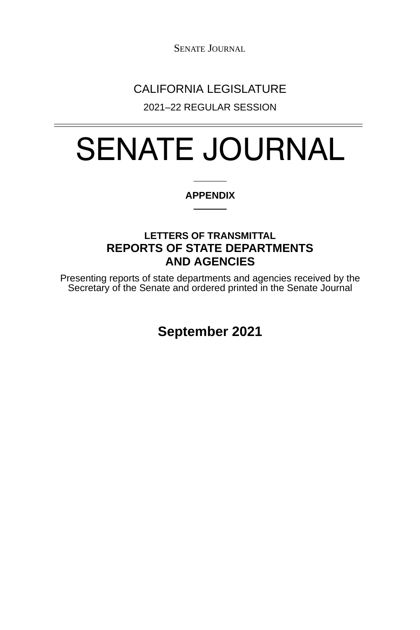## CALIFORNIA LEGISLATURE

2021–22 REGULAR SESSION

# SENATE JOURNAL

#### **APPENDIX**

### **LETTERS OF TRANSMITTAL REPORTS OF STATE DEPARTMENTS AND AGENCIES**

Presenting reports of state departments and agencies received by the Secretary of the Senate and ordered printed in the Senate Journal

**September 2021**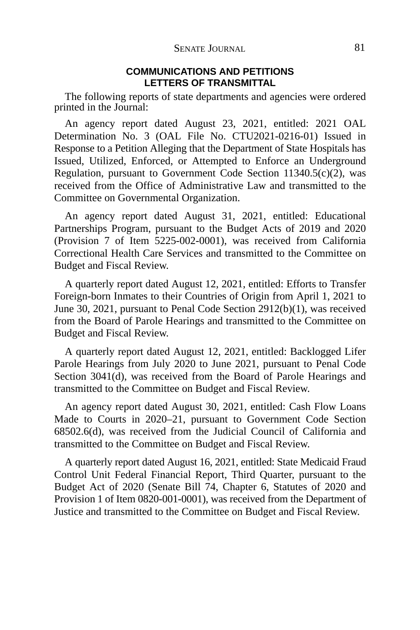#### **COMMUNICATIONS AND PETITIONS LETTERS OF TRANSMITTAL**

The following reports of state departments and agencies were ordered printed in the Journal:

An agency report dated August 23, 2021, entitled: 2021 OAL Determination No. 3 (OAL File No. CTU2021-0216-01) Issued in Response to a Petition Alleging that the Department of State Hospitals has Issued, Utilized, Enforced, or Attempted to Enforce an Underground Regulation, pursuant to Government Code Section 11340.5(c)(2), was received from the Office of Administrative Law and transmitted to the Committee on Governmental Organization.

An agency report dated August 31, 2021, entitled: Educational Partnerships Program, pursuant to the Budget Acts of 2019 and 2020 (Provision 7 of Item 5225-002-0001), was received from California Correctional Health Care Services and transmitted to the Committee on Budget and Fiscal Review.

A quarterly report dated August 12, 2021, entitled: Efforts to Transfer Foreign-born Inmates to their Countries of Origin from April 1, 2021 to June 30, 2021, pursuant to Penal Code Section 2912(b)(1), was received from the Board of Parole Hearings and transmitted to the Committee on Budget and Fiscal Review.

A quarterly report dated August 12, 2021, entitled: Backlogged Lifer Parole Hearings from July 2020 to June 2021, pursuant to Penal Code Section 3041(d), was received from the Board of Parole Hearings and transmitted to the Committee on Budget and Fiscal Review.

An agency report dated August 30, 2021, entitled: Cash Flow Loans Made to Courts in 2020–21, pursuant to Government Code Section 68502.6(d), was received from the Judicial Council of California and transmitted to the Committee on Budget and Fiscal Review.

A quarterly report dated August 16, 2021, entitled: State Medicaid Fraud Control Unit Federal Financial Report, Third Quarter, pursuant to the Budget Act of 2020 (Senate Bill 74, Chapter 6, Statutes of 2020 and Provision 1 of Item 0820-001-0001), was received from the Department of Justice and transmitted to the Committee on Budget and Fiscal Review.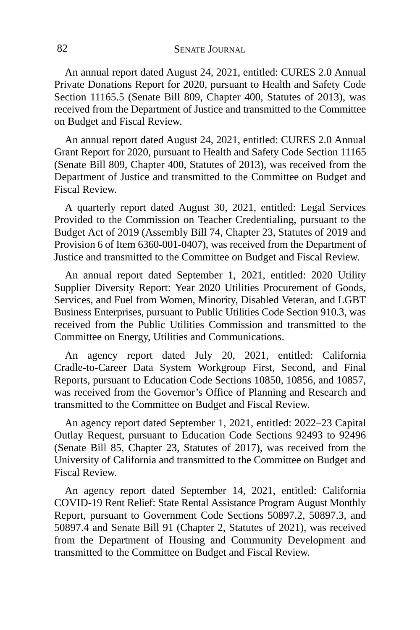An annual report dated August 24, 2021, entitled: CURES 2.0 Annual Private Donations Report for 2020, pursuant to Health and Safety Code Section 11165.5 (Senate Bill 809, Chapter 400, Statutes of 2013), was received from the Department of Justice and transmitted to the Committee on Budget and Fiscal Review.

An annual report dated August 24, 2021, entitled: CURES 2.0 Annual Grant Report for 2020, pursuant to Health and Safety Code Section 11165 (Senate Bill 809, Chapter 400, Statutes of 2013), was received from the Department of Justice and transmitted to the Committee on Budget and Fiscal Review.

A quarterly report dated August 30, 2021, entitled: Legal Services Provided to the Commission on Teacher Credentialing, pursuant to the Budget Act of 2019 (Assembly Bill 74, Chapter 23, Statutes of 2019 and Provision 6 of Item 6360-001-0407), was received from the Department of Justice and transmitted to the Committee on Budget and Fiscal Review.

An annual report dated September 1, 2021, entitled: 2020 Utility Supplier Diversity Report: Year 2020 Utilities Procurement of Goods, Services, and Fuel from Women, Minority, Disabled Veteran, and LGBT Business Enterprises, pursuant to Public Utilities Code Section 910.3, was received from the Public Utilities Commission and transmitted to the Committee on Energy, Utilities and Communications.

An agency report dated July 20, 2021, entitled: California Cradle-to-Career Data System Workgroup First, Second, and Final Reports, pursuant to Education Code Sections 10850, 10856, and 10857, was received from the Governor's Office of Planning and Research and transmitted to the Committee on Budget and Fiscal Review.

An agency report dated September 1, 2021, entitled: 2022–23 Capital Outlay Request, pursuant to Education Code Sections 92493 to 92496 (Senate Bill 85, Chapter 23, Statutes of 2017), was received from the University of California and transmitted to the Committee on Budget and Fiscal Review.

An agency report dated September 14, 2021, entitled: California COVID-19 Rent Relief: State Rental Assistance Program August Monthly Report, pursuant to Government Code Sections 50897.2, 50897.3, and 50897.4 and Senate Bill 91 (Chapter 2, Statutes of 2021), was received from the Department of Housing and Community Development and transmitted to the Committee on Budget and Fiscal Review.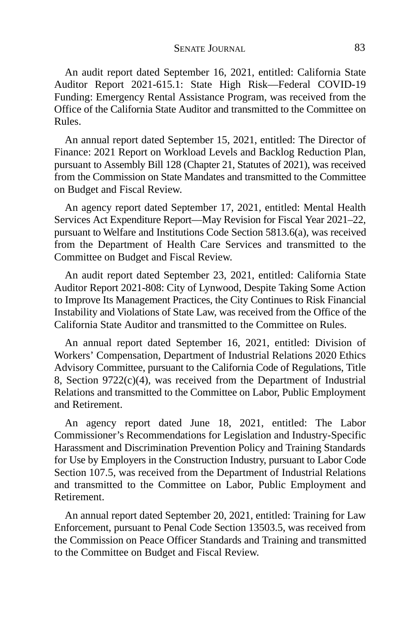An audit report dated September 16, 2021, entitled: California State Auditor Report 2021-615.1: State High Risk—Federal COVID-19 Funding: Emergency Rental Assistance Program, was received from the Office of the California State Auditor and transmitted to the Committee on Rules.

An annual report dated September 15, 2021, entitled: The Director of Finance: 2021 Report on Workload Levels and Backlog Reduction Plan, pursuant to Assembly Bill 128 (Chapter 21, Statutes of 2021), was received from the Commission on State Mandates and transmitted to the Committee on Budget and Fiscal Review.

An agency report dated September 17, 2021, entitled: Mental Health Services Act Expenditure Report—May Revision for Fiscal Year 2021–22, pursuant to Welfare and Institutions Code Section 5813.6(a), was received from the Department of Health Care Services and transmitted to the Committee on Budget and Fiscal Review.

An audit report dated September 23, 2021, entitled: California State Auditor Report 2021-808: City of Lynwood, Despite Taking Some Action to Improve Its Management Practices, the City Continues to Risk Financial Instability and Violations of State Law, was received from the Office of the California State Auditor and transmitted to the Committee on Rules.

An annual report dated September 16, 2021, entitled: Division of Workers' Compensation, Department of Industrial Relations 2020 Ethics Advisory Committee, pursuant to the California Code of Regulations, Title 8, Section  $9722(c)(4)$ , was received from the Department of Industrial Relations and transmitted to the Committee on Labor, Public Employment and Retirement.

An agency report dated June 18, 2021, entitled: The Labor Commissioner's Recommendations for Legislation and Industry-Specific Harassment and Discrimination Prevention Policy and Training Standards for Use by Employers in the Construction Industry, pursuant to Labor Code Section 107.5, was received from the Department of Industrial Relations and transmitted to the Committee on Labor, Public Employment and Retirement.

An annual report dated September 20, 2021, entitled: Training for Law Enforcement, pursuant to Penal Code Section 13503.5, was received from the Commission on Peace Officer Standards and Training and transmitted to the Committee on Budget and Fiscal Review.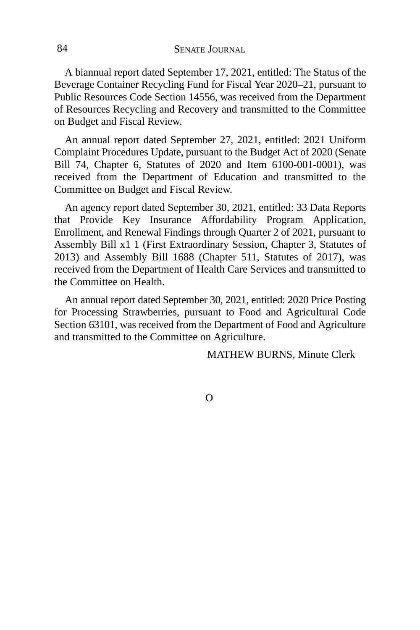A biannual report dated September 17, 2021, entitled: The Status of the Beverage Container Recycling Fund for Fiscal Year 2020–21, pursuant to Public Resources Code Section 14556, was received from the Department of Resources Recycling and Recovery and transmitted to the Committee on Budget and Fiscal Review.

An annual report dated September 27, 2021, entitled: 2021 Uniform Complaint Procedures Update, pursuant to the Budget Act of 2020 (Senate Bill 74, Chapter 6, Statutes of 2020 and Item 6100-001-0001), was received from the Department of Education and transmitted to the Committee on Budget and Fiscal Review.

An agency report dated September 30, 2021, entitled: 33 Data Reports that Provide Key Insurance Affordability Program Application, Enrollment, and Renewal Findings through Quarter 2 of 2021, pursuant to Assembly Bill x1 1 (First Extraordinary Session, Chapter 3, Statutes of 2013) and Assembly Bill 1688 (Chapter 511, Statutes of 2017), was received from the Department of Health Care Services and transmitted to the Committee on Health.

An annual report dated September 30, 2021, entitled: 2020 Price Posting for Processing Strawberries, pursuant to Food and Agricultural Code Section 63101, was received from the Department of Food and Agriculture and transmitted to the Committee on Agriculture.

MATHEW BURNS, Minute Clerk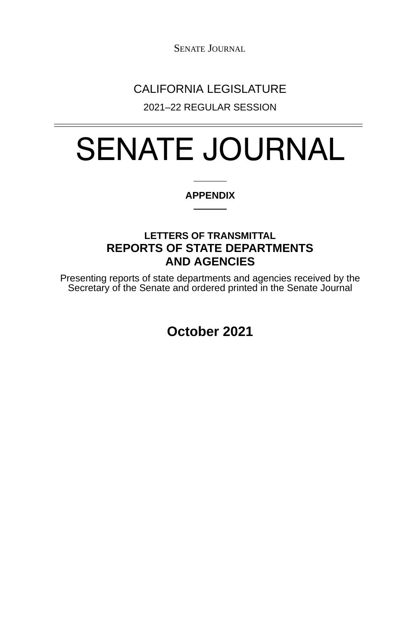## CALIFORNIA LEGISLATURE

2021–22 REGULAR SESSION

# SENATE JOURNAL

#### **APPENDIX**

### **LETTERS OF TRANSMITTAL REPORTS OF STATE DEPARTMENTS AND AGENCIES**

Presenting reports of state departments and agencies received by the Secretary of the Senate and ordered printed in the Senate Journal

**October 2021**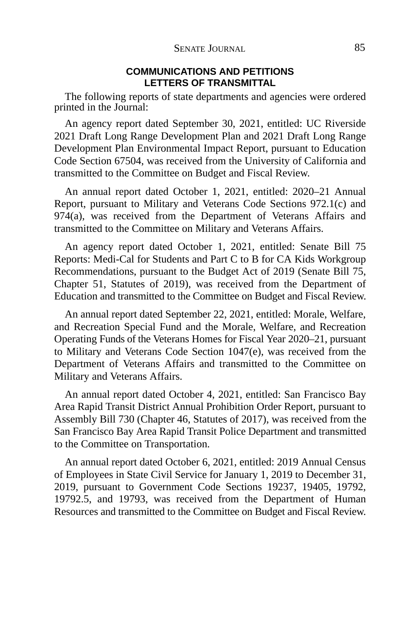#### **COMMUNICATIONS AND PETITIONS LETTERS OF TRANSMITTAL**

The following reports of state departments and agencies were ordered printed in the Journal:

An agency report dated September 30, 2021, entitled: UC Riverside 2021 Draft Long Range Development Plan and 2021 Draft Long Range Development Plan Environmental Impact Report, pursuant to Education Code Section 67504, was received from the University of California and transmitted to the Committee on Budget and Fiscal Review.

An annual report dated October 1, 2021, entitled: 2020–21 Annual Report, pursuant to Military and Veterans Code Sections 972.1(c) and  $974(a)$ , was received from the Department of Veterans Affairs and transmitted to the Committee on Military and Veterans Affairs.

An agency report dated October 1, 2021, entitled: Senate Bill 75 Reports: Medi-Cal for Students and Part C to B for CA Kids Workgroup Recommendations, pursuant to the Budget Act of 2019 (Senate Bill 75, Chapter 51, Statutes of 2019), was received from the Department of Education and transmitted to the Committee on Budget and Fiscal Review.

An annual report dated September 22, 2021, entitled: Morale, Welfare, and Recreation Special Fund and the Morale, Welfare, and Recreation Operating Funds of the Veterans Homes for Fiscal Year 2020–21, pursuant to Military and Veterans Code Section 1047(e), was received from the Department of Veterans Affairs and transmitted to the Committee on Military and Veterans Affairs.

An annual report dated October 4, 2021, entitled: San Francisco Bay Area Rapid Transit District Annual Prohibition Order Report, pursuant to Assembly Bill 730 (Chapter 46, Statutes of 2017), was received from the San Francisco Bay Area Rapid Transit Police Department and transmitted to the Committee on Transportation.

An annual report dated October 6, 2021, entitled: 2019 Annual Census of Employees in State Civil Service for January 1, 2019 to December 31, 2019, pursuant to Government Code Sections 19237, 19405, 19792, 19792.5, and 19793, was received from the Department of Human Resources and transmitted to the Committee on Budget and Fiscal Review.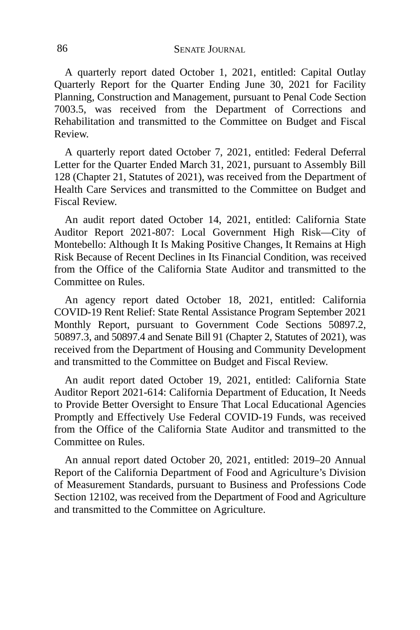A quarterly report dated October 1, 2021, entitled: Capital Outlay Quarterly Report for the Quarter Ending June 30, 2021 for Facility Planning, Construction and Management, pursuant to Penal Code Section 7003.5, was received from the Department of Corrections and Rehabilitation and transmitted to the Committee on Budget and Fiscal Review.

A quarterly report dated October 7, 2021, entitled: Federal Deferral Letter for the Quarter Ended March 31, 2021, pursuant to Assembly Bill 128 (Chapter 21, Statutes of 2021), was received from the Department of Health Care Services and transmitted to the Committee on Budget and Fiscal Review.

An audit report dated October 14, 2021, entitled: California State Auditor Report 2021-807: Local Government High Risk—City of Montebello: Although It Is Making Positive Changes, It Remains at High Risk Because of Recent Declines in Its Financial Condition, was received from the Office of the California State Auditor and transmitted to the Committee on Rules.

An agency report dated October 18, 2021, entitled: California COVID-19 Rent Relief: State Rental Assistance Program September 2021 Monthly Report, pursuant to Government Code Sections 50897.2, 50897.3, and 50897.4 and Senate Bill 91 (Chapter 2, Statutes of 2021), was received from the Department of Housing and Community Development and transmitted to the Committee on Budget and Fiscal Review.

An audit report dated October 19, 2021, entitled: California State Auditor Report 2021-614: California Department of Education, It Needs to Provide Better Oversight to Ensure That Local Educational Agencies Promptly and Effectively Use Federal COVID-19 Funds, was received from the Office of the California State Auditor and transmitted to the Committee on Rules.

An annual report dated October 20, 2021, entitled: 2019–20 Annual Report of the California Department of Food and Agriculture's Division of Measurement Standards, pursuant to Business and Professions Code Section 12102, was received from the Department of Food and Agriculture and transmitted to the Committee on Agriculture.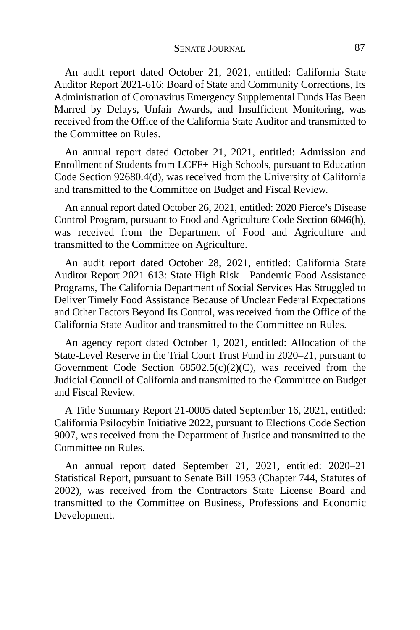An audit report dated October 21, 2021, entitled: California State Auditor Report 2021-616: Board of State and Community Corrections, Its Administration of Coronavirus Emergency Supplemental Funds Has Been Marred by Delays, Unfair Awards, and Insufficient Monitoring, was received from the Office of the California State Auditor and transmitted to the Committee on Rules.

An annual report dated October 21, 2021, entitled: Admission and Enrollment of Students from LCFF+ High Schools, pursuant to Education Code Section 92680.4(d), was received from the University of California and transmitted to the Committee on Budget and Fiscal Review.

An annual report dated October 26, 2021, entitled: 2020 Pierce's Disease Control Program, pursuant to Food and Agriculture Code Section 6046(h), was received from the Department of Food and Agriculture and transmitted to the Committee on Agriculture.

An audit report dated October 28, 2021, entitled: California State Auditor Report 2021-613: State High Risk—Pandemic Food Assistance Programs, The California Department of Social Services Has Struggled to Deliver Timely Food Assistance Because of Unclear Federal Expectations and Other Factors Beyond Its Control, was received from the Office of the California State Auditor and transmitted to the Committee on Rules.

An agency report dated October 1, 2021, entitled: Allocation of the State-Level Reserve in the Trial Court Trust Fund in 2020–21, pursuant to Government Code Section 68502.5(c)(2)(C), was received from the Judicial Council of California and transmitted to the Committee on Budget and Fiscal Review.

A Title Summary Report 21-0005 dated September 16, 2021, entitled: California Psilocybin Initiative 2022, pursuant to Elections Code Section 9007, was received from the Department of Justice and transmitted to the Committee on Rules.

An annual report dated September 21, 2021, entitled: 2020–21 Statistical Report, pursuant to Senate Bill 1953 (Chapter 744, Statutes of 2002), was received from the Contractors State License Board and transmitted to the Committee on Business, Professions and Economic Development.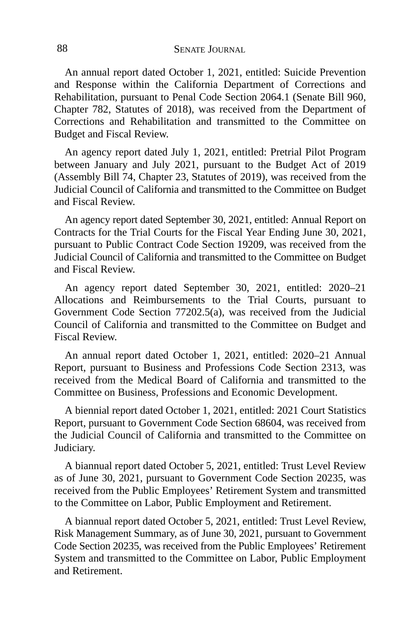An annual report dated October 1, 2021, entitled: Suicide Prevention and Response within the California Department of Corrections and Rehabilitation, pursuant to Penal Code Section 2064.1 (Senate Bill 960, Chapter 782, Statutes of 2018), was received from the Department of Corrections and Rehabilitation and transmitted to the Committee on Budget and Fiscal Review.

An agency report dated July 1, 2021, entitled: Pretrial Pilot Program between January and July 2021, pursuant to the Budget Act of 2019 (Assembly Bill 74, Chapter 23, Statutes of 2019), was received from the Judicial Council of California and transmitted to the Committee on Budget and Fiscal Review.

An agency report dated September 30, 2021, entitled: Annual Report on Contracts for the Trial Courts for the Fiscal Year Ending June 30, 2021, pursuant to Public Contract Code Section 19209, was received from the Judicial Council of California and transmitted to the Committee on Budget and Fiscal Review.

An agency report dated September 30, 2021, entitled: 2020–21 Allocations and Reimbursements to the Trial Courts, pursuant to Government Code Section 77202.5(a), was received from the Judicial Council of California and transmitted to the Committee on Budget and Fiscal Review.

An annual report dated October 1, 2021, entitled: 2020–21 Annual Report, pursuant to Business and Professions Code Section 2313, was received from the Medical Board of California and transmitted to the Committee on Business, Professions and Economic Development.

A biennial report dated October 1, 2021, entitled: 2021 Court Statistics Report, pursuant to Government Code Section 68604, was received from the Judicial Council of California and transmitted to the Committee on Judiciary.

A biannual report dated October 5, 2021, entitled: Trust Level Review as of June 30, 2021, pursuant to Government Code Section 20235, was received from the Public Employees' Retirement System and transmitted to the Committee on Labor, Public Employment and Retirement.

A biannual report dated October 5, 2021, entitled: Trust Level Review, Risk Management Summary, as of June 30, 2021, pursuant to Government Code Section 20235, was received from the Public Employees' Retirement System and transmitted to the Committee on Labor, Public Employment and Retirement.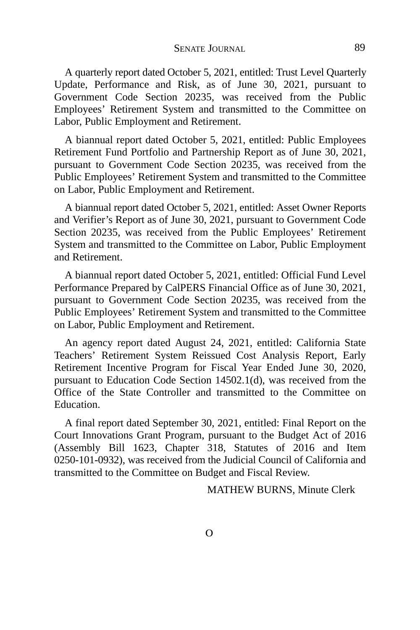A quarterly report dated October 5, 2021, entitled: Trust Level Quarterly Update, Performance and Risk, as of June 30, 2021, pursuant to Government Code Section 20235, was received from the Public Employees' Retirement System and transmitted to the Committee on Labor, Public Employment and Retirement.

A biannual report dated October 5, 2021, entitled: Public Employees Retirement Fund Portfolio and Partnership Report as of June 30, 2021, pursuant to Government Code Section 20235, was received from the Public Employees' Retirement System and transmitted to the Committee on Labor, Public Employment and Retirement.

A biannual report dated October 5, 2021, entitled: Asset Owner Reports and Verifier's Report as of June 30, 2021, pursuant to Government Code Section 20235, was received from the Public Employees' Retirement System and transmitted to the Committee on Labor, Public Employment and Retirement.

A biannual report dated October 5, 2021, entitled: Official Fund Level Performance Prepared by CalPERS Financial Office as of June 30, 2021, pursuant to Government Code Section 20235, was received from the Public Employees' Retirement System and transmitted to the Committee on Labor, Public Employment and Retirement.

An agency report dated August 24, 2021, entitled: California State Teachers' Retirement System Reissued Cost Analysis Report, Early Retirement Incentive Program for Fiscal Year Ended June 30, 2020, pursuant to Education Code Section 14502.1(d), was received from the Office of the State Controller and transmitted to the Committee on Education.

A final report dated September 30, 2021, entitled: Final Report on the Court Innovations Grant Program, pursuant to the Budget Act of 2016 (Assembly Bill 1623, Chapter 318, Statutes of 2016 and Item 0250-101-0932), was received from the Judicial Council of California and transmitted to the Committee on Budget and Fiscal Review.

MATHEW BURNS, Minute Clerk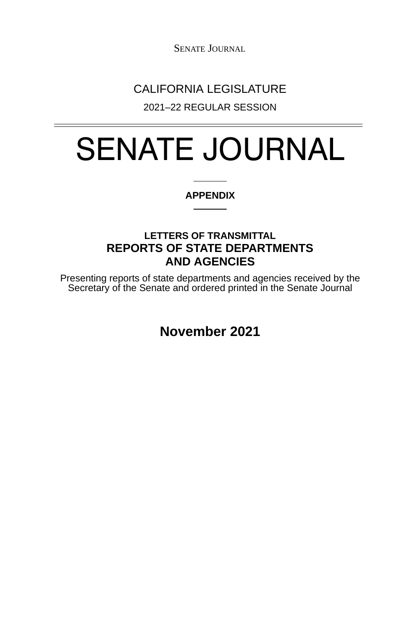SENATE JOURNAL

## CALIFORNIA LEGISLATURE

2021–22 REGULAR SESSION

# SENATE JOURNAL

#### **APPENDIX**

### **LETTERS OF TRANSMITTAL REPORTS OF STATE DEPARTMENTS AND AGENCIES**

Presenting reports of state departments and agencies received by the Secretary of the Senate and ordered printed in the Senate Journal

**November 2021**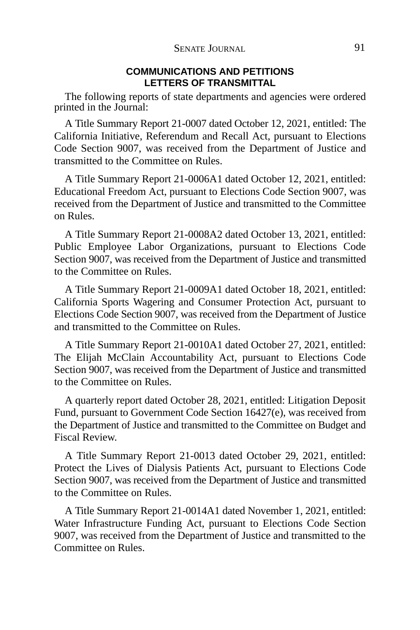#### **COMMUNICATIONS AND PETITIONS LETTERS OF TRANSMITTAL**

The following reports of state departments and agencies were ordered printed in the Journal:

A Title Summary Report 21-0007 dated October 12, 2021, entitled: The California Initiative, Referendum and Recall Act, pursuant to Elections Code Section 9007, was received from the Department of Justice and transmitted to the Committee on Rules.

A Title Summary Report 21-0006A1 dated October 12, 2021, entitled: Educational Freedom Act, pursuant to Elections Code Section 9007, was received from the Department of Justice and transmitted to the Committee on Rules.

A Title Summary Report 21-0008A2 dated October 13, 2021, entitled: Public Employee Labor Organizations, pursuant to Elections Code Section 9007, was received from the Department of Justice and transmitted to the Committee on Rules.

A Title Summary Report 21-0009A1 dated October 18, 2021, entitled: California Sports Wagering and Consumer Protection Act, pursuant to Elections Code Section 9007, was received from the Department of Justice and transmitted to the Committee on Rules.

A Title Summary Report 21-0010A1 dated October 27, 2021, entitled: The Elijah McClain Accountability Act, pursuant to Elections Code Section 9007, was received from the Department of Justice and transmitted to the Committee on Rules.

A quarterly report dated October 28, 2021, entitled: Litigation Deposit Fund, pursuant to Government Code Section 16427(e), was received from the Department of Justice and transmitted to the Committee on Budget and Fiscal Review.

A Title Summary Report 21-0013 dated October 29, 2021, entitled: Protect the Lives of Dialysis Patients Act, pursuant to Elections Code Section 9007, was received from the Department of Justice and transmitted to the Committee on Rules.

A Title Summary Report 21-0014A1 dated November 1, 2021, entitled: Water Infrastructure Funding Act, pursuant to Elections Code Section 9007, was received from the Department of Justice and transmitted to the Committee on Rules.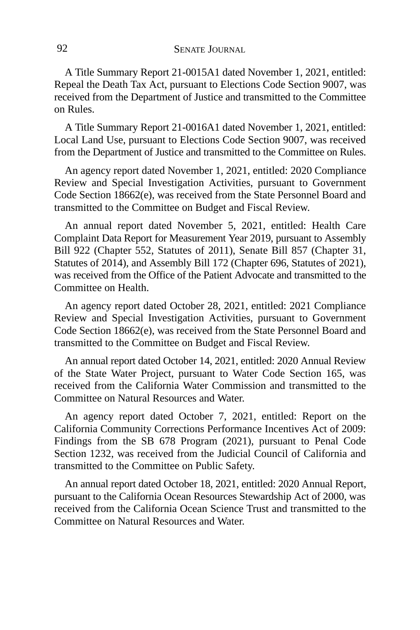A Title Summary Report 21-0015A1 dated November 1, 2021, entitled: Repeal the Death Tax Act, pursuant to Elections Code Section 9007, was received from the Department of Justice and transmitted to the Committee on Rules.

A Title Summary Report 21-0016A1 dated November 1, 2021, entitled: Local Land Use, pursuant to Elections Code Section 9007, was received from the Department of Justice and transmitted to the Committee on Rules.

An agency report dated November 1, 2021, entitled: 2020 Compliance Review and Special Investigation Activities, pursuant to Government Code Section 18662(e), was received from the State Personnel Board and transmitted to the Committee on Budget and Fiscal Review.

An annual report dated November 5, 2021, entitled: Health Care Complaint Data Report for Measurement Year 2019, pursuant to Assembly Bill 922 (Chapter 552, Statutes of 2011), Senate Bill 857 (Chapter 31, Statutes of 2014), and Assembly Bill 172 (Chapter 696, Statutes of 2021), was received from the Office of the Patient Advocate and transmitted to the Committee on Health.

An agency report dated October 28, 2021, entitled: 2021 Compliance Review and Special Investigation Activities, pursuant to Government Code Section 18662(e), was received from the State Personnel Board and transmitted to the Committee on Budget and Fiscal Review.

An annual report dated October 14, 2021, entitled: 2020 Annual Review of the State Water Project, pursuant to Water Code Section 165, was received from the California Water Commission and transmitted to the Committee on Natural Resources and Water.

An agency report dated October 7, 2021, entitled: Report on the California Community Corrections Performance Incentives Act of 2009: Findings from the SB 678 Program (2021), pursuant to Penal Code Section 1232, was received from the Judicial Council of California and transmitted to the Committee on Public Safety.

An annual report dated October 18, 2021, entitled: 2020 Annual Report, pursuant to the California Ocean Resources Stewardship Act of 2000, was received from the California Ocean Science Trust and transmitted to the Committee on Natural Resources and Water.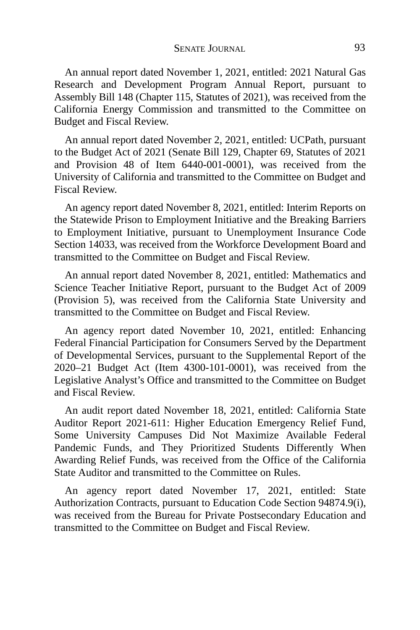An annual report dated November 1, 2021, entitled: 2021 Natural Gas Research and Development Program Annual Report, pursuant to Assembly Bill 148 (Chapter 115, Statutes of 2021), was received from the California Energy Commission and transmitted to the Committee on Budget and Fiscal Review.

An annual report dated November 2, 2021, entitled: UCPath, pursuant to the Budget Act of 2021 (Senate Bill 129, Chapter 69, Statutes of 2021 and Provision 48 of Item 6440-001-0001), was received from the University of California and transmitted to the Committee on Budget and Fiscal Review.

An agency report dated November 8, 2021, entitled: Interim Reports on the Statewide Prison to Employment Initiative and the Breaking Barriers to Employment Initiative, pursuant to Unemployment Insurance Code Section 14033, was received from the Workforce Development Board and transmitted to the Committee on Budget and Fiscal Review.

An annual report dated November 8, 2021, entitled: Mathematics and Science Teacher Initiative Report, pursuant to the Budget Act of 2009 (Provision 5), was received from the California State University and transmitted to the Committee on Budget and Fiscal Review.

An agency report dated November 10, 2021, entitled: Enhancing Federal Financial Participation for Consumers Served by the Department of Developmental Services, pursuant to the Supplemental Report of the 2020–21 Budget Act (Item 4300-101-0001), was received from the Legislative Analyst's Office and transmitted to the Committee on Budget and Fiscal Review.

An audit report dated November 18, 2021, entitled: California State Auditor Report 2021-611: Higher Education Emergency Relief Fund, Some University Campuses Did Not Maximize Available Federal Pandemic Funds, and They Prioritized Students Differently When Awarding Relief Funds, was received from the Office of the California State Auditor and transmitted to the Committee on Rules.

An agency report dated November 17, 2021, entitled: State Authorization Contracts, pursuant to Education Code Section 94874.9(i), was received from the Bureau for Private Postsecondary Education and transmitted to the Committee on Budget and Fiscal Review.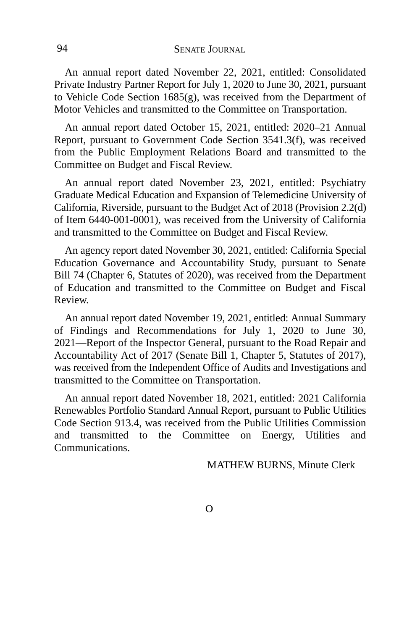An annual report dated November 22, 2021, entitled: Consolidated Private Industry Partner Report for July 1, 2020 to June 30, 2021, pursuant to Vehicle Code Section 1685(g), was received from the Department of Motor Vehicles and transmitted to the Committee on Transportation.

An annual report dated October 15, 2021, entitled: 2020–21 Annual Report, pursuant to Government Code Section 3541.3(f), was received from the Public Employment Relations Board and transmitted to the Committee on Budget and Fiscal Review.

An annual report dated November 23, 2021, entitled: Psychiatry Graduate Medical Education and Expansion of Telemedicine University of California, Riverside, pursuant to the Budget Act of 2018 (Provision 2.2(d) of Item 6440-001-0001), was received from the University of California and transmitted to the Committee on Budget and Fiscal Review.

An agency report dated November 30, 2021, entitled: California Special Education Governance and Accountability Study, pursuant to Senate Bill 74 (Chapter 6, Statutes of 2020), was received from the Department of Education and transmitted to the Committee on Budget and Fiscal Review.

An annual report dated November 19, 2021, entitled: Annual Summary of Findings and Recommendations for July 1, 2020 to June 30, 2021—Report of the Inspector General, pursuant to the Road Repair and Accountability Act of 2017 (Senate Bill 1, Chapter 5, Statutes of 2017), was received from the Independent Office of Audits and Investigations and transmitted to the Committee on Transportation.

An annual report dated November 18, 2021, entitled: 2021 California Renewables Portfolio Standard Annual Report, pursuant to Public Utilities Code Section 913.4, was received from the Public Utilities Commission and transmitted to the Committee on Energy, Utilities and Communications.

MATHEW BURNS, Minute Clerk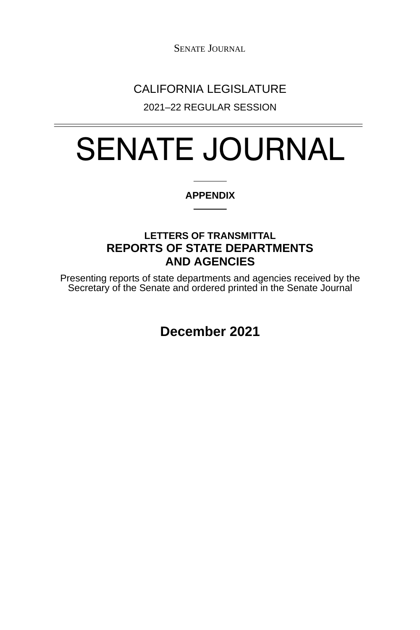SENATE JOURNAL

## CALIFORNIA LEGISLATURE

2021–22 REGULAR SESSION

# SENATE JOURNAL

#### **APPENDIX**

### **LETTERS OF TRANSMITTAL REPORTS OF STATE DEPARTMENTS AND AGENCIES**

Presenting reports of state departments and agencies received by the Secretary of the Senate and ordered printed in the Senate Journal

**December 2021**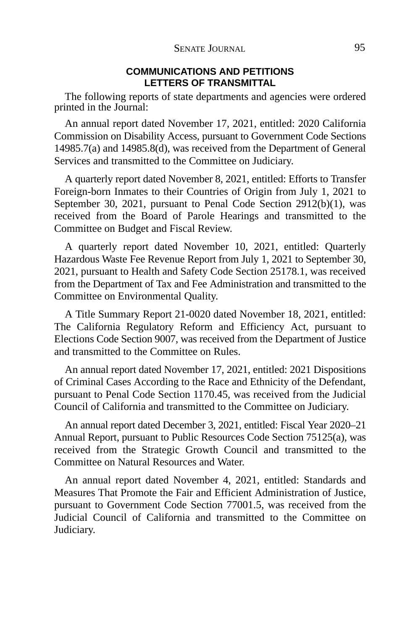#### **COMMUNICATIONS AND PETITIONS LETTERS OF TRANSMITTAL**

The following reports of state departments and agencies were ordered printed in the Journal:

An annual report dated November 17, 2021, entitled: 2020 California Commission on Disability Access, pursuant to Government Code Sections 14985.7(a) and 14985.8(d), was received from the Department of General Services and transmitted to the Committee on Judiciary.

A quarterly report dated November 8, 2021, entitled: Efforts to Transfer Foreign-born Inmates to their Countries of Origin from July 1, 2021 to September 30, 2021, pursuant to Penal Code Section 2912(b)(1), was received from the Board of Parole Hearings and transmitted to the Committee on Budget and Fiscal Review.

A quarterly report dated November 10, 2021, entitled: Quarterly Hazardous Waste Fee Revenue Report from July 1, 2021 to September 30, 2021, pursuant to Health and Safety Code Section 25178.1, was received from the Department of Tax and Fee Administration and transmitted to the Committee on Environmental Quality.

A Title Summary Report 21-0020 dated November 18, 2021, entitled: The California Regulatory Reform and Efficiency Act, pursuant to Elections Code Section 9007, was received from the Department of Justice and transmitted to the Committee on Rules.

An annual report dated November 17, 2021, entitled: 2021 Dispositions of Criminal Cases According to the Race and Ethnicity of the Defendant, pursuant to Penal Code Section 1170.45, was received from the Judicial Council of California and transmitted to the Committee on Judiciary.

An annual report dated December 3, 2021, entitled: Fiscal Year 2020–21 Annual Report, pursuant to Public Resources Code Section 75125(a), was received from the Strategic Growth Council and transmitted to the Committee on Natural Resources and Water.

An annual report dated November 4, 2021, entitled: Standards and Measures That Promote the Fair and Efficient Administration of Justice, pursuant to Government Code Section 77001.5, was received from the Judicial Council of California and transmitted to the Committee on Judiciary.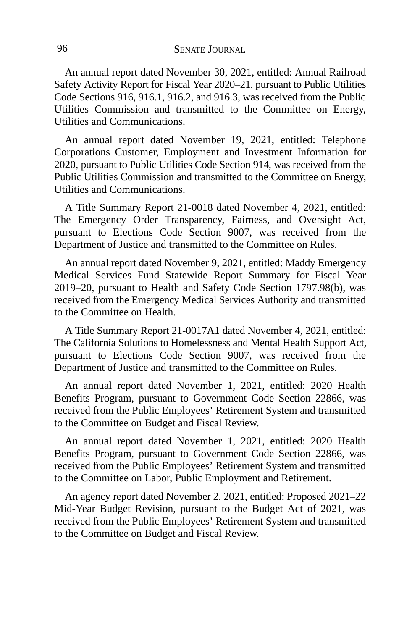An annual report dated November 30, 2021, entitled: Annual Railroad Safety Activity Report for Fiscal Year 2020–21, pursuant to Public Utilities Code Sections 916, 916.1, 916.2, and 916.3, was received from the Public Utilities Commission and transmitted to the Committee on Energy, Utilities and Communications.

An annual report dated November 19, 2021, entitled: Telephone Corporations Customer, Employment and Investment Information for 2020, pursuant to Public Utilities Code Section 914, was received from the Public Utilities Commission and transmitted to the Committee on Energy, Utilities and Communications.

A Title Summary Report 21-0018 dated November 4, 2021, entitled: The Emergency Order Transparency, Fairness, and Oversight Act, pursuant to Elections Code Section 9007, was received from the Department of Justice and transmitted to the Committee on Rules.

An annual report dated November 9, 2021, entitled: Maddy Emergency Medical Services Fund Statewide Report Summary for Fiscal Year 2019–20, pursuant to Health and Safety Code Section 1797.98(b), was received from the Emergency Medical Services Authority and transmitted to the Committee on Health.

A Title Summary Report 21-0017A1 dated November 4, 2021, entitled: The California Solutions to Homelessness and Mental Health Support Act, pursuant to Elections Code Section 9007, was received from the Department of Justice and transmitted to the Committee on Rules.

An annual report dated November 1, 2021, entitled: 2020 Health Benefits Program, pursuant to Government Code Section 22866, was received from the Public Employees' Retirement System and transmitted to the Committee on Budget and Fiscal Review.

An annual report dated November 1, 2021, entitled: 2020 Health Benefits Program, pursuant to Government Code Section 22866, was received from the Public Employees' Retirement System and transmitted to the Committee on Labor, Public Employment and Retirement.

An agency report dated November 2, 2021, entitled: Proposed 2021–22 Mid-Year Budget Revision, pursuant to the Budget Act of 2021, was received from the Public Employees' Retirement System and transmitted to the Committee on Budget and Fiscal Review.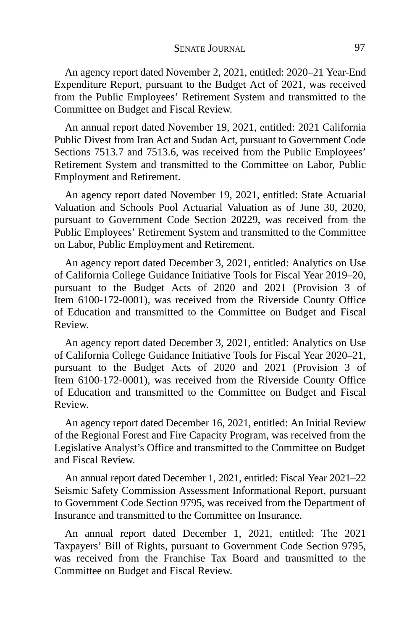An agency report dated November 2, 2021, entitled: 2020–21 Year-End Expenditure Report, pursuant to the Budget Act of 2021, was received from the Public Employees' Retirement System and transmitted to the Committee on Budget and Fiscal Review.

An annual report dated November 19, 2021, entitled: 2021 California Public Divest from Iran Act and Sudan Act, pursuant to Government Code Sections 7513.7 and 7513.6, was received from the Public Employees' Retirement System and transmitted to the Committee on Labor, Public Employment and Retirement.

An agency report dated November 19, 2021, entitled: State Actuarial Valuation and Schools Pool Actuarial Valuation as of June 30, 2020, pursuant to Government Code Section 20229, was received from the Public Employees' Retirement System and transmitted to the Committee on Labor, Public Employment and Retirement.

An agency report dated December 3, 2021, entitled: Analytics on Use of California College Guidance Initiative Tools for Fiscal Year 2019–20, pursuant to the Budget Acts of 2020 and 2021 (Provision 3 of Item 6100-172-0001), was received from the Riverside County Office of Education and transmitted to the Committee on Budget and Fiscal Review.

An agency report dated December 3, 2021, entitled: Analytics on Use of California College Guidance Initiative Tools for Fiscal Year 2020–21, pursuant to the Budget Acts of 2020 and 2021 (Provision 3 of Item 6100-172-0001), was received from the Riverside County Office of Education and transmitted to the Committee on Budget and Fiscal Review.

An agency report dated December 16, 2021, entitled: An Initial Review of the Regional Forest and Fire Capacity Program, was received from the Legislative Analyst's Office and transmitted to the Committee on Budget and Fiscal Review.

An annual report dated December 1, 2021, entitled: Fiscal Year 2021–22 Seismic Safety Commission Assessment Informational Report, pursuant to Government Code Section 9795, was received from the Department of Insurance and transmitted to the Committee on Insurance.

An annual report dated December 1, 2021, entitled: The 2021 Taxpayers' Bill of Rights, pursuant to Government Code Section 9795, was received from the Franchise Tax Board and transmitted to the Committee on Budget and Fiscal Review.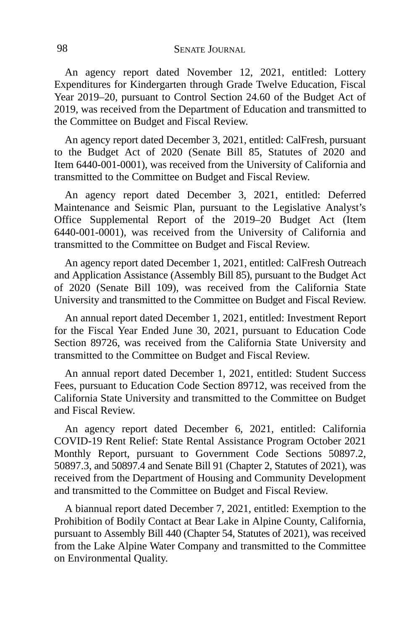An agency report dated November 12, 2021, entitled: Lottery Expenditures for Kindergarten through Grade Twelve Education, Fiscal Year 2019–20, pursuant to Control Section 24.60 of the Budget Act of 2019, was received from the Department of Education and transmitted to the Committee on Budget and Fiscal Review.

An agency report dated December 3, 2021, entitled: CalFresh, pursuant to the Budget Act of 2020 (Senate Bill 85, Statutes of 2020 and Item 6440-001-0001), was received from the University of California and transmitted to the Committee on Budget and Fiscal Review.

An agency report dated December 3, 2021, entitled: Deferred Maintenance and Seismic Plan, pursuant to the Legislative Analyst's Office Supplemental Report of the 2019–20 Budget Act (Item 6440-001-0001), was received from the University of California and transmitted to the Committee on Budget and Fiscal Review.

An agency report dated December 1, 2021, entitled: CalFresh Outreach and Application Assistance (Assembly Bill 85), pursuant to the Budget Act of 2020 (Senate Bill 109), was received from the California State University and transmitted to the Committee on Budget and Fiscal Review.

An annual report dated December 1, 2021, entitled: Investment Report for the Fiscal Year Ended June 30, 2021, pursuant to Education Code Section 89726, was received from the California State University and transmitted to the Committee on Budget and Fiscal Review.

An annual report dated December 1, 2021, entitled: Student Success Fees, pursuant to Education Code Section 89712, was received from the California State University and transmitted to the Committee on Budget and Fiscal Review.

An agency report dated December 6, 2021, entitled: California COVID-19 Rent Relief: State Rental Assistance Program October 2021 Monthly Report, pursuant to Government Code Sections 50897.2, 50897.3, and 50897.4 and Senate Bill 91 (Chapter 2, Statutes of 2021), was received from the Department of Housing and Community Development and transmitted to the Committee on Budget and Fiscal Review.

A biannual report dated December 7, 2021, entitled: Exemption to the Prohibition of Bodily Contact at Bear Lake in Alpine County, California, pursuant to Assembly Bill 440 (Chapter 54, Statutes of 2021), was received from the Lake Alpine Water Company and transmitted to the Committee on Environmental Quality.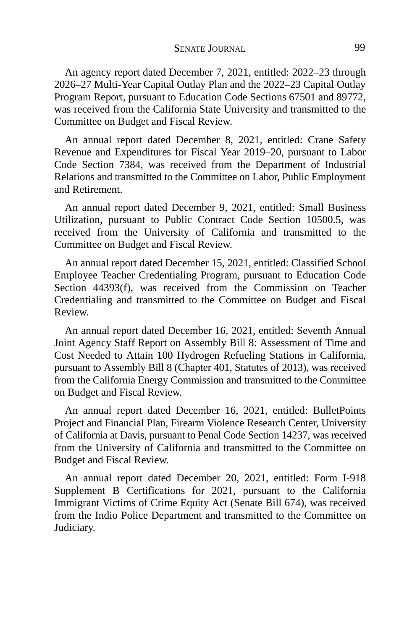An agency report dated December 7, 2021, entitled: 2022–23 through 2026–27 Multi-Year Capital Outlay Plan and the 2022–23 Capital Outlay Program Report, pursuant to Education Code Sections 67501 and 89772, was received from the California State University and transmitted to the Committee on Budget and Fiscal Review.

An annual report dated December 8, 2021, entitled: Crane Safety Revenue and Expenditures for Fiscal Year 2019–20, pursuant to Labor Code Section 7384, was received from the Department of Industrial Relations and transmitted to the Committee on Labor, Public Employment and Retirement.

An annual report dated December 9, 2021, entitled: Small Business Utilization, pursuant to Public Contract Code Section 10500.5, was received from the University of California and transmitted to the Committee on Budget and Fiscal Review.

An annual report dated December 15, 2021, entitled: Classified School Employee Teacher Credentialing Program, pursuant to Education Code Section 44393(f), was received from the Commission on Teacher Credentialing and transmitted to the Committee on Budget and Fiscal Review.

An annual report dated December 16, 2021, entitled: Seventh Annual Joint Agency Staff Report on Assembly Bill 8: Assessment of Time and Cost Needed to Attain 100 Hydrogen Refueling Stations in California, pursuant to Assembly Bill 8 (Chapter 401, Statutes of 2013), was received from the California Energy Commission and transmitted to the Committee on Budget and Fiscal Review.

An annual report dated December 16, 2021, entitled: BulletPoints Project and Financial Plan, Firearm Violence Research Center, University of California at Davis, pursuant to Penal Code Section 14237, was received from the University of California and transmitted to the Committee on Budget and Fiscal Review.

An annual report dated December 20, 2021, entitled: Form I-918 Supplement B Certifications for 2021, pursuant to the California Immigrant Victims of Crime Equity Act (Senate Bill 674), was received from the Indio Police Department and transmitted to the Committee on Judiciary.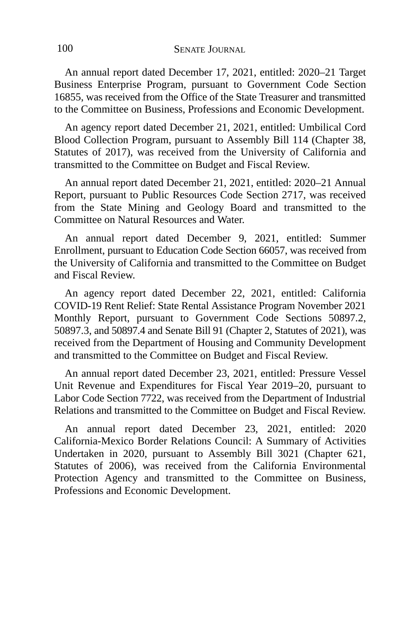An annual report dated December 17, 2021, entitled: 2020–21 Target Business Enterprise Program, pursuant to Government Code Section 16855, was received from the Office of the State Treasurer and transmitted to the Committee on Business, Professions and Economic Development.

An agency report dated December 21, 2021, entitled: Umbilical Cord Blood Collection Program, pursuant to Assembly Bill 114 (Chapter 38, Statutes of 2017), was received from the University of California and transmitted to the Committee on Budget and Fiscal Review.

An annual report dated December 21, 2021, entitled: 2020–21 Annual Report, pursuant to Public Resources Code Section 2717, was received from the State Mining and Geology Board and transmitted to the Committee on Natural Resources and Water.

An annual report dated December 9, 2021, entitled: Summer Enrollment, pursuant to Education Code Section 66057, was received from the University of California and transmitted to the Committee on Budget and Fiscal Review.

An agency report dated December 22, 2021, entitled: California COVID-19 Rent Relief: State Rental Assistance Program November 2021 Monthly Report, pursuant to Government Code Sections 50897.2, 50897.3, and 50897.4 and Senate Bill 91 (Chapter 2, Statutes of 2021), was received from the Department of Housing and Community Development and transmitted to the Committee on Budget and Fiscal Review.

An annual report dated December 23, 2021, entitled: Pressure Vessel Unit Revenue and Expenditures for Fiscal Year 2019–20, pursuant to Labor Code Section 7722, was received from the Department of Industrial Relations and transmitted to the Committee on Budget and Fiscal Review.

An annual report dated December 23, 2021, entitled: 2020 California-Mexico Border Relations Council: A Summary of Activities Undertaken in 2020, pursuant to Assembly Bill 3021 (Chapter 621, Statutes of 2006), was received from the California Environmental Protection Agency and transmitted to the Committee on Business, Professions and Economic Development.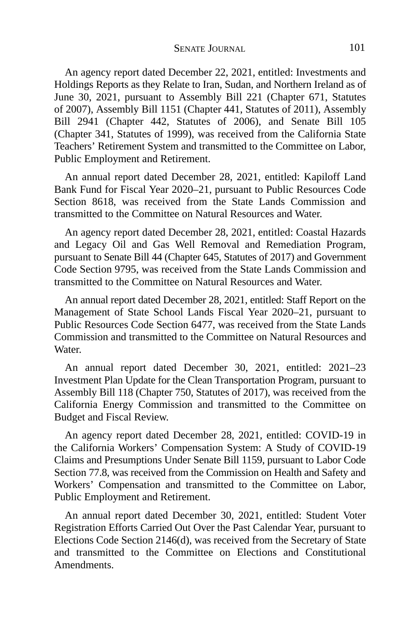An agency report dated December 22, 2021, entitled: Investments and Holdings Reports as they Relate to Iran, Sudan, and Northern Ireland as of June 30, 2021, pursuant to Assembly Bill 221 (Chapter 671, Statutes of 2007), Assembly Bill 1151 (Chapter 441, Statutes of 2011), Assembly Bill 2941 (Chapter 442, Statutes of 2006), and Senate Bill 105 (Chapter 341, Statutes of 1999), was received from the California State Teachers' Retirement System and transmitted to the Committee on Labor, Public Employment and Retirement.

An annual report dated December 28, 2021, entitled: Kapiloff Land Bank Fund for Fiscal Year 2020–21, pursuant to Public Resources Code Section 8618, was received from the State Lands Commission and transmitted to the Committee on Natural Resources and Water.

An agency report dated December 28, 2021, entitled: Coastal Hazards and Legacy Oil and Gas Well Removal and Remediation Program, pursuant to Senate Bill 44 (Chapter 645, Statutes of 2017) and Government Code Section 9795, was received from the State Lands Commission and transmitted to the Committee on Natural Resources and Water.

An annual report dated December 28, 2021, entitled: Staff Report on the Management of State School Lands Fiscal Year 2020–21, pursuant to Public Resources Code Section 6477, was received from the State Lands Commission and transmitted to the Committee on Natural Resources and Water.

An annual report dated December 30, 2021, entitled: 2021–23 Investment Plan Update for the Clean Transportation Program, pursuant to Assembly Bill 118 (Chapter 750, Statutes of 2017), was received from the California Energy Commission and transmitted to the Committee on Budget and Fiscal Review.

An agency report dated December 28, 2021, entitled: COVID-19 in the California Workers' Compensation System: A Study of COVID-19 Claims and Presumptions Under Senate Bill 1159, pursuant to Labor Code Section 77.8, was received from the Commission on Health and Safety and Workers' Compensation and transmitted to the Committee on Labor, Public Employment and Retirement.

An annual report dated December 30, 2021, entitled: Student Voter Registration Efforts Carried Out Over the Past Calendar Year, pursuant to Elections Code Section 2146(d), was received from the Secretary of State and transmitted to the Committee on Elections and Constitutional **Amendments**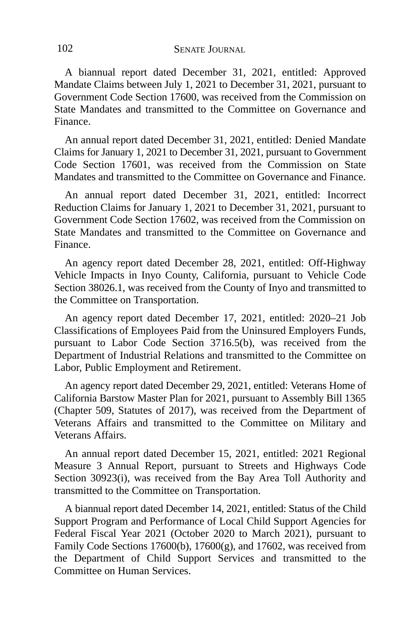A biannual report dated December 31, 2021, entitled: Approved Mandate Claims between July 1, 2021 to December 31, 2021, pursuant to Government Code Section 17600, was received from the Commission on State Mandates and transmitted to the Committee on Governance and Finance.

An annual report dated December 31, 2021, entitled: Denied Mandate Claims for January 1, 2021 to December 31, 2021, pursuant to Government Code Section 17601, was received from the Commission on State Mandates and transmitted to the Committee on Governance and Finance.

An annual report dated December 31, 2021, entitled: Incorrect Reduction Claims for January 1, 2021 to December 31, 2021, pursuant to Government Code Section 17602, was received from the Commission on State Mandates and transmitted to the Committee on Governance and Finance.

An agency report dated December 28, 2021, entitled: Off-Highway Vehicle Impacts in Inyo County, California, pursuant to Vehicle Code Section 38026.1, was received from the County of Inyo and transmitted to the Committee on Transportation.

An agency report dated December 17, 2021, entitled: 2020–21 Job Classifications of Employees Paid from the Uninsured Employers Funds, pursuant to Labor Code Section 3716.5(b), was received from the Department of Industrial Relations and transmitted to the Committee on Labor, Public Employment and Retirement.

An agency report dated December 29, 2021, entitled: Veterans Home of California Barstow Master Plan for 2021, pursuant to Assembly Bill 1365 (Chapter 509, Statutes of 2017), was received from the Department of Veterans Affairs and transmitted to the Committee on Military and Veterans Affairs.

An annual report dated December 15, 2021, entitled: 2021 Regional Measure 3 Annual Report, pursuant to Streets and Highways Code Section 30923(i), was received from the Bay Area Toll Authority and transmitted to the Committee on Transportation.

A biannual report dated December 14, 2021, entitled: Status of the Child Support Program and Performance of Local Child Support Agencies for Federal Fiscal Year 2021 (October 2020 to March 2021), pursuant to Family Code Sections 17600(b), 17600(g), and 17602, was received from the Department of Child Support Services and transmitted to the Committee on Human Services.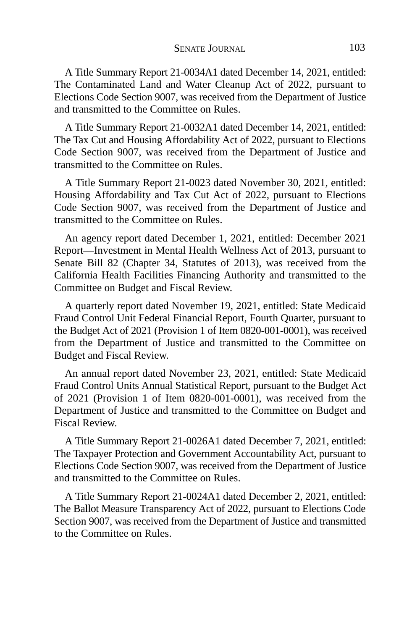A Title Summary Report 21-0034A1 dated December 14, 2021, entitled: The Contaminated Land and Water Cleanup Act of 2022, pursuant to Elections Code Section 9007, was received from the Department of Justice and transmitted to the Committee on Rules.

A Title Summary Report 21-0032A1 dated December 14, 2021, entitled: The Tax Cut and Housing Affordability Act of 2022, pursuant to Elections Code Section 9007, was received from the Department of Justice and transmitted to the Committee on Rules.

A Title Summary Report 21-0023 dated November 30, 2021, entitled: Housing Affordability and Tax Cut Act of 2022, pursuant to Elections Code Section 9007, was received from the Department of Justice and transmitted to the Committee on Rules.

An agency report dated December 1, 2021, entitled: December 2021 Report—Investment in Mental Health Wellness Act of 2013, pursuant to Senate Bill 82 (Chapter 34, Statutes of 2013), was received from the California Health Facilities Financing Authority and transmitted to the Committee on Budget and Fiscal Review.

A quarterly report dated November 19, 2021, entitled: State Medicaid Fraud Control Unit Federal Financial Report, Fourth Quarter, pursuant to the Budget Act of 2021 (Provision 1 of Item 0820-001-0001), was received from the Department of Justice and transmitted to the Committee on Budget and Fiscal Review.

An annual report dated November 23, 2021, entitled: State Medicaid Fraud Control Units Annual Statistical Report, pursuant to the Budget Act of 2021 (Provision 1 of Item 0820-001-0001), was received from the Department of Justice and transmitted to the Committee on Budget and Fiscal Review.

A Title Summary Report 21-0026A1 dated December 7, 2021, entitled: The Taxpayer Protection and Government Accountability Act, pursuant to Elections Code Section 9007, was received from the Department of Justice and transmitted to the Committee on Rules.

A Title Summary Report 21-0024A1 dated December 2, 2021, entitled: The Ballot Measure Transparency Act of 2022, pursuant to Elections Code Section 9007, was received from the Department of Justice and transmitted to the Committee on Rules.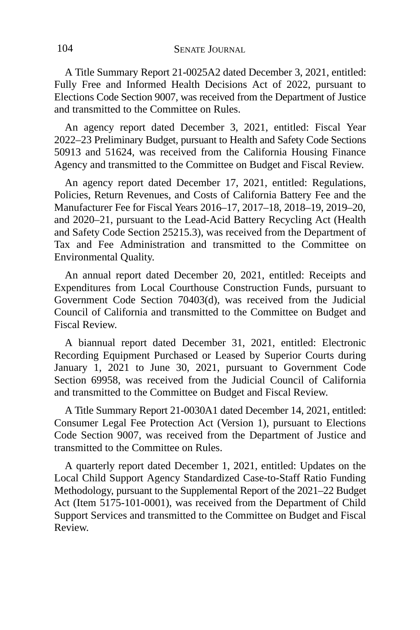A Title Summary Report 21-0025A2 dated December 3, 2021, entitled: Fully Free and Informed Health Decisions Act of 2022, pursuant to Elections Code Section 9007, was received from the Department of Justice and transmitted to the Committee on Rules.

An agency report dated December 3, 2021, entitled: Fiscal Year 2022–23 Preliminary Budget, pursuant to Health and Safety Code Sections 50913 and 51624, was received from the California Housing Finance Agency and transmitted to the Committee on Budget and Fiscal Review.

An agency report dated December 17, 2021, entitled: Regulations, Policies, Return Revenues, and Costs of California Battery Fee and the Manufacturer Fee for Fiscal Years 2016–17, 2017–18, 2018–19, 2019–20, and 2020–21, pursuant to the Lead-Acid Battery Recycling Act (Health and Safety Code Section 25215.3), was received from the Department of Tax and Fee Administration and transmitted to the Committee on Environmental Quality.

An annual report dated December 20, 2021, entitled: Receipts and Expenditures from Local Courthouse Construction Funds, pursuant to Government Code Section 70403(d), was received from the Judicial Council of California and transmitted to the Committee on Budget and Fiscal Review.

A biannual report dated December 31, 2021, entitled: Electronic Recording Equipment Purchased or Leased by Superior Courts during January 1, 2021 to June 30, 2021, pursuant to Government Code Section 69958, was received from the Judicial Council of California and transmitted to the Committee on Budget and Fiscal Review.

A Title Summary Report 21-0030A1 dated December 14, 2021, entitled: Consumer Legal Fee Protection Act (Version 1), pursuant to Elections Code Section 9007, was received from the Department of Justice and transmitted to the Committee on Rules.

A quarterly report dated December 1, 2021, entitled: Updates on the Local Child Support Agency Standardized Case-to-Staff Ratio Funding Methodology, pursuant to the Supplemental Report of the 2021–22 Budget Act (Item 5175-101-0001), was received from the Department of Child Support Services and transmitted to the Committee on Budget and Fiscal Review.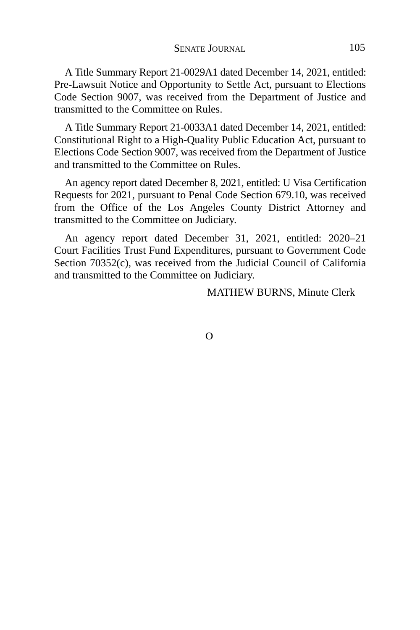A Title Summary Report 21-0029A1 dated December 14, 2021, entitled: Pre-Lawsuit Notice and Opportunity to Settle Act, pursuant to Elections Code Section 9007, was received from the Department of Justice and transmitted to the Committee on Rules.

A Title Summary Report 21-0033A1 dated December 14, 2021, entitled: Constitutional Right to a High-Quality Public Education Act, pursuant to Elections Code Section 9007, was received from the Department of Justice and transmitted to the Committee on Rules.

An agency report dated December 8, 2021, entitled: U Visa Certification Requests for 2021, pursuant to Penal Code Section 679.10, was received from the Office of the Los Angeles County District Attorney and transmitted to the Committee on Judiciary.

An agency report dated December 31, 2021, entitled: 2020–21 Court Facilities Trust Fund Expenditures, pursuant to Government Code Section 70352(c), was received from the Judicial Council of California and transmitted to the Committee on Judiciary.

MATHEW BURNS, Minute Clerk

 $\Omega$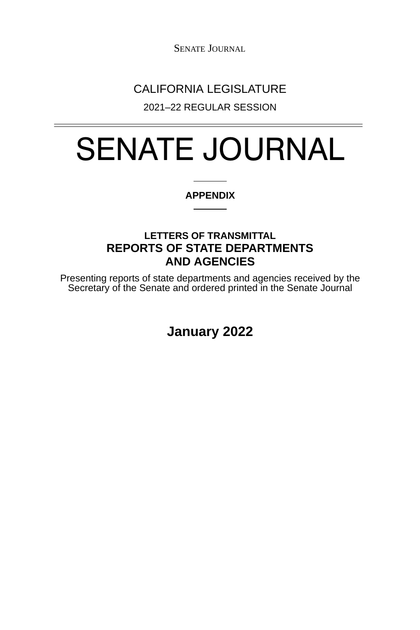SENATE JOURNAL

## CALIFORNIA LEGISLATURE

2021–22 REGULAR SESSION

# SENATE JOURNAL

#### **APPENDIX**

### **LETTERS OF TRANSMITTAL REPORTS OF STATE DEPARTMENTS AND AGENCIES**

Presenting reports of state departments and agencies received by the Secretary of the Senate and ordered printed in the Senate Journal

**January 2022**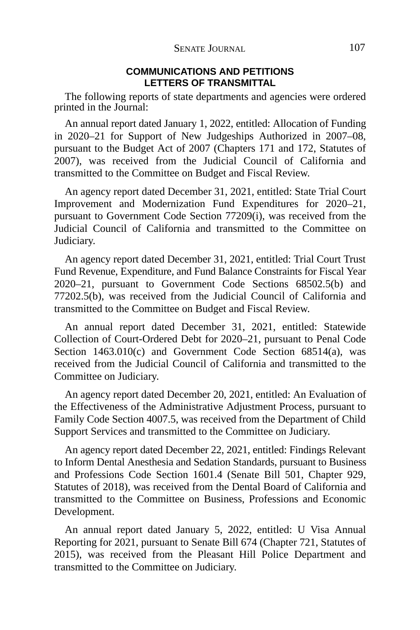#### **COMMUNICATIONS AND PETITIONS LETTERS OF TRANSMITTAL**

The following reports of state departments and agencies were ordered printed in the Journal:

An annual report dated January 1, 2022, entitled: Allocation of Funding in 2020–21 for Support of New Judgeships Authorized in 2007–08, pursuant to the Budget Act of 2007 (Chapters 171 and 172, Statutes of 2007), was received from the Judicial Council of California and transmitted to the Committee on Budget and Fiscal Review.

An agency report dated December 31, 2021, entitled: State Trial Court Improvement and Modernization Fund Expenditures for 2020–21, pursuant to Government Code Section 77209(i), was received from the Judicial Council of California and transmitted to the Committee on Judiciary.

An agency report dated December 31, 2021, entitled: Trial Court Trust Fund Revenue, Expenditure, and Fund Balance Constraints for Fiscal Year 2020–21, pursuant to Government Code Sections 68502.5(b) and 77202.5(b), was received from the Judicial Council of California and transmitted to the Committee on Budget and Fiscal Review.

An annual report dated December 31, 2021, entitled: Statewide Collection of Court-Ordered Debt for 2020–21, pursuant to Penal Code Section 1463.010(c) and Government Code Section 68514(a), was received from the Judicial Council of California and transmitted to the Committee on Judiciary.

An agency report dated December 20, 2021, entitled: An Evaluation of the Effectiveness of the Administrative Adjustment Process, pursuant to Family Code Section 4007.5, was received from the Department of Child Support Services and transmitted to the Committee on Judiciary.

An agency report dated December 22, 2021, entitled: Findings Relevant to Inform Dental Anesthesia and Sedation Standards, pursuant to Business and Professions Code Section 1601.4 (Senate Bill 501, Chapter 929, Statutes of 2018), was received from the Dental Board of California and transmitted to the Committee on Business, Professions and Economic Development.

An annual report dated January 5, 2022, entitled: U Visa Annual Reporting for 2021, pursuant to Senate Bill 674 (Chapter 721, Statutes of 2015), was received from the Pleasant Hill Police Department and transmitted to the Committee on Judiciary.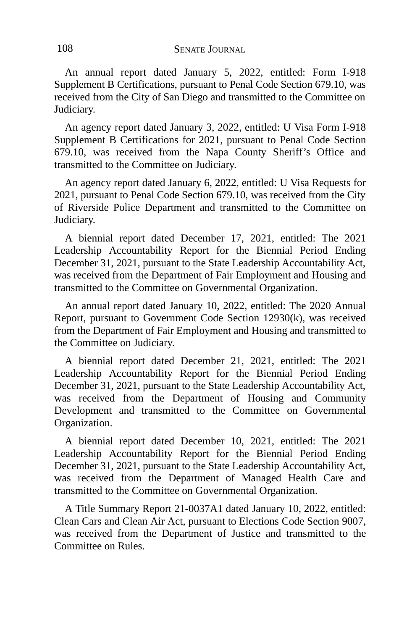An annual report dated January 5, 2022, entitled: Form I-918 Supplement B Certifications, pursuant to Penal Code Section 679.10, was received from the City of San Diego and transmitted to the Committee on Judiciary.

An agency report dated January 3, 2022, entitled: U Visa Form I-918 Supplement B Certifications for 2021, pursuant to Penal Code Section 679.10, was received from the Napa County Sheriff's Office and transmitted to the Committee on Judiciary.

An agency report dated January 6, 2022, entitled: U Visa Requests for 2021, pursuant to Penal Code Section 679.10, was received from the City of Riverside Police Department and transmitted to the Committee on Judiciary.

A biennial report dated December 17, 2021, entitled: The 2021 Leadership Accountability Report for the Biennial Period Ending December 31, 2021, pursuant to the State Leadership Accountability Act, was received from the Department of Fair Employment and Housing and transmitted to the Committee on Governmental Organization.

An annual report dated January 10, 2022, entitled: The 2020 Annual Report, pursuant to Government Code Section 12930(k), was received from the Department of Fair Employment and Housing and transmitted to the Committee on Judiciary.

A biennial report dated December 21, 2021, entitled: The 2021 Leadership Accountability Report for the Biennial Period Ending December 31, 2021, pursuant to the State Leadership Accountability Act, was received from the Department of Housing and Community Development and transmitted to the Committee on Governmental Organization.

A biennial report dated December 10, 2021, entitled: The 2021 Leadership Accountability Report for the Biennial Period Ending December 31, 2021, pursuant to the State Leadership Accountability Act, was received from the Department of Managed Health Care and transmitted to the Committee on Governmental Organization.

A Title Summary Report 21-0037A1 dated January 10, 2022, entitled: Clean Cars and Clean Air Act, pursuant to Elections Code Section 9007, was received from the Department of Justice and transmitted to the Committee on Rules.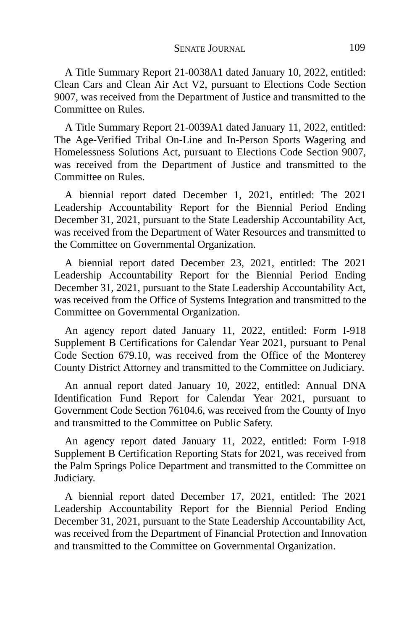A Title Summary Report 21-0038A1 dated January 10, 2022, entitled: Clean Cars and Clean Air Act V2, pursuant to Elections Code Section 9007, was received from the Department of Justice and transmitted to the Committee on Rules.

A Title Summary Report 21-0039A1 dated January 11, 2022, entitled: The Age-Verified Tribal On-Line and In-Person Sports Wagering and Homelessness Solutions Act, pursuant to Elections Code Section 9007, was received from the Department of Justice and transmitted to the Committee on Rules.

A biennial report dated December 1, 2021, entitled: The 2021 Leadership Accountability Report for the Biennial Period Ending December 31, 2021, pursuant to the State Leadership Accountability Act, was received from the Department of Water Resources and transmitted to the Committee on Governmental Organization.

A biennial report dated December 23, 2021, entitled: The 2021 Leadership Accountability Report for the Biennial Period Ending December 31, 2021, pursuant to the State Leadership Accountability Act, was received from the Office of Systems Integration and transmitted to the Committee on Governmental Organization.

An agency report dated January 11, 2022, entitled: Form I-918 Supplement B Certifications for Calendar Year 2021, pursuant to Penal Code Section 679.10, was received from the Office of the Monterey County District Attorney and transmitted to the Committee on Judiciary.

An annual report dated January 10, 2022, entitled: Annual DNA Identification Fund Report for Calendar Year 2021, pursuant to Government Code Section 76104.6, was received from the County of Inyo and transmitted to the Committee on Public Safety.

An agency report dated January 11, 2022, entitled: Form I-918 Supplement B Certification Reporting Stats for 2021, was received from the Palm Springs Police Department and transmitted to the Committee on Judiciary.

A biennial report dated December 17, 2021, entitled: The 2021 Leadership Accountability Report for the Biennial Period Ending December 31, 2021, pursuant to the State Leadership Accountability Act, was received from the Department of Financial Protection and Innovation and transmitted to the Committee on Governmental Organization.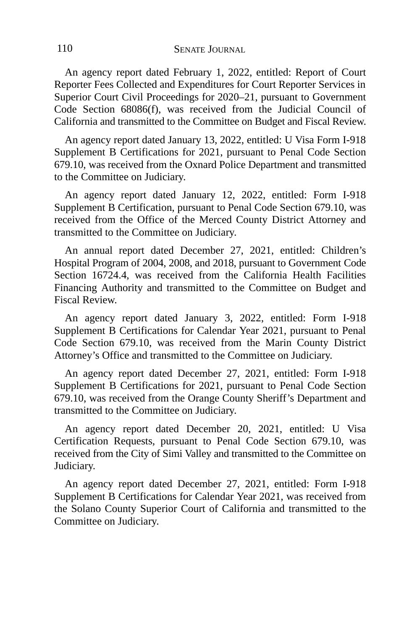An agency report dated February 1, 2022, entitled: Report of Court Reporter Fees Collected and Expenditures for Court Reporter Services in Superior Court Civil Proceedings for 2020–21, pursuant to Government Code Section 68086(f), was received from the Judicial Council of California and transmitted to the Committee on Budget and Fiscal Review.

An agency report dated January 13, 2022, entitled: U Visa Form I-918 Supplement B Certifications for 2021, pursuant to Penal Code Section 679.10, was received from the Oxnard Police Department and transmitted to the Committee on Judiciary.

An agency report dated January 12, 2022, entitled: Form I-918 Supplement B Certification, pursuant to Penal Code Section 679.10, was received from the Office of the Merced County District Attorney and transmitted to the Committee on Judiciary.

An annual report dated December 27, 2021, entitled: Children's Hospital Program of 2004, 2008, and 2018, pursuant to Government Code Section 16724.4, was received from the California Health Facilities Financing Authority and transmitted to the Committee on Budget and Fiscal Review.

An agency report dated January 3, 2022, entitled: Form I-918 Supplement B Certifications for Calendar Year 2021, pursuant to Penal Code Section 679.10, was received from the Marin County District Attorney's Office and transmitted to the Committee on Judiciary.

An agency report dated December 27, 2021, entitled: Form I-918 Supplement B Certifications for 2021, pursuant to Penal Code Section 679.10, was received from the Orange County Sheriff's Department and transmitted to the Committee on Judiciary.

An agency report dated December 20, 2021, entitled: U Visa Certification Requests, pursuant to Penal Code Section 679.10, was received from the City of Simi Valley and transmitted to the Committee on Judiciary.

An agency report dated December 27, 2021, entitled: Form I-918 Supplement B Certifications for Calendar Year 2021, was received from the Solano County Superior Court of California and transmitted to the Committee on Judiciary.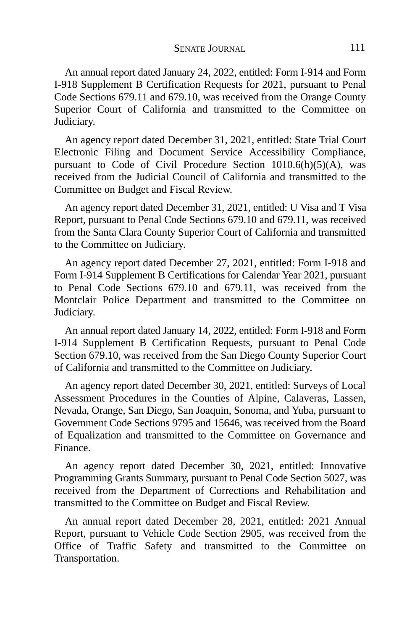An annual report dated January 24, 2022, entitled: Form I-914 and Form I-918 Supplement B Certification Requests for 2021, pursuant to Penal Code Sections 679.11 and 679.10, was received from the Orange County Superior Court of California and transmitted to the Committee on Judiciary.

An agency report dated December 31, 2021, entitled: State Trial Court Electronic Filing and Document Service Accessibility Compliance, pursuant to Code of Civil Procedure Section 1010.6(h)(5)(A), was received from the Judicial Council of California and transmitted to the Committee on Budget and Fiscal Review.

An agency report dated December 31, 2021, entitled: U Visa and T Visa Report, pursuant to Penal Code Sections 679.10 and 679.11, was received from the Santa Clara County Superior Court of California and transmitted to the Committee on Judiciary.

An agency report dated December 27, 2021, entitled: Form I-918 and Form I-914 Supplement B Certifications for Calendar Year 2021, pursuant to Penal Code Sections 679.10 and 679.11, was received from the Montclair Police Department and transmitted to the Committee on Judiciary.

An annual report dated January 14, 2022, entitled: Form I-918 and Form I-914 Supplement B Certification Requests, pursuant to Penal Code Section 679.10, was received from the San Diego County Superior Court of California and transmitted to the Committee on Judiciary.

An agency report dated December 30, 2021, entitled: Surveys of Local Assessment Procedures in the Counties of Alpine, Calaveras, Lassen, Nevada, Orange, San Diego, San Joaquin, Sonoma, and Yuba, pursuant to Government Code Sections 9795 and 15646, was received from the Board of Equalization and transmitted to the Committee on Governance and Finance.

An agency report dated December 30, 2021, entitled: Innovative Programming Grants Summary, pursuant to Penal Code Section 5027, was received from the Department of Corrections and Rehabilitation and transmitted to the Committee on Budget and Fiscal Review.

An annual report dated December 28, 2021, entitled: 2021 Annual Report, pursuant to Vehicle Code Section 2905, was received from the Office of Traffic Safety and transmitted to the Committee on Transportation.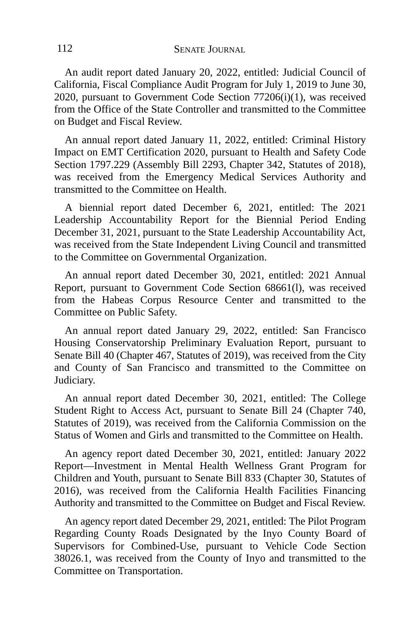An audit report dated January 20, 2022, entitled: Judicial Council of California, Fiscal Compliance Audit Program for July 1, 2019 to June 30, 2020, pursuant to Government Code Section 77206(i)(1), was received from the Office of the State Controller and transmitted to the Committee on Budget and Fiscal Review.

An annual report dated January 11, 2022, entitled: Criminal History Impact on EMT Certification 2020, pursuant to Health and Safety Code Section 1797.229 (Assembly Bill 2293, Chapter 342, Statutes of 2018), was received from the Emergency Medical Services Authority and transmitted to the Committee on Health.

A biennial report dated December 6, 2021, entitled: The 2021 Leadership Accountability Report for the Biennial Period Ending December 31, 2021, pursuant to the State Leadership Accountability Act, was received from the State Independent Living Council and transmitted to the Committee on Governmental Organization.

An annual report dated December 30, 2021, entitled: 2021 Annual Report, pursuant to Government Code Section 68661(l), was received from the Habeas Corpus Resource Center and transmitted to the Committee on Public Safety.

An annual report dated January 29, 2022, entitled: San Francisco Housing Conservatorship Preliminary Evaluation Report, pursuant to Senate Bill 40 (Chapter 467, Statutes of 2019), was received from the City and County of San Francisco and transmitted to the Committee on Judiciary.

An annual report dated December 30, 2021, entitled: The College Student Right to Access Act, pursuant to Senate Bill 24 (Chapter 740, Statutes of 2019), was received from the California Commission on the Status of Women and Girls and transmitted to the Committee on Health.

An agency report dated December 30, 2021, entitled: January 2022 Report—Investment in Mental Health Wellness Grant Program for Children and Youth, pursuant to Senate Bill 833 (Chapter 30, Statutes of 2016), was received from the California Health Facilities Financing Authority and transmitted to the Committee on Budget and Fiscal Review.

An agency report dated December 29, 2021, entitled: The Pilot Program Regarding County Roads Designated by the Inyo County Board of Supervisors for Combined-Use, pursuant to Vehicle Code Section 38026.1, was received from the County of Inyo and transmitted to the Committee on Transportation.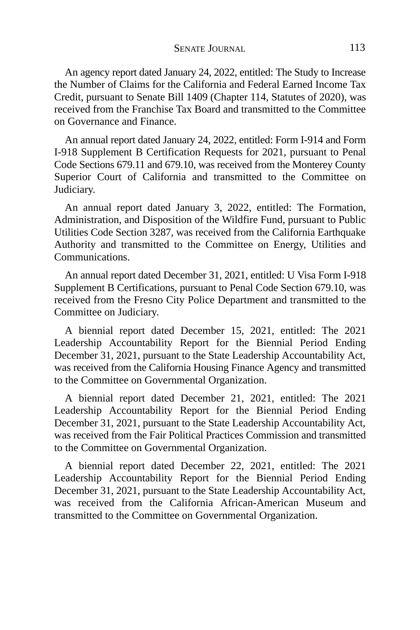An agency report dated January 24, 2022, entitled: The Study to Increase the Number of Claims for the California and Federal Earned Income Tax Credit, pursuant to Senate Bill 1409 (Chapter 114, Statutes of 2020), was received from the Franchise Tax Board and transmitted to the Committee on Governance and Finance.

An annual report dated January 24, 2022, entitled: Form I-914 and Form I-918 Supplement B Certification Requests for 2021, pursuant to Penal Code Sections 679.11 and 679.10, was received from the Monterey County Superior Court of California and transmitted to the Committee on Judiciary.

An annual report dated January 3, 2022, entitled: The Formation, Administration, and Disposition of the Wildfire Fund, pursuant to Public Utilities Code Section 3287, was received from the California Earthquake Authority and transmitted to the Committee on Energy, Utilities and Communications.

An annual report dated December 31, 2021, entitled: U Visa Form I-918 Supplement B Certifications, pursuant to Penal Code Section 679.10, was received from the Fresno City Police Department and transmitted to the Committee on Judiciary.

A biennial report dated December 15, 2021, entitled: The 2021 Leadership Accountability Report for the Biennial Period Ending December 31, 2021, pursuant to the State Leadership Accountability Act, was received from the California Housing Finance Agency and transmitted to the Committee on Governmental Organization.

A biennial report dated December 21, 2021, entitled: The 2021 Leadership Accountability Report for the Biennial Period Ending December 31, 2021, pursuant to the State Leadership Accountability Act, was received from the Fair Political Practices Commission and transmitted to the Committee on Governmental Organization.

A biennial report dated December 22, 2021, entitled: The 2021 Leadership Accountability Report for the Biennial Period Ending December 31, 2021, pursuant to the State Leadership Accountability Act, was received from the California African-American Museum and transmitted to the Committee on Governmental Organization.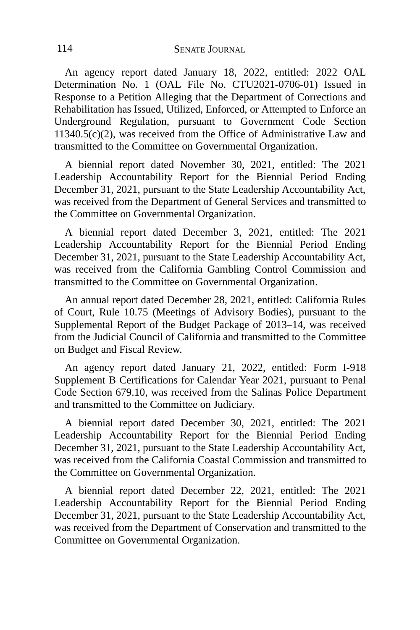An agency report dated January 18, 2022, entitled: 2022 OAL Determination No. 1 (OAL File No. CTU2021-0706-01) Issued in Response to a Petition Alleging that the Department of Corrections and Rehabilitation has Issued, Utilized, Enforced, or Attempted to Enforce an Underground Regulation, pursuant to Government Code Section 11340.5(c)(2), was received from the Office of Administrative Law and transmitted to the Committee on Governmental Organization.

A biennial report dated November 30, 2021, entitled: The 2021 Leadership Accountability Report for the Biennial Period Ending December 31, 2021, pursuant to the State Leadership Accountability Act, was received from the Department of General Services and transmitted to the Committee on Governmental Organization.

A biennial report dated December 3, 2021, entitled: The 2021 Leadership Accountability Report for the Biennial Period Ending December 31, 2021, pursuant to the State Leadership Accountability Act, was received from the California Gambling Control Commission and transmitted to the Committee on Governmental Organization.

An annual report dated December 28, 2021, entitled: California Rules of Court, Rule 10.75 (Meetings of Advisory Bodies), pursuant to the Supplemental Report of the Budget Package of 2013–14, was received from the Judicial Council of California and transmitted to the Committee on Budget and Fiscal Review.

An agency report dated January 21, 2022, entitled: Form I-918 Supplement B Certifications for Calendar Year 2021, pursuant to Penal Code Section 679.10, was received from the Salinas Police Department and transmitted to the Committee on Judiciary.

A biennial report dated December 30, 2021, entitled: The 2021 Leadership Accountability Report for the Biennial Period Ending December 31, 2021, pursuant to the State Leadership Accountability Act, was received from the California Coastal Commission and transmitted to the Committee on Governmental Organization.

A biennial report dated December 22, 2021, entitled: The 2021 Leadership Accountability Report for the Biennial Period Ending December 31, 2021, pursuant to the State Leadership Accountability Act, was received from the Department of Conservation and transmitted to the Committee on Governmental Organization.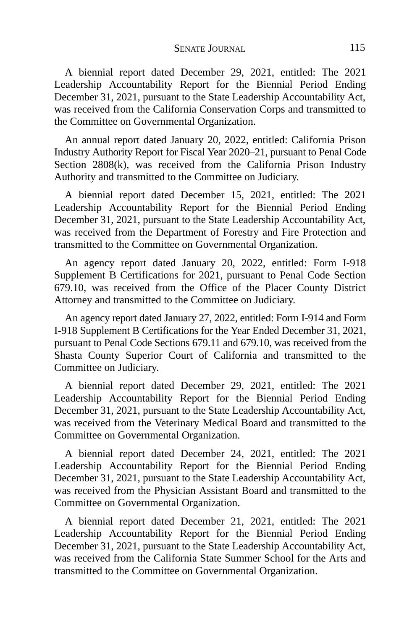A biennial report dated December 29, 2021, entitled: The 2021 Leadership Accountability Report for the Biennial Period Ending December 31, 2021, pursuant to the State Leadership Accountability Act, was received from the California Conservation Corps and transmitted to the Committee on Governmental Organization.

An annual report dated January 20, 2022, entitled: California Prison Industry Authority Report for Fiscal Year 2020–21, pursuant to Penal Code Section 2808(k), was received from the California Prison Industry Authority and transmitted to the Committee on Judiciary.

A biennial report dated December 15, 2021, entitled: The 2021 Leadership Accountability Report for the Biennial Period Ending December 31, 2021, pursuant to the State Leadership Accountability Act, was received from the Department of Forestry and Fire Protection and transmitted to the Committee on Governmental Organization.

An agency report dated January 20, 2022, entitled: Form I-918 Supplement B Certifications for 2021, pursuant to Penal Code Section 679.10, was received from the Office of the Placer County District Attorney and transmitted to the Committee on Judiciary.

An agency report dated January 27, 2022, entitled: Form I-914 and Form I-918 Supplement B Certifications for the Year Ended December 31, 2021, pursuant to Penal Code Sections 679.11 and 679.10, was received from the Shasta County Superior Court of California and transmitted to the Committee on Judiciary.

A biennial report dated December 29, 2021, entitled: The 2021 Leadership Accountability Report for the Biennial Period Ending December 31, 2021, pursuant to the State Leadership Accountability Act, was received from the Veterinary Medical Board and transmitted to the Committee on Governmental Organization.

A biennial report dated December 24, 2021, entitled: The 2021 Leadership Accountability Report for the Biennial Period Ending December 31, 2021, pursuant to the State Leadership Accountability Act, was received from the Physician Assistant Board and transmitted to the Committee on Governmental Organization.

A biennial report dated December 21, 2021, entitled: The 2021 Leadership Accountability Report for the Biennial Period Ending December 31, 2021, pursuant to the State Leadership Accountability Act, was received from the California State Summer School for the Arts and transmitted to the Committee on Governmental Organization.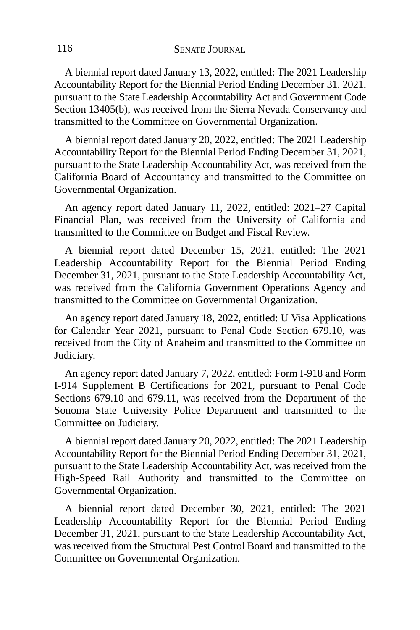A biennial report dated January 13, 2022, entitled: The 2021 Leadership Accountability Report for the Biennial Period Ending December 31, 2021, pursuant to the State Leadership Accountability Act and Government Code Section 13405(b), was received from the Sierra Nevada Conservancy and transmitted to the Committee on Governmental Organization.

A biennial report dated January 20, 2022, entitled: The 2021 Leadership Accountability Report for the Biennial Period Ending December 31, 2021, pursuant to the State Leadership Accountability Act, was received from the California Board of Accountancy and transmitted to the Committee on Governmental Organization.

An agency report dated January 11, 2022, entitled: 2021–27 Capital Financial Plan, was received from the University of California and transmitted to the Committee on Budget and Fiscal Review.

A biennial report dated December 15, 2021, entitled: The 2021 Leadership Accountability Report for the Biennial Period Ending December 31, 2021, pursuant to the State Leadership Accountability Act, was received from the California Government Operations Agency and transmitted to the Committee on Governmental Organization.

An agency report dated January 18, 2022, entitled: U Visa Applications for Calendar Year 2021, pursuant to Penal Code Section 679.10, was received from the City of Anaheim and transmitted to the Committee on Judiciary.

An agency report dated January 7, 2022, entitled: Form I-918 and Form I-914 Supplement B Certifications for 2021, pursuant to Penal Code Sections 679.10 and 679.11, was received from the Department of the Sonoma State University Police Department and transmitted to the Committee on Judiciary.

A biennial report dated January 20, 2022, entitled: The 2021 Leadership Accountability Report for the Biennial Period Ending December 31, 2021, pursuant to the State Leadership Accountability Act, was received from the High-Speed Rail Authority and transmitted to the Committee on Governmental Organization.

A biennial report dated December 30, 2021, entitled: The 2021 Leadership Accountability Report for the Biennial Period Ending December 31, 2021, pursuant to the State Leadership Accountability Act, was received from the Structural Pest Control Board and transmitted to the Committee on Governmental Organization.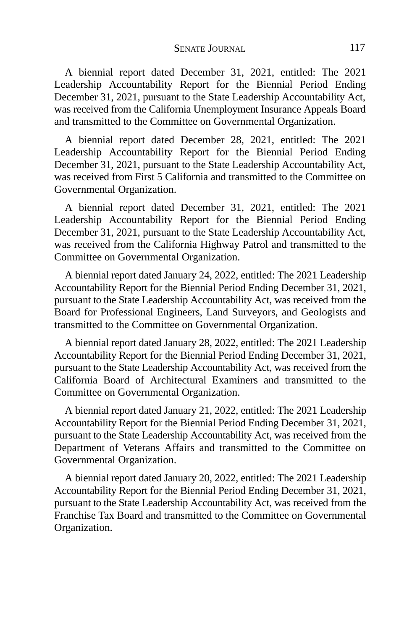A biennial report dated December 31, 2021, entitled: The 2021 Leadership Accountability Report for the Biennial Period Ending December 31, 2021, pursuant to the State Leadership Accountability Act, was received from the California Unemployment Insurance Appeals Board and transmitted to the Committee on Governmental Organization.

A biennial report dated December 28, 2021, entitled: The 2021 Leadership Accountability Report for the Biennial Period Ending December 31, 2021, pursuant to the State Leadership Accountability Act, was received from First 5 California and transmitted to the Committee on Governmental Organization.

A biennial report dated December 31, 2021, entitled: The 2021 Leadership Accountability Report for the Biennial Period Ending December 31, 2021, pursuant to the State Leadership Accountability Act, was received from the California Highway Patrol and transmitted to the Committee on Governmental Organization.

A biennial report dated January 24, 2022, entitled: The 2021 Leadership Accountability Report for the Biennial Period Ending December 31, 2021, pursuant to the State Leadership Accountability Act, was received from the Board for Professional Engineers, Land Surveyors, and Geologists and transmitted to the Committee on Governmental Organization.

A biennial report dated January 28, 2022, entitled: The 2021 Leadership Accountability Report for the Biennial Period Ending December 31, 2021, pursuant to the State Leadership Accountability Act, was received from the California Board of Architectural Examiners and transmitted to the Committee on Governmental Organization.

A biennial report dated January 21, 2022, entitled: The 2021 Leadership Accountability Report for the Biennial Period Ending December 31, 2021, pursuant to the State Leadership Accountability Act, was received from the Department of Veterans Affairs and transmitted to the Committee on Governmental Organization.

A biennial report dated January 20, 2022, entitled: The 2021 Leadership Accountability Report for the Biennial Period Ending December 31, 2021, pursuant to the State Leadership Accountability Act, was received from the Franchise Tax Board and transmitted to the Committee on Governmental Organization.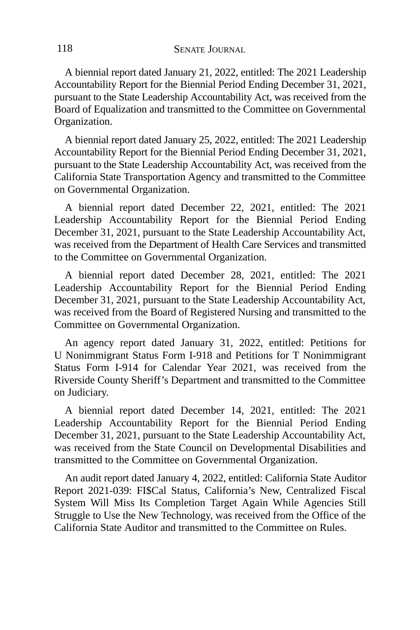A biennial report dated January 21, 2022, entitled: The 2021 Leadership Accountability Report for the Biennial Period Ending December 31, 2021, pursuant to the State Leadership Accountability Act, was received from the Board of Equalization and transmitted to the Committee on Governmental Organization.

A biennial report dated January 25, 2022, entitled: The 2021 Leadership Accountability Report for the Biennial Period Ending December 31, 2021, pursuant to the State Leadership Accountability Act, was received from the California State Transportation Agency and transmitted to the Committee on Governmental Organization.

A biennial report dated December 22, 2021, entitled: The 2021 Leadership Accountability Report for the Biennial Period Ending December 31, 2021, pursuant to the State Leadership Accountability Act, was received from the Department of Health Care Services and transmitted to the Committee on Governmental Organization.

A biennial report dated December 28, 2021, entitled: The 2021 Leadership Accountability Report for the Biennial Period Ending December 31, 2021, pursuant to the State Leadership Accountability Act, was received from the Board of Registered Nursing and transmitted to the Committee on Governmental Organization.

An agency report dated January 31, 2022, entitled: Petitions for U Nonimmigrant Status Form I-918 and Petitions for T Nonimmigrant Status Form I-914 for Calendar Year 2021, was received from the Riverside County Sheriff's Department and transmitted to the Committee on Judiciary.

A biennial report dated December 14, 2021, entitled: The 2021 Leadership Accountability Report for the Biennial Period Ending December 31, 2021, pursuant to the State Leadership Accountability Act, was received from the State Council on Developmental Disabilities and transmitted to the Committee on Governmental Organization.

An audit report dated January 4, 2022, entitled: California State Auditor Report 2021-039: FI\$Cal Status, California's New, Centralized Fiscal System Will Miss Its Completion Target Again While Agencies Still Struggle to Use the New Technology, was received from the Office of the California State Auditor and transmitted to the Committee on Rules.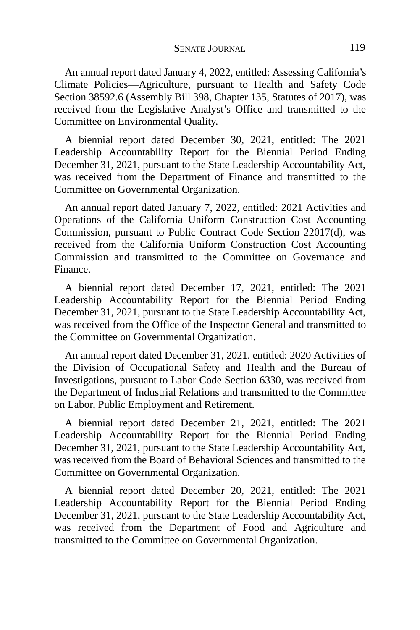An annual report dated January 4, 2022, entitled: Assessing California's Climate Policies—Agriculture, pursuant to Health and Safety Code Section 38592.6 (Assembly Bill 398, Chapter 135, Statutes of 2017), was received from the Legislative Analyst's Office and transmitted to the Committee on Environmental Quality.

A biennial report dated December 30, 2021, entitled: The 2021 Leadership Accountability Report for the Biennial Period Ending December 31, 2021, pursuant to the State Leadership Accountability Act, was received from the Department of Finance and transmitted to the Committee on Governmental Organization.

An annual report dated January 7, 2022, entitled: 2021 Activities and Operations of the California Uniform Construction Cost Accounting Commission, pursuant to Public Contract Code Section 22017(d), was received from the California Uniform Construction Cost Accounting Commission and transmitted to the Committee on Governance and Finance.

A biennial report dated December 17, 2021, entitled: The 2021 Leadership Accountability Report for the Biennial Period Ending December 31, 2021, pursuant to the State Leadership Accountability Act, was received from the Office of the Inspector General and transmitted to the Committee on Governmental Organization.

An annual report dated December 31, 2021, entitled: 2020 Activities of the Division of Occupational Safety and Health and the Bureau of Investigations, pursuant to Labor Code Section 6330, was received from the Department of Industrial Relations and transmitted to the Committee on Labor, Public Employment and Retirement.

A biennial report dated December 21, 2021, entitled: The 2021 Leadership Accountability Report for the Biennial Period Ending December 31, 2021, pursuant to the State Leadership Accountability Act, was received from the Board of Behavioral Sciences and transmitted to the Committee on Governmental Organization.

A biennial report dated December 20, 2021, entitled: The 2021 Leadership Accountability Report for the Biennial Period Ending December 31, 2021, pursuant to the State Leadership Accountability Act, was received from the Department of Food and Agriculture and transmitted to the Committee on Governmental Organization.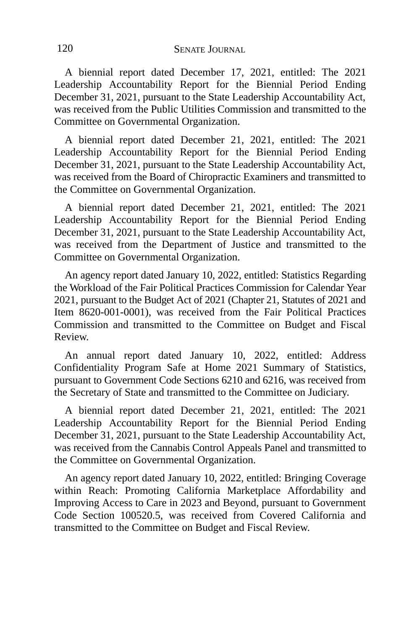A biennial report dated December 17, 2021, entitled: The 2021 Leadership Accountability Report for the Biennial Period Ending December 31, 2021, pursuant to the State Leadership Accountability Act, was received from the Public Utilities Commission and transmitted to the Committee on Governmental Organization.

A biennial report dated December 21, 2021, entitled: The 2021 Leadership Accountability Report for the Biennial Period Ending December 31, 2021, pursuant to the State Leadership Accountability Act, was received from the Board of Chiropractic Examiners and transmitted to the Committee on Governmental Organization.

A biennial report dated December 21, 2021, entitled: The 2021 Leadership Accountability Report for the Biennial Period Ending December 31, 2021, pursuant to the State Leadership Accountability Act, was received from the Department of Justice and transmitted to the Committee on Governmental Organization.

An agency report dated January 10, 2022, entitled: Statistics Regarding the Workload of the Fair Political Practices Commission for Calendar Year 2021, pursuant to the Budget Act of 2021 (Chapter 21, Statutes of 2021 and Item 8620-001-0001), was received from the Fair Political Practices Commission and transmitted to the Committee on Budget and Fiscal Review.

An annual report dated January 10, 2022, entitled: Address Confidentiality Program Safe at Home 2021 Summary of Statistics, pursuant to Government Code Sections 6210 and 6216, was received from the Secretary of State and transmitted to the Committee on Judiciary.

A biennial report dated December 21, 2021, entitled: The 2021 Leadership Accountability Report for the Biennial Period Ending December 31, 2021, pursuant to the State Leadership Accountability Act, was received from the Cannabis Control Appeals Panel and transmitted to the Committee on Governmental Organization.

An agency report dated January 10, 2022, entitled: Bringing Coverage within Reach: Promoting California Marketplace Affordability and Improving Access to Care in 2023 and Beyond, pursuant to Government Code Section 100520.5, was received from Covered California and transmitted to the Committee on Budget and Fiscal Review.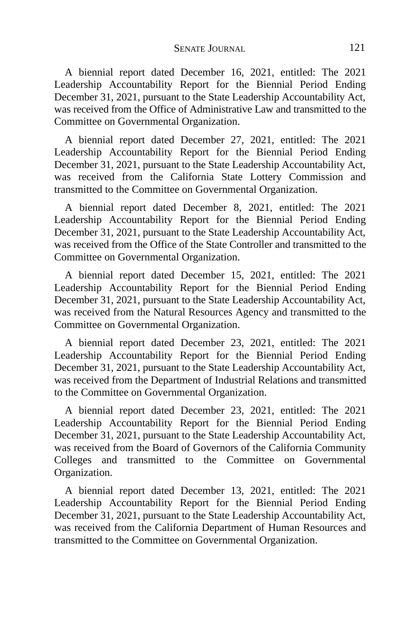A biennial report dated December 16, 2021, entitled: The 2021 Leadership Accountability Report for the Biennial Period Ending December 31, 2021, pursuant to the State Leadership Accountability Act, was received from the Office of Administrative Law and transmitted to the Committee on Governmental Organization.

A biennial report dated December 27, 2021, entitled: The 2021 Leadership Accountability Report for the Biennial Period Ending December 31, 2021, pursuant to the State Leadership Accountability Act, was received from the California State Lottery Commission and transmitted to the Committee on Governmental Organization.

A biennial report dated December 8, 2021, entitled: The 2021 Leadership Accountability Report for the Biennial Period Ending December 31, 2021, pursuant to the State Leadership Accountability Act, was received from the Office of the State Controller and transmitted to the Committee on Governmental Organization.

A biennial report dated December 15, 2021, entitled: The 2021 Leadership Accountability Report for the Biennial Period Ending December 31, 2021, pursuant to the State Leadership Accountability Act, was received from the Natural Resources Agency and transmitted to the Committee on Governmental Organization.

A biennial report dated December 23, 2021, entitled: The 2021 Leadership Accountability Report for the Biennial Period Ending December 31, 2021, pursuant to the State Leadership Accountability Act, was received from the Department of Industrial Relations and transmitted to the Committee on Governmental Organization.

A biennial report dated December 23, 2021, entitled: The 2021 Leadership Accountability Report for the Biennial Period Ending December 31, 2021, pursuant to the State Leadership Accountability Act, was received from the Board of Governors of the California Community Colleges and transmitted to the Committee on Governmental Organization.

A biennial report dated December 13, 2021, entitled: The 2021 Leadership Accountability Report for the Biennial Period Ending December 31, 2021, pursuant to the State Leadership Accountability Act, was received from the California Department of Human Resources and transmitted to the Committee on Governmental Organization.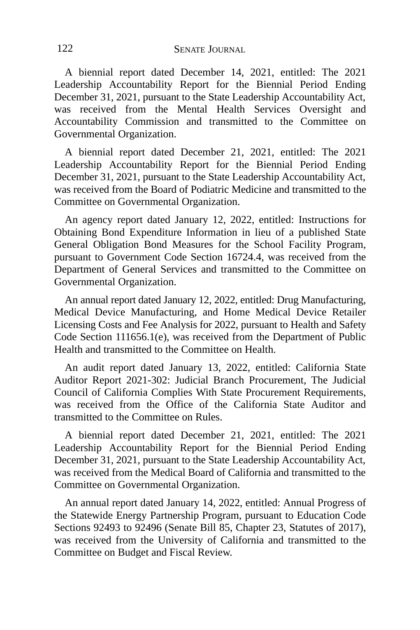A biennial report dated December 14, 2021, entitled: The 2021 Leadership Accountability Report for the Biennial Period Ending December 31, 2021, pursuant to the State Leadership Accountability Act, was received from the Mental Health Services Oversight and Accountability Commission and transmitted to the Committee on Governmental Organization.

A biennial report dated December 21, 2021, entitled: The 2021 Leadership Accountability Report for the Biennial Period Ending December 31, 2021, pursuant to the State Leadership Accountability Act, was received from the Board of Podiatric Medicine and transmitted to the Committee on Governmental Organization.

An agency report dated January 12, 2022, entitled: Instructions for Obtaining Bond Expenditure Information in lieu of a published State General Obligation Bond Measures for the School Facility Program, pursuant to Government Code Section 16724.4, was received from the Department of General Services and transmitted to the Committee on Governmental Organization.

An annual report dated January 12, 2022, entitled: Drug Manufacturing, Medical Device Manufacturing, and Home Medical Device Retailer Licensing Costs and Fee Analysis for 2022, pursuant to Health and Safety Code Section 111656.1(e), was received from the Department of Public Health and transmitted to the Committee on Health.

An audit report dated January 13, 2022, entitled: California State Auditor Report 2021-302: Judicial Branch Procurement, The Judicial Council of California Complies With State Procurement Requirements, was received from the Office of the California State Auditor and transmitted to the Committee on Rules.

A biennial report dated December 21, 2021, entitled: The 2021 Leadership Accountability Report for the Biennial Period Ending December 31, 2021, pursuant to the State Leadership Accountability Act, was received from the Medical Board of California and transmitted to the Committee on Governmental Organization.

An annual report dated January 14, 2022, entitled: Annual Progress of the Statewide Energy Partnership Program, pursuant to Education Code Sections 92493 to 92496 (Senate Bill 85, Chapter 23, Statutes of 2017), was received from the University of California and transmitted to the Committee on Budget and Fiscal Review.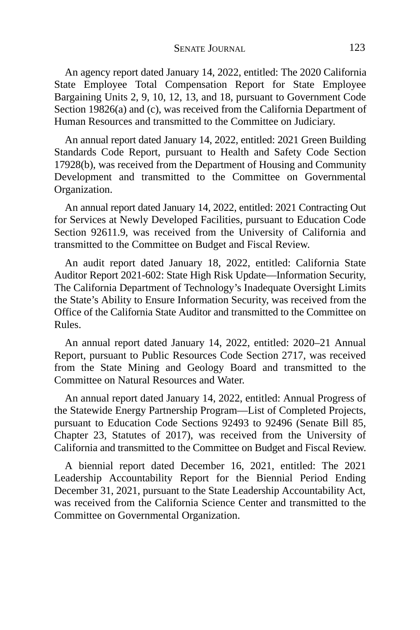An agency report dated January 14, 2022, entitled: The 2020 California State Employee Total Compensation Report for State Employee Bargaining Units 2, 9, 10, 12, 13, and 18, pursuant to Government Code Section 19826(a) and (c), was received from the California Department of Human Resources and transmitted to the Committee on Judiciary.

An annual report dated January 14, 2022, entitled: 2021 Green Building Standards Code Report, pursuant to Health and Safety Code Section 17928(b), was received from the Department of Housing and Community Development and transmitted to the Committee on Governmental Organization.

An annual report dated January 14, 2022, entitled: 2021 Contracting Out for Services at Newly Developed Facilities, pursuant to Education Code Section 92611.9, was received from the University of California and transmitted to the Committee on Budget and Fiscal Review.

An audit report dated January 18, 2022, entitled: California State Auditor Report 2021-602: State High Risk Update—Information Security, The California Department of Technology's Inadequate Oversight Limits the State's Ability to Ensure Information Security, was received from the Office of the California State Auditor and transmitted to the Committee on Rules.

An annual report dated January 14, 2022, entitled: 2020–21 Annual Report, pursuant to Public Resources Code Section 2717, was received from the State Mining and Geology Board and transmitted to the Committee on Natural Resources and Water.

An annual report dated January 14, 2022, entitled: Annual Progress of the Statewide Energy Partnership Program—List of Completed Projects, pursuant to Education Code Sections 92493 to 92496 (Senate Bill 85, Chapter 23, Statutes of 2017), was received from the University of California and transmitted to the Committee on Budget and Fiscal Review.

A biennial report dated December 16, 2021, entitled: The 2021 Leadership Accountability Report for the Biennial Period Ending December 31, 2021, pursuant to the State Leadership Accountability Act, was received from the California Science Center and transmitted to the Committee on Governmental Organization.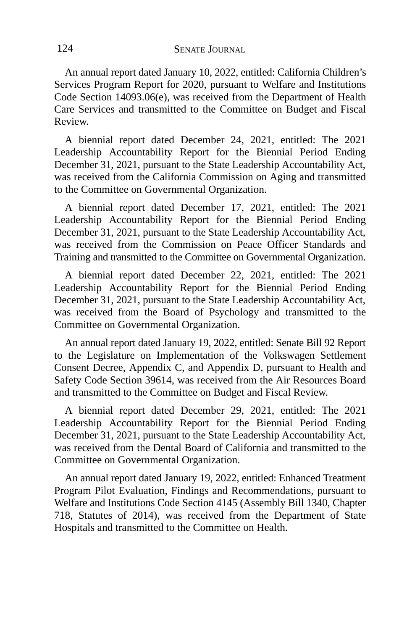An annual report dated January 10, 2022, entitled: California Children's Services Program Report for 2020, pursuant to Welfare and Institutions Code Section 14093.06(e), was received from the Department of Health Care Services and transmitted to the Committee on Budget and Fiscal Review.

A biennial report dated December 24, 2021, entitled: The 2021 Leadership Accountability Report for the Biennial Period Ending December 31, 2021, pursuant to the State Leadership Accountability Act, was received from the California Commission on Aging and transmitted to the Committee on Governmental Organization.

A biennial report dated December 17, 2021, entitled: The 2021 Leadership Accountability Report for the Biennial Period Ending December 31, 2021, pursuant to the State Leadership Accountability Act, was received from the Commission on Peace Officer Standards and Training and transmitted to the Committee on Governmental Organization.

A biennial report dated December 22, 2021, entitled: The 2021 Leadership Accountability Report for the Biennial Period Ending December 31, 2021, pursuant to the State Leadership Accountability Act, was received from the Board of Psychology and transmitted to the Committee on Governmental Organization.

An annual report dated January 19, 2022, entitled: Senate Bill 92 Report to the Legislature on Implementation of the Volkswagen Settlement Consent Decree, Appendix C, and Appendix D, pursuant to Health and Safety Code Section 39614, was received from the Air Resources Board and transmitted to the Committee on Budget and Fiscal Review.

A biennial report dated December 29, 2021, entitled: The 2021 Leadership Accountability Report for the Biennial Period Ending December 31, 2021, pursuant to the State Leadership Accountability Act, was received from the Dental Board of California and transmitted to the Committee on Governmental Organization.

An annual report dated January 19, 2022, entitled: Enhanced Treatment Program Pilot Evaluation, Findings and Recommendations, pursuant to Welfare and Institutions Code Section 4145 (Assembly Bill 1340, Chapter 718, Statutes of 2014), was received from the Department of State Hospitals and transmitted to the Committee on Health.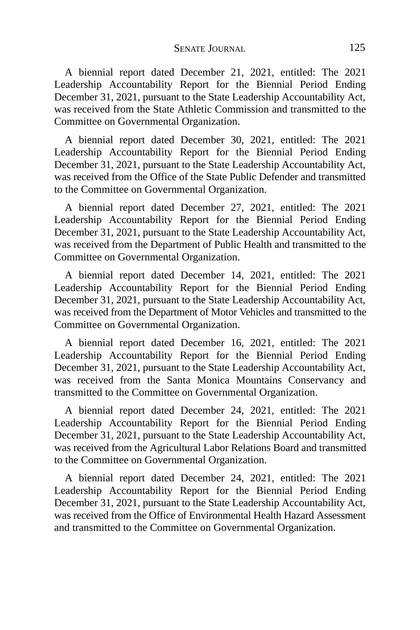A biennial report dated December 21, 2021, entitled: The 2021 Leadership Accountability Report for the Biennial Period Ending December 31, 2021, pursuant to the State Leadership Accountability Act, was received from the State Athletic Commission and transmitted to the Committee on Governmental Organization.

A biennial report dated December 30, 2021, entitled: The 2021 Leadership Accountability Report for the Biennial Period Ending December 31, 2021, pursuant to the State Leadership Accountability Act, was received from the Office of the State Public Defender and transmitted to the Committee on Governmental Organization.

A biennial report dated December 27, 2021, entitled: The 2021 Leadership Accountability Report for the Biennial Period Ending December 31, 2021, pursuant to the State Leadership Accountability Act, was received from the Department of Public Health and transmitted to the Committee on Governmental Organization.

A biennial report dated December 14, 2021, entitled: The 2021 Leadership Accountability Report for the Biennial Period Ending December 31, 2021, pursuant to the State Leadership Accountability Act, was received from the Department of Motor Vehicles and transmitted to the Committee on Governmental Organization.

A biennial report dated December 16, 2021, entitled: The 2021 Leadership Accountability Report for the Biennial Period Ending December 31, 2021, pursuant to the State Leadership Accountability Act, was received from the Santa Monica Mountains Conservancy and transmitted to the Committee on Governmental Organization.

A biennial report dated December 24, 2021, entitled: The 2021 Leadership Accountability Report for the Biennial Period Ending December 31, 2021, pursuant to the State Leadership Accountability Act, was received from the Agricultural Labor Relations Board and transmitted to the Committee on Governmental Organization.

A biennial report dated December 24, 2021, entitled: The 2021 Leadership Accountability Report for the Biennial Period Ending December 31, 2021, pursuant to the State Leadership Accountability Act, was received from the Office of Environmental Health Hazard Assessment and transmitted to the Committee on Governmental Organization.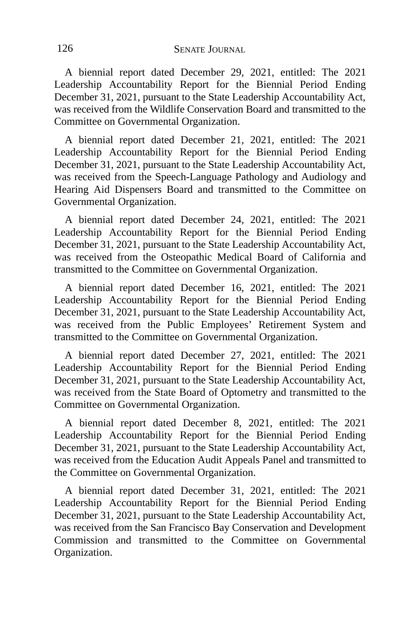A biennial report dated December 29, 2021, entitled: The 2021 Leadership Accountability Report for the Biennial Period Ending December 31, 2021, pursuant to the State Leadership Accountability Act, was received from the Wildlife Conservation Board and transmitted to the Committee on Governmental Organization.

A biennial report dated December 21, 2021, entitled: The 2021 Leadership Accountability Report for the Biennial Period Ending December 31, 2021, pursuant to the State Leadership Accountability Act, was received from the Speech-Language Pathology and Audiology and Hearing Aid Dispensers Board and transmitted to the Committee on Governmental Organization.

A biennial report dated December 24, 2021, entitled: The 2021 Leadership Accountability Report for the Biennial Period Ending December 31, 2021, pursuant to the State Leadership Accountability Act, was received from the Osteopathic Medical Board of California and transmitted to the Committee on Governmental Organization.

A biennial report dated December 16, 2021, entitled: The 2021 Leadership Accountability Report for the Biennial Period Ending December 31, 2021, pursuant to the State Leadership Accountability Act, was received from the Public Employees' Retirement System and transmitted to the Committee on Governmental Organization.

A biennial report dated December 27, 2021, entitled: The 2021 Leadership Accountability Report for the Biennial Period Ending December 31, 2021, pursuant to the State Leadership Accountability Act, was received from the State Board of Optometry and transmitted to the Committee on Governmental Organization.

A biennial report dated December 8, 2021, entitled: The 2021 Leadership Accountability Report for the Biennial Period Ending December 31, 2021, pursuant to the State Leadership Accountability Act, was received from the Education Audit Appeals Panel and transmitted to the Committee on Governmental Organization.

A biennial report dated December 31, 2021, entitled: The 2021 Leadership Accountability Report for the Biennial Period Ending December 31, 2021, pursuant to the State Leadership Accountability Act, was received from the San Francisco Bay Conservation and Development Commission and transmitted to the Committee on Governmental Organization.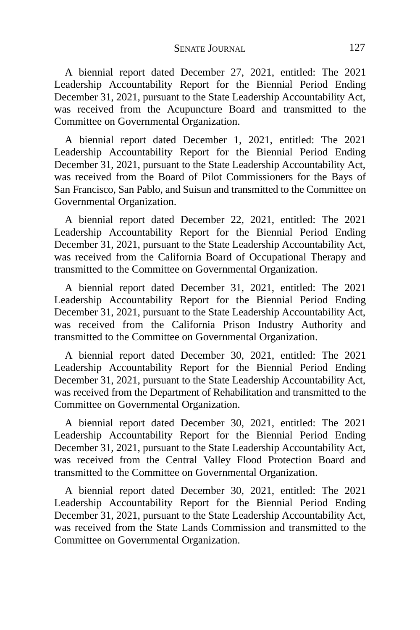A biennial report dated December 27, 2021, entitled: The 2021 Leadership Accountability Report for the Biennial Period Ending December 31, 2021, pursuant to the State Leadership Accountability Act, was received from the Acupuncture Board and transmitted to the Committee on Governmental Organization.

A biennial report dated December 1, 2021, entitled: The 2021 Leadership Accountability Report for the Biennial Period Ending December 31, 2021, pursuant to the State Leadership Accountability Act, was received from the Board of Pilot Commissioners for the Bays of San Francisco, San Pablo, and Suisun and transmitted to the Committee on Governmental Organization.

A biennial report dated December 22, 2021, entitled: The 2021 Leadership Accountability Report for the Biennial Period Ending December 31, 2021, pursuant to the State Leadership Accountability Act, was received from the California Board of Occupational Therapy and transmitted to the Committee on Governmental Organization.

A biennial report dated December 31, 2021, entitled: The 2021 Leadership Accountability Report for the Biennial Period Ending December 31, 2021, pursuant to the State Leadership Accountability Act, was received from the California Prison Industry Authority and transmitted to the Committee on Governmental Organization.

A biennial report dated December 30, 2021, entitled: The 2021 Leadership Accountability Report for the Biennial Period Ending December 31, 2021, pursuant to the State Leadership Accountability Act, was received from the Department of Rehabilitation and transmitted to the Committee on Governmental Organization.

A biennial report dated December 30, 2021, entitled: The 2021 Leadership Accountability Report for the Biennial Period Ending December 31, 2021, pursuant to the State Leadership Accountability Act, was received from the Central Valley Flood Protection Board and transmitted to the Committee on Governmental Organization.

A biennial report dated December 30, 2021, entitled: The 2021 Leadership Accountability Report for the Biennial Period Ending December 31, 2021, pursuant to the State Leadership Accountability Act, was received from the State Lands Commission and transmitted to the Committee on Governmental Organization.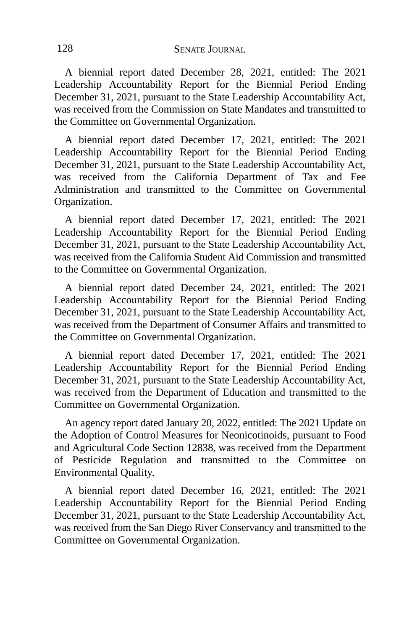A biennial report dated December 28, 2021, entitled: The 2021 Leadership Accountability Report for the Biennial Period Ending December 31, 2021, pursuant to the State Leadership Accountability Act, was received from the Commission on State Mandates and transmitted to the Committee on Governmental Organization.

A biennial report dated December 17, 2021, entitled: The 2021 Leadership Accountability Report for the Biennial Period Ending December 31, 2021, pursuant to the State Leadership Accountability Act, was received from the California Department of Tax and Fee Administration and transmitted to the Committee on Governmental Organization.

A biennial report dated December 17, 2021, entitled: The 2021 Leadership Accountability Report for the Biennial Period Ending December 31, 2021, pursuant to the State Leadership Accountability Act, was received from the California Student Aid Commission and transmitted to the Committee on Governmental Organization.

A biennial report dated December 24, 2021, entitled: The 2021 Leadership Accountability Report for the Biennial Period Ending December 31, 2021, pursuant to the State Leadership Accountability Act, was received from the Department of Consumer Affairs and transmitted to the Committee on Governmental Organization.

A biennial report dated December 17, 2021, entitled: The 2021 Leadership Accountability Report for the Biennial Period Ending December 31, 2021, pursuant to the State Leadership Accountability Act, was received from the Department of Education and transmitted to the Committee on Governmental Organization.

An agency report dated January 20, 2022, entitled: The 2021 Update on the Adoption of Control Measures for Neonicotinoids, pursuant to Food and Agricultural Code Section 12838, was received from the Department of Pesticide Regulation and transmitted to the Committee on Environmental Quality.

A biennial report dated December 16, 2021, entitled: The 2021 Leadership Accountability Report for the Biennial Period Ending December 31, 2021, pursuant to the State Leadership Accountability Act, was received from the San Diego River Conservancy and transmitted to the Committee on Governmental Organization.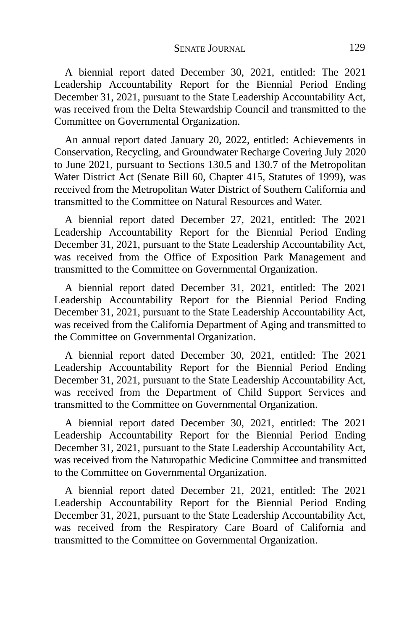A biennial report dated December 30, 2021, entitled: The 2021 Leadership Accountability Report for the Biennial Period Ending December 31, 2021, pursuant to the State Leadership Accountability Act, was received from the Delta Stewardship Council and transmitted to the Committee on Governmental Organization.

An annual report dated January 20, 2022, entitled: Achievements in Conservation, Recycling, and Groundwater Recharge Covering July 2020 to June 2021, pursuant to Sections 130.5 and 130.7 of the Metropolitan Water District Act (Senate Bill 60, Chapter 415, Statutes of 1999), was received from the Metropolitan Water District of Southern California and transmitted to the Committee on Natural Resources and Water.

A biennial report dated December 27, 2021, entitled: The 2021 Leadership Accountability Report for the Biennial Period Ending December 31, 2021, pursuant to the State Leadership Accountability Act, was received from the Office of Exposition Park Management and transmitted to the Committee on Governmental Organization.

A biennial report dated December 31, 2021, entitled: The 2021 Leadership Accountability Report for the Biennial Period Ending December 31, 2021, pursuant to the State Leadership Accountability Act, was received from the California Department of Aging and transmitted to the Committee on Governmental Organization.

A biennial report dated December 30, 2021, entitled: The 2021 Leadership Accountability Report for the Biennial Period Ending December 31, 2021, pursuant to the State Leadership Accountability Act, was received from the Department of Child Support Services and transmitted to the Committee on Governmental Organization.

A biennial report dated December 30, 2021, entitled: The 2021 Leadership Accountability Report for the Biennial Period Ending December 31, 2021, pursuant to the State Leadership Accountability Act, was received from the Naturopathic Medicine Committee and transmitted to the Committee on Governmental Organization.

A biennial report dated December 21, 2021, entitled: The 2021 Leadership Accountability Report for the Biennial Period Ending December 31, 2021, pursuant to the State Leadership Accountability Act, was received from the Respiratory Care Board of California and transmitted to the Committee on Governmental Organization.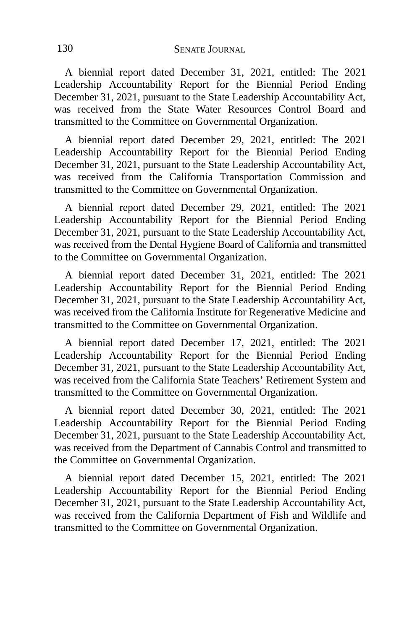A biennial report dated December 31, 2021, entitled: The 2021 Leadership Accountability Report for the Biennial Period Ending December 31, 2021, pursuant to the State Leadership Accountability Act, was received from the State Water Resources Control Board and transmitted to the Committee on Governmental Organization.

A biennial report dated December 29, 2021, entitled: The 2021 Leadership Accountability Report for the Biennial Period Ending December 31, 2021, pursuant to the State Leadership Accountability Act, was received from the California Transportation Commission and transmitted to the Committee on Governmental Organization.

A biennial report dated December 29, 2021, entitled: The 2021 Leadership Accountability Report for the Biennial Period Ending December 31, 2021, pursuant to the State Leadership Accountability Act, was received from the Dental Hygiene Board of California and transmitted to the Committee on Governmental Organization.

A biennial report dated December 31, 2021, entitled: The 2021 Leadership Accountability Report for the Biennial Period Ending December 31, 2021, pursuant to the State Leadership Accountability Act, was received from the California Institute for Regenerative Medicine and transmitted to the Committee on Governmental Organization.

A biennial report dated December 17, 2021, entitled: The 2021 Leadership Accountability Report for the Biennial Period Ending December 31, 2021, pursuant to the State Leadership Accountability Act, was received from the California State Teachers' Retirement System and transmitted to the Committee on Governmental Organization.

A biennial report dated December 30, 2021, entitled: The 2021 Leadership Accountability Report for the Biennial Period Ending December 31, 2021, pursuant to the State Leadership Accountability Act, was received from the Department of Cannabis Control and transmitted to the Committee on Governmental Organization.

A biennial report dated December 15, 2021, entitled: The 2021 Leadership Accountability Report for the Biennial Period Ending December 31, 2021, pursuant to the State Leadership Accountability Act, was received from the California Department of Fish and Wildlife and transmitted to the Committee on Governmental Organization.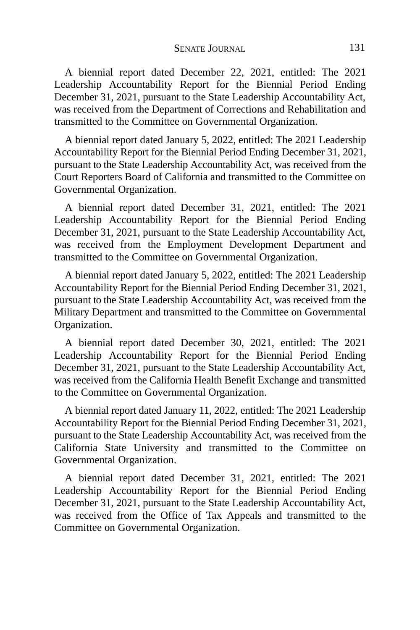A biennial report dated December 22, 2021, entitled: The 2021 Leadership Accountability Report for the Biennial Period Ending December 31, 2021, pursuant to the State Leadership Accountability Act, was received from the Department of Corrections and Rehabilitation and transmitted to the Committee on Governmental Organization.

A biennial report dated January 5, 2022, entitled: The 2021 Leadership Accountability Report for the Biennial Period Ending December 31, 2021, pursuant to the State Leadership Accountability Act, was received from the Court Reporters Board of California and transmitted to the Committee on Governmental Organization.

A biennial report dated December 31, 2021, entitled: The 2021 Leadership Accountability Report for the Biennial Period Ending December 31, 2021, pursuant to the State Leadership Accountability Act, was received from the Employment Development Department and transmitted to the Committee on Governmental Organization.

A biennial report dated January 5, 2022, entitled: The 2021 Leadership Accountability Report for the Biennial Period Ending December 31, 2021, pursuant to the State Leadership Accountability Act, was received from the Military Department and transmitted to the Committee on Governmental Organization.

A biennial report dated December 30, 2021, entitled: The 2021 Leadership Accountability Report for the Biennial Period Ending December 31, 2021, pursuant to the State Leadership Accountability Act, was received from the California Health Benefit Exchange and transmitted to the Committee on Governmental Organization.

A biennial report dated January 11, 2022, entitled: The 2021 Leadership Accountability Report for the Biennial Period Ending December 31, 2021, pursuant to the State Leadership Accountability Act, was received from the California State University and transmitted to the Committee on Governmental Organization.

A biennial report dated December 31, 2021, entitled: The 2021 Leadership Accountability Report for the Biennial Period Ending December 31, 2021, pursuant to the State Leadership Accountability Act, was received from the Office of Tax Appeals and transmitted to the Committee on Governmental Organization.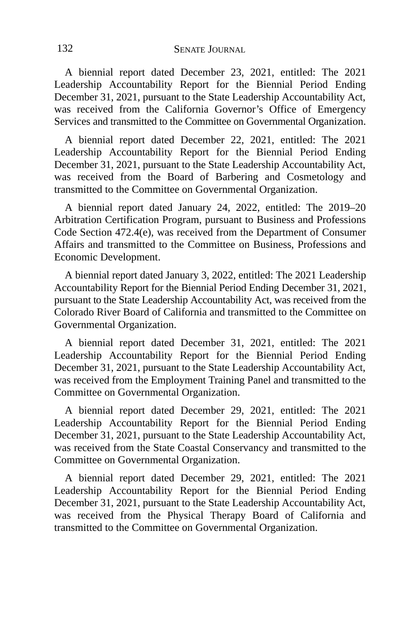A biennial report dated December 23, 2021, entitled: The 2021 Leadership Accountability Report for the Biennial Period Ending December 31, 2021, pursuant to the State Leadership Accountability Act, was received from the California Governor's Office of Emergency Services and transmitted to the Committee on Governmental Organization.

A biennial report dated December 22, 2021, entitled: The 2021 Leadership Accountability Report for the Biennial Period Ending December 31, 2021, pursuant to the State Leadership Accountability Act, was received from the Board of Barbering and Cosmetology and transmitted to the Committee on Governmental Organization.

A biennial report dated January 24, 2022, entitled: The 2019–20 Arbitration Certification Program, pursuant to Business and Professions Code Section 472.4(e), was received from the Department of Consumer Affairs and transmitted to the Committee on Business, Professions and Economic Development.

A biennial report dated January 3, 2022, entitled: The 2021 Leadership Accountability Report for the Biennial Period Ending December 31, 2021, pursuant to the State Leadership Accountability Act, was received from the Colorado River Board of California and transmitted to the Committee on Governmental Organization.

A biennial report dated December 31, 2021, entitled: The 2021 Leadership Accountability Report for the Biennial Period Ending December 31, 2021, pursuant to the State Leadership Accountability Act, was received from the Employment Training Panel and transmitted to the Committee on Governmental Organization.

A biennial report dated December 29, 2021, entitled: The 2021 Leadership Accountability Report for the Biennial Period Ending December 31, 2021, pursuant to the State Leadership Accountability Act, was received from the State Coastal Conservancy and transmitted to the Committee on Governmental Organization.

A biennial report dated December 29, 2021, entitled: The 2021 Leadership Accountability Report for the Biennial Period Ending December 31, 2021, pursuant to the State Leadership Accountability Act, was received from the Physical Therapy Board of California and transmitted to the Committee on Governmental Organization.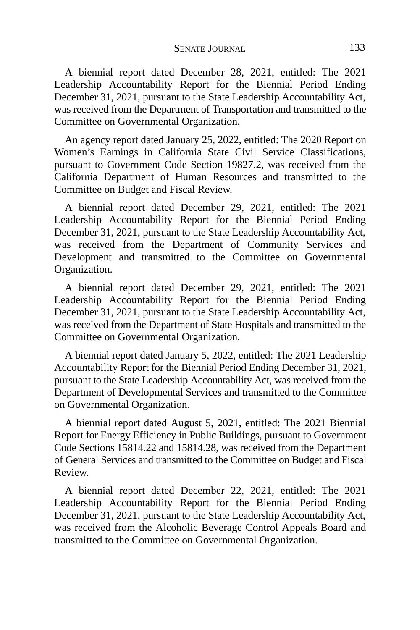A biennial report dated December 28, 2021, entitled: The 2021 Leadership Accountability Report for the Biennial Period Ending December 31, 2021, pursuant to the State Leadership Accountability Act, was received from the Department of Transportation and transmitted to the Committee on Governmental Organization.

An agency report dated January 25, 2022, entitled: The 2020 Report on Women's Earnings in California State Civil Service Classifications, pursuant to Government Code Section 19827.2, was received from the California Department of Human Resources and transmitted to the Committee on Budget and Fiscal Review.

A biennial report dated December 29, 2021, entitled: The 2021 Leadership Accountability Report for the Biennial Period Ending December 31, 2021, pursuant to the State Leadership Accountability Act, was received from the Department of Community Services and Development and transmitted to the Committee on Governmental Organization.

A biennial report dated December 29, 2021, entitled: The 2021 Leadership Accountability Report for the Biennial Period Ending December 31, 2021, pursuant to the State Leadership Accountability Act, was received from the Department of State Hospitals and transmitted to the Committee on Governmental Organization.

A biennial report dated January 5, 2022, entitled: The 2021 Leadership Accountability Report for the Biennial Period Ending December 31, 2021, pursuant to the State Leadership Accountability Act, was received from the Department of Developmental Services and transmitted to the Committee on Governmental Organization.

A biennial report dated August 5, 2021, entitled: The 2021 Biennial Report for Energy Efficiency in Public Buildings, pursuant to Government Code Sections 15814.22 and 15814.28, was received from the Department of General Services and transmitted to the Committee on Budget and Fiscal Review.

A biennial report dated December 22, 2021, entitled: The 2021 Leadership Accountability Report for the Biennial Period Ending December 31, 2021, pursuant to the State Leadership Accountability Act, was received from the Alcoholic Beverage Control Appeals Board and transmitted to the Committee on Governmental Organization.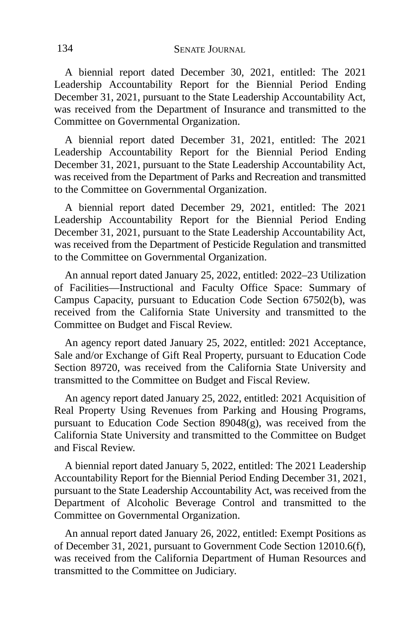A biennial report dated December 30, 2021, entitled: The 2021 Leadership Accountability Report for the Biennial Period Ending December 31, 2021, pursuant to the State Leadership Accountability Act, was received from the Department of Insurance and transmitted to the Committee on Governmental Organization.

A biennial report dated December 31, 2021, entitled: The 2021 Leadership Accountability Report for the Biennial Period Ending December 31, 2021, pursuant to the State Leadership Accountability Act, was received from the Department of Parks and Recreation and transmitted to the Committee on Governmental Organization.

A biennial report dated December 29, 2021, entitled: The 2021 Leadership Accountability Report for the Biennial Period Ending December 31, 2021, pursuant to the State Leadership Accountability Act, was received from the Department of Pesticide Regulation and transmitted to the Committee on Governmental Organization.

An annual report dated January 25, 2022, entitled: 2022–23 Utilization of Facilities—Instructional and Faculty Office Space: Summary of Campus Capacity, pursuant to Education Code Section 67502(b), was received from the California State University and transmitted to the Committee on Budget and Fiscal Review.

An agency report dated January 25, 2022, entitled: 2021 Acceptance, Sale and/or Exchange of Gift Real Property, pursuant to Education Code Section 89720, was received from the California State University and transmitted to the Committee on Budget and Fiscal Review.

An agency report dated January 25, 2022, entitled: 2021 Acquisition of Real Property Using Revenues from Parking and Housing Programs, pursuant to Education Code Section 89048(g), was received from the California State University and transmitted to the Committee on Budget and Fiscal Review.

A biennial report dated January 5, 2022, entitled: The 2021 Leadership Accountability Report for the Biennial Period Ending December 31, 2021, pursuant to the State Leadership Accountability Act, was received from the Department of Alcoholic Beverage Control and transmitted to the Committee on Governmental Organization.

An annual report dated January 26, 2022, entitled: Exempt Positions as of December 31, 2021, pursuant to Government Code Section 12010.6(f), was received from the California Department of Human Resources and transmitted to the Committee on Judiciary.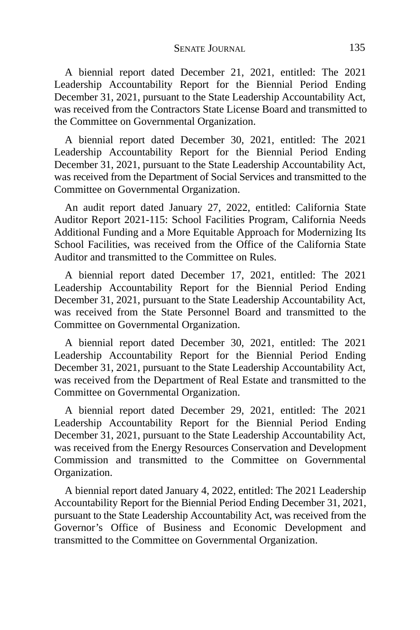A biennial report dated December 21, 2021, entitled: The 2021 Leadership Accountability Report for the Biennial Period Ending December 31, 2021, pursuant to the State Leadership Accountability Act, was received from the Contractors State License Board and transmitted to the Committee on Governmental Organization.

A biennial report dated December 30, 2021, entitled: The 2021 Leadership Accountability Report for the Biennial Period Ending December 31, 2021, pursuant to the State Leadership Accountability Act, was received from the Department of Social Services and transmitted to the Committee on Governmental Organization.

An audit report dated January 27, 2022, entitled: California State Auditor Report 2021-115: School Facilities Program, California Needs Additional Funding and a More Equitable Approach for Modernizing Its School Facilities, was received from the Office of the California State Auditor and transmitted to the Committee on Rules.

A biennial report dated December 17, 2021, entitled: The 2021 Leadership Accountability Report for the Biennial Period Ending December 31, 2021, pursuant to the State Leadership Accountability Act, was received from the State Personnel Board and transmitted to the Committee on Governmental Organization.

A biennial report dated December 30, 2021, entitled: The 2021 Leadership Accountability Report for the Biennial Period Ending December 31, 2021, pursuant to the State Leadership Accountability Act, was received from the Department of Real Estate and transmitted to the Committee on Governmental Organization.

A biennial report dated December 29, 2021, entitled: The 2021 Leadership Accountability Report for the Biennial Period Ending December 31, 2021, pursuant to the State Leadership Accountability Act, was received from the Energy Resources Conservation and Development Commission and transmitted to the Committee on Governmental Organization.

A biennial report dated January 4, 2022, entitled: The 2021 Leadership Accountability Report for the Biennial Period Ending December 31, 2021, pursuant to the State Leadership Accountability Act, was received from the Governor's Office of Business and Economic Development and transmitted to the Committee on Governmental Organization.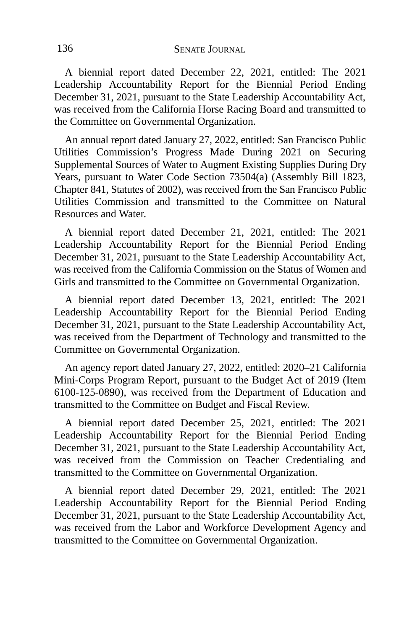A biennial report dated December 22, 2021, entitled: The 2021 Leadership Accountability Report for the Biennial Period Ending December 31, 2021, pursuant to the State Leadership Accountability Act, was received from the California Horse Racing Board and transmitted to the Committee on Governmental Organization.

An annual report dated January 27, 2022, entitled: San Francisco Public Utilities Commission's Progress Made During 2021 on Securing Supplemental Sources of Water to Augment Existing Supplies During Dry Years, pursuant to Water Code Section 73504(a) (Assembly Bill 1823, Chapter 841, Statutes of 2002), was received from the San Francisco Public Utilities Commission and transmitted to the Committee on Natural Resources and Water.

A biennial report dated December 21, 2021, entitled: The 2021 Leadership Accountability Report for the Biennial Period Ending December 31, 2021, pursuant to the State Leadership Accountability Act, was received from the California Commission on the Status of Women and Girls and transmitted to the Committee on Governmental Organization.

A biennial report dated December 13, 2021, entitled: The 2021 Leadership Accountability Report for the Biennial Period Ending December 31, 2021, pursuant to the State Leadership Accountability Act, was received from the Department of Technology and transmitted to the Committee on Governmental Organization.

An agency report dated January 27, 2022, entitled: 2020–21 California Mini-Corps Program Report, pursuant to the Budget Act of 2019 (Item 6100-125-0890), was received from the Department of Education and transmitted to the Committee on Budget and Fiscal Review.

A biennial report dated December 25, 2021, entitled: The 2021 Leadership Accountability Report for the Biennial Period Ending December 31, 2021, pursuant to the State Leadership Accountability Act, was received from the Commission on Teacher Credentialing and transmitted to the Committee on Governmental Organization.

A biennial report dated December 29, 2021, entitled: The 2021 Leadership Accountability Report for the Biennial Period Ending December 31, 2021, pursuant to the State Leadership Accountability Act, was received from the Labor and Workforce Development Agency and transmitted to the Committee on Governmental Organization.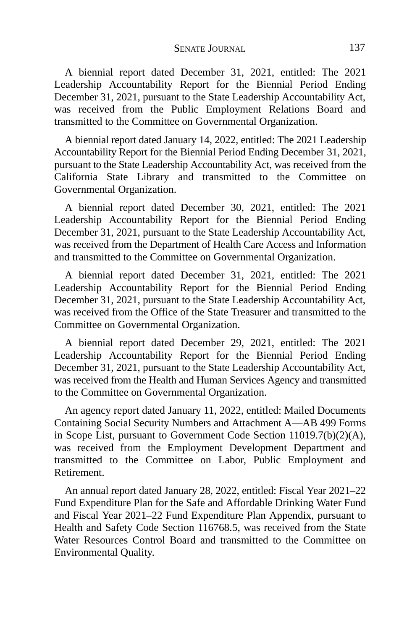A biennial report dated December 31, 2021, entitled: The 2021 Leadership Accountability Report for the Biennial Period Ending December 31, 2021, pursuant to the State Leadership Accountability Act, was received from the Public Employment Relations Board and transmitted to the Committee on Governmental Organization.

A biennial report dated January 14, 2022, entitled: The 2021 Leadership Accountability Report for the Biennial Period Ending December 31, 2021, pursuant to the State Leadership Accountability Act, was received from the California State Library and transmitted to the Committee on Governmental Organization.

A biennial report dated December 30, 2021, entitled: The 2021 Leadership Accountability Report for the Biennial Period Ending December 31, 2021, pursuant to the State Leadership Accountability Act, was received from the Department of Health Care Access and Information and transmitted to the Committee on Governmental Organization.

A biennial report dated December 31, 2021, entitled: The 2021 Leadership Accountability Report for the Biennial Period Ending December 31, 2021, pursuant to the State Leadership Accountability Act, was received from the Office of the State Treasurer and transmitted to the Committee on Governmental Organization.

A biennial report dated December 29, 2021, entitled: The 2021 Leadership Accountability Report for the Biennial Period Ending December 31, 2021, pursuant to the State Leadership Accountability Act, was received from the Health and Human Services Agency and transmitted to the Committee on Governmental Organization.

An agency report dated January 11, 2022, entitled: Mailed Documents Containing Social Security Numbers and Attachment A—AB 499 Forms in Scope List, pursuant to Government Code Section 11019.7(b)(2)(A), was received from the Employment Development Department and transmitted to the Committee on Labor, Public Employment and Retirement.

An annual report dated January 28, 2022, entitled: Fiscal Year 2021–22 Fund Expenditure Plan for the Safe and Affordable Drinking Water Fund and Fiscal Year 2021–22 Fund Expenditure Plan Appendix, pursuant to Health and Safety Code Section 116768.5, was received from the State Water Resources Control Board and transmitted to the Committee on Environmental Quality.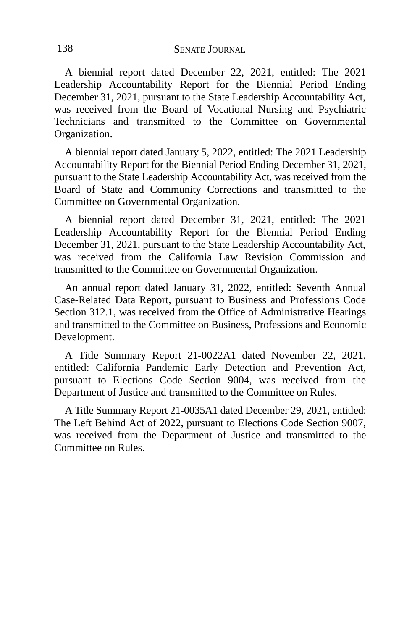A biennial report dated December 22, 2021, entitled: The 2021 Leadership Accountability Report for the Biennial Period Ending December 31, 2021, pursuant to the State Leadership Accountability Act, was received from the Board of Vocational Nursing and Psychiatric Technicians and transmitted to the Committee on Governmental Organization.

A biennial report dated January 5, 2022, entitled: The 2021 Leadership Accountability Report for the Biennial Period Ending December 31, 2021, pursuant to the State Leadership Accountability Act, was received from the Board of State and Community Corrections and transmitted to the Committee on Governmental Organization.

A biennial report dated December 31, 2021, entitled: The 2021 Leadership Accountability Report for the Biennial Period Ending December 31, 2021, pursuant to the State Leadership Accountability Act, was received from the California Law Revision Commission and transmitted to the Committee on Governmental Organization.

An annual report dated January 31, 2022, entitled: Seventh Annual Case-Related Data Report, pursuant to Business and Professions Code Section 312.1, was received from the Office of Administrative Hearings and transmitted to the Committee on Business, Professions and Economic Development.

A Title Summary Report 21-0022A1 dated November 22, 2021, entitled: California Pandemic Early Detection and Prevention Act, pursuant to Elections Code Section 9004, was received from the Department of Justice and transmitted to the Committee on Rules.

A Title Summary Report 21-0035A1 dated December 29, 2021, entitled: The Left Behind Act of 2022, pursuant to Elections Code Section 9007, was received from the Department of Justice and transmitted to the Committee on Rules.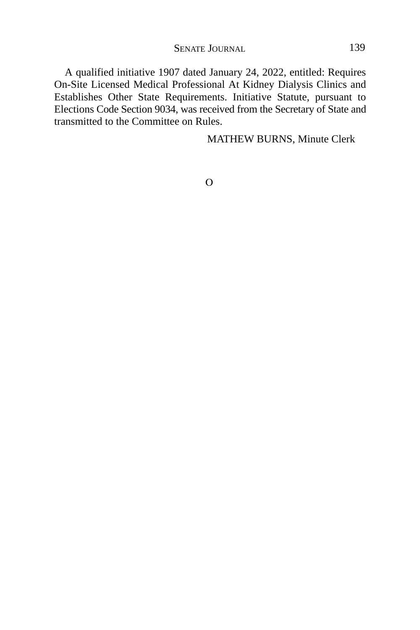A qualified initiative 1907 dated January 24, 2022, entitled: Requires On-Site Licensed Medical Professional At Kidney Dialysis Clinics and Establishes Other State Requirements. Initiative Statute, pursuant to Elections Code Section 9034, was received from the Secretary of State and transmitted to the Committee on Rules.

MATHEW BURNS, Minute Clerk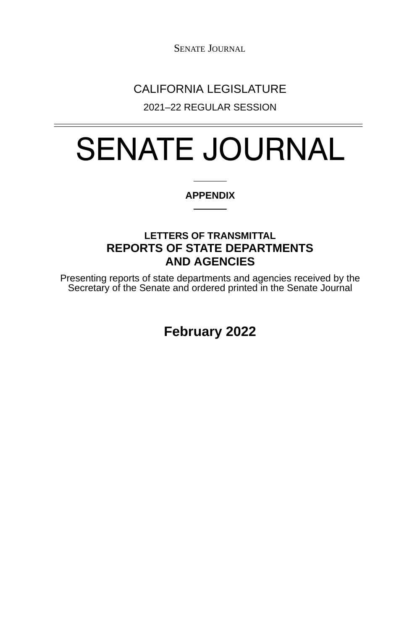SENATE JOURNAL

# CALIFORNIA LEGISLATURE

2021–22 REGULAR SESSION

# SENATE JOURNAL

### **APPENDIX**

## **LETTERS OF TRANSMITTAL REPORTS OF STATE DEPARTMENTS AND AGENCIES**

Presenting reports of state departments and agencies received by the Secretary of the Senate and ordered printed in the Senate Journal

**February 2022**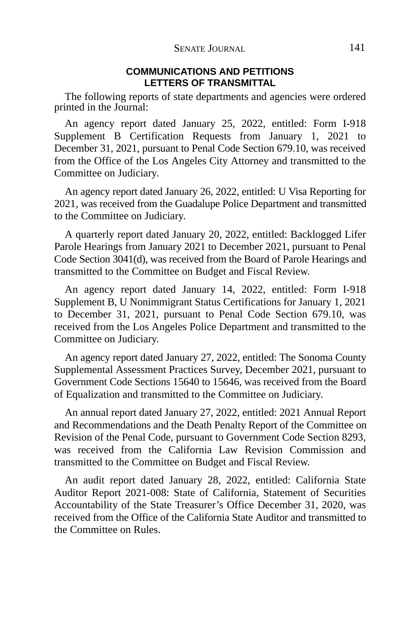#### **COMMUNICATIONS AND PETITIONS LETTERS OF TRANSMITTAL**

The following reports of state departments and agencies were ordered printed in the Journal:

An agency report dated January 25, 2022, entitled: Form I-918 Supplement B Certification Requests from January 1, 2021 to December 31, 2021, pursuant to Penal Code Section 679.10, was received from the Office of the Los Angeles City Attorney and transmitted to the Committee on Judiciary.

An agency report dated January 26, 2022, entitled: U Visa Reporting for 2021, was received from the Guadalupe Police Department and transmitted to the Committee on Judiciary.

A quarterly report dated January 20, 2022, entitled: Backlogged Lifer Parole Hearings from January 2021 to December 2021, pursuant to Penal Code Section 3041(d), was received from the Board of Parole Hearings and transmitted to the Committee on Budget and Fiscal Review.

An agency report dated January 14, 2022, entitled: Form I-918 Supplement B, U Nonimmigrant Status Certifications for January 1, 2021 to December 31, 2021, pursuant to Penal Code Section 679.10, was received from the Los Angeles Police Department and transmitted to the Committee on Judiciary.

An agency report dated January 27, 2022, entitled: The Sonoma County Supplemental Assessment Practices Survey, December 2021, pursuant to Government Code Sections 15640 to 15646, was received from the Board of Equalization and transmitted to the Committee on Judiciary.

An annual report dated January 27, 2022, entitled: 2021 Annual Report and Recommendations and the Death Penalty Report of the Committee on Revision of the Penal Code, pursuant to Government Code Section 8293, was received from the California Law Revision Commission and transmitted to the Committee on Budget and Fiscal Review.

An audit report dated January 28, 2022, entitled: California State Auditor Report 2021-008: State of California, Statement of Securities Accountability of the State Treasurer's Office December 31, 2020, was received from the Office of the California State Auditor and transmitted to the Committee on Rules.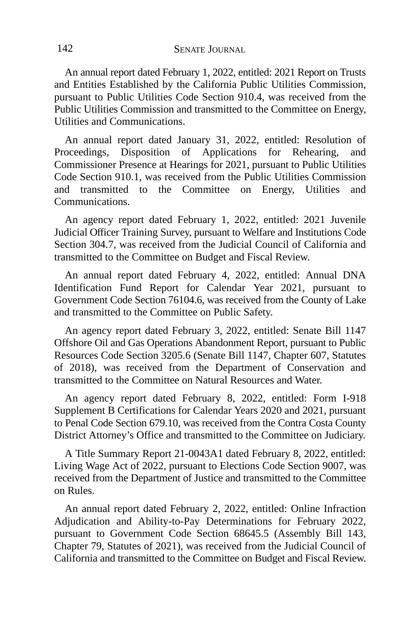An annual report dated February 1, 2022, entitled: 2021 Report on Trusts and Entities Established by the California Public Utilities Commission, pursuant to Public Utilities Code Section 910.4, was received from the Public Utilities Commission and transmitted to the Committee on Energy, Utilities and Communications.

An annual report dated January 31, 2022, entitled: Resolution of Proceedings, Disposition of Applications for Rehearing, and Commissioner Presence at Hearings for 2021, pursuant to Public Utilities Code Section 910.1, was received from the Public Utilities Commission and transmitted to the Committee on Energy, Utilities and Communications.

An agency report dated February 1, 2022, entitled: 2021 Juvenile Judicial Officer Training Survey, pursuant to Welfare and Institutions Code Section 304.7, was received from the Judicial Council of California and transmitted to the Committee on Budget and Fiscal Review.

An annual report dated February 4, 2022, entitled: Annual DNA Identification Fund Report for Calendar Year 2021, pursuant to Government Code Section 76104.6, was received from the County of Lake and transmitted to the Committee on Public Safety.

An agency report dated February 3, 2022, entitled: Senate Bill 1147 Offshore Oil and Gas Operations Abandonment Report, pursuant to Public Resources Code Section 3205.6 (Senate Bill 1147, Chapter 607, Statutes of 2018), was received from the Department of Conservation and transmitted to the Committee on Natural Resources and Water.

An agency report dated February 8, 2022, entitled: Form I-918 Supplement B Certifications for Calendar Years 2020 and 2021, pursuant to Penal Code Section 679.10, was received from the Contra Costa County District Attorney's Office and transmitted to the Committee on Judiciary.

A Title Summary Report 21-0043A1 dated February 8, 2022, entitled: Living Wage Act of 2022, pursuant to Elections Code Section 9007, was received from the Department of Justice and transmitted to the Committee on Rules.

An annual report dated February 2, 2022, entitled: Online Infraction Adjudication and Ability-to-Pay Determinations for February 2022, pursuant to Government Code Section 68645.5 (Assembly Bill 143, Chapter 79, Statutes of 2021), was received from the Judicial Council of California and transmitted to the Committee on Budget and Fiscal Review.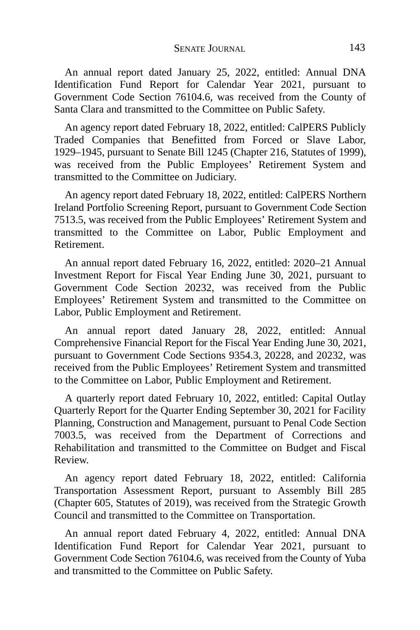An annual report dated January 25, 2022, entitled: Annual DNA Identification Fund Report for Calendar Year 2021, pursuant to Government Code Section 76104.6, was received from the County of Santa Clara and transmitted to the Committee on Public Safety.

An agency report dated February 18, 2022, entitled: CalPERS Publicly Traded Companies that Benefitted from Forced or Slave Labor, 1929–1945, pursuant to Senate Bill 1245 (Chapter 216, Statutes of 1999), was received from the Public Employees' Retirement System and transmitted to the Committee on Judiciary.

An agency report dated February 18, 2022, entitled: CalPERS Northern Ireland Portfolio Screening Report, pursuant to Government Code Section 7513.5, was received from the Public Employees' Retirement System and transmitted to the Committee on Labor, Public Employment and Retirement.

An annual report dated February 16, 2022, entitled: 2020–21 Annual Investment Report for Fiscal Year Ending June 30, 2021, pursuant to Government Code Section 20232, was received from the Public Employees' Retirement System and transmitted to the Committee on Labor, Public Employment and Retirement.

An annual report dated January 28, 2022, entitled: Annual Comprehensive Financial Report for the Fiscal Year Ending June 30, 2021, pursuant to Government Code Sections 9354.3, 20228, and 20232, was received from the Public Employees' Retirement System and transmitted to the Committee on Labor, Public Employment and Retirement.

A quarterly report dated February 10, 2022, entitled: Capital Outlay Quarterly Report for the Quarter Ending September 30, 2021 for Facility Planning, Construction and Management, pursuant to Penal Code Section 7003.5, was received from the Department of Corrections and Rehabilitation and transmitted to the Committee on Budget and Fiscal Review.

An agency report dated February 18, 2022, entitled: California Transportation Assessment Report, pursuant to Assembly Bill 285 (Chapter 605, Statutes of 2019), was received from the Strategic Growth Council and transmitted to the Committee on Transportation.

An annual report dated February 4, 2022, entitled: Annual DNA Identification Fund Report for Calendar Year 2021, pursuant to Government Code Section 76104.6, was received from the County of Yuba and transmitted to the Committee on Public Safety.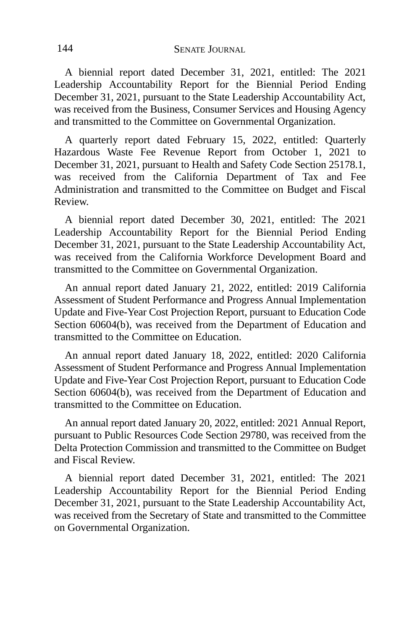A biennial report dated December 31, 2021, entitled: The 2021 Leadership Accountability Report for the Biennial Period Ending December 31, 2021, pursuant to the State Leadership Accountability Act, was received from the Business, Consumer Services and Housing Agency and transmitted to the Committee on Governmental Organization.

A quarterly report dated February 15, 2022, entitled: Quarterly Hazardous Waste Fee Revenue Report from October 1, 2021 to December 31, 2021, pursuant to Health and Safety Code Section 25178.1, was received from the California Department of Tax and Fee Administration and transmitted to the Committee on Budget and Fiscal Review.

A biennial report dated December 30, 2021, entitled: The 2021 Leadership Accountability Report for the Biennial Period Ending December 31, 2021, pursuant to the State Leadership Accountability Act, was received from the California Workforce Development Board and transmitted to the Committee on Governmental Organization.

An annual report dated January 21, 2022, entitled: 2019 California Assessment of Student Performance and Progress Annual Implementation Update and Five-Year Cost Projection Report, pursuant to Education Code Section 60604(b), was received from the Department of Education and transmitted to the Committee on Education.

An annual report dated January 18, 2022, entitled: 2020 California Assessment of Student Performance and Progress Annual Implementation Update and Five-Year Cost Projection Report, pursuant to Education Code Section 60604(b), was received from the Department of Education and transmitted to the Committee on Education.

An annual report dated January 20, 2022, entitled: 2021 Annual Report, pursuant to Public Resources Code Section 29780, was received from the Delta Protection Commission and transmitted to the Committee on Budget and Fiscal Review.

A biennial report dated December 31, 2021, entitled: The 2021 Leadership Accountability Report for the Biennial Period Ending December 31, 2021, pursuant to the State Leadership Accountability Act, was received from the Secretary of State and transmitted to the Committee on Governmental Organization.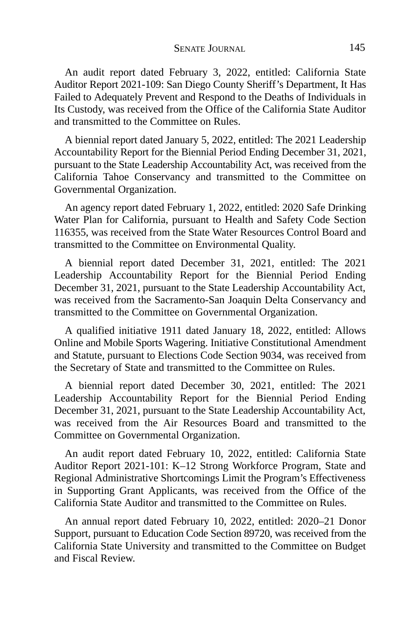An audit report dated February 3, 2022, entitled: California State Auditor Report 2021-109: San Diego County Sheriff's Department, It Has Failed to Adequately Prevent and Respond to the Deaths of Individuals in Its Custody, was received from the Office of the California State Auditor and transmitted to the Committee on Rules.

A biennial report dated January 5, 2022, entitled: The 2021 Leadership Accountability Report for the Biennial Period Ending December 31, 2021, pursuant to the State Leadership Accountability Act, was received from the California Tahoe Conservancy and transmitted to the Committee on Governmental Organization.

An agency report dated February 1, 2022, entitled: 2020 Safe Drinking Water Plan for California, pursuant to Health and Safety Code Section 116355, was received from the State Water Resources Control Board and transmitted to the Committee on Environmental Quality.

A biennial report dated December 31, 2021, entitled: The 2021 Leadership Accountability Report for the Biennial Period Ending December 31, 2021, pursuant to the State Leadership Accountability Act, was received from the Sacramento-San Joaquin Delta Conservancy and transmitted to the Committee on Governmental Organization.

A qualified initiative 1911 dated January 18, 2022, entitled: Allows Online and Mobile Sports Wagering. Initiative Constitutional Amendment and Statute, pursuant to Elections Code Section 9034, was received from the Secretary of State and transmitted to the Committee on Rules.

A biennial report dated December 30, 2021, entitled: The 2021 Leadership Accountability Report for the Biennial Period Ending December 31, 2021, pursuant to the State Leadership Accountability Act, was received from the Air Resources Board and transmitted to the Committee on Governmental Organization.

An audit report dated February 10, 2022, entitled: California State Auditor Report 2021-101: K–12 Strong Workforce Program, State and Regional Administrative Shortcomings Limit the Program's Effectiveness in Supporting Grant Applicants, was received from the Office of the California State Auditor and transmitted to the Committee on Rules.

An annual report dated February 10, 2022, entitled: 2020–21 Donor Support, pursuant to Education Code Section 89720, was received from the California State University and transmitted to the Committee on Budget and Fiscal Review.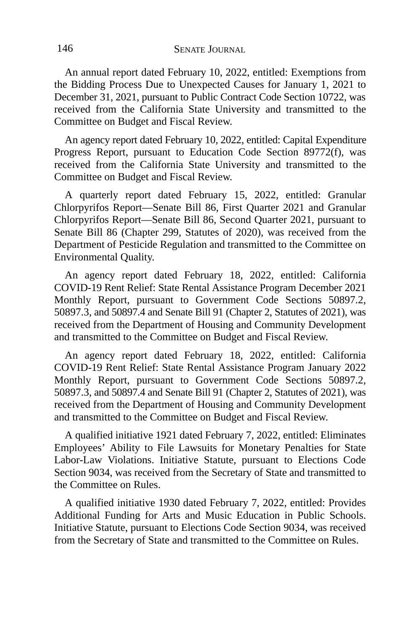An annual report dated February 10, 2022, entitled: Exemptions from the Bidding Process Due to Unexpected Causes for January 1, 2021 to December 31, 2021, pursuant to Public Contract Code Section 10722, was received from the California State University and transmitted to the Committee on Budget and Fiscal Review.

An agency report dated February 10, 2022, entitled: Capital Expenditure Progress Report, pursuant to Education Code Section 89772(f), was received from the California State University and transmitted to the Committee on Budget and Fiscal Review.

A quarterly report dated February 15, 2022, entitled: Granular Chlorpyrifos Report—Senate Bill 86, First Quarter 2021 and Granular Chlorpyrifos Report—Senate Bill 86, Second Quarter 2021, pursuant to Senate Bill 86 (Chapter 299, Statutes of 2020), was received from the Department of Pesticide Regulation and transmitted to the Committee on Environmental Quality.

An agency report dated February 18, 2022, entitled: California COVID-19 Rent Relief: State Rental Assistance Program December 2021 Monthly Report, pursuant to Government Code Sections 50897.2, 50897.3, and 50897.4 and Senate Bill 91 (Chapter 2, Statutes of 2021), was received from the Department of Housing and Community Development and transmitted to the Committee on Budget and Fiscal Review.

An agency report dated February 18, 2022, entitled: California COVID-19 Rent Relief: State Rental Assistance Program January 2022 Monthly Report, pursuant to Government Code Sections 50897.2, 50897.3, and 50897.4 and Senate Bill 91 (Chapter 2, Statutes of 2021), was received from the Department of Housing and Community Development and transmitted to the Committee on Budget and Fiscal Review.

A qualified initiative 1921 dated February 7, 2022, entitled: Eliminates Employees' Ability to File Lawsuits for Monetary Penalties for State Labor-Law Violations. Initiative Statute, pursuant to Elections Code Section 9034, was received from the Secretary of State and transmitted to the Committee on Rules.

A qualified initiative 1930 dated February 7, 2022, entitled: Provides Additional Funding for Arts and Music Education in Public Schools. Initiative Statute, pursuant to Elections Code Section 9034, was received from the Secretary of State and transmitted to the Committee on Rules.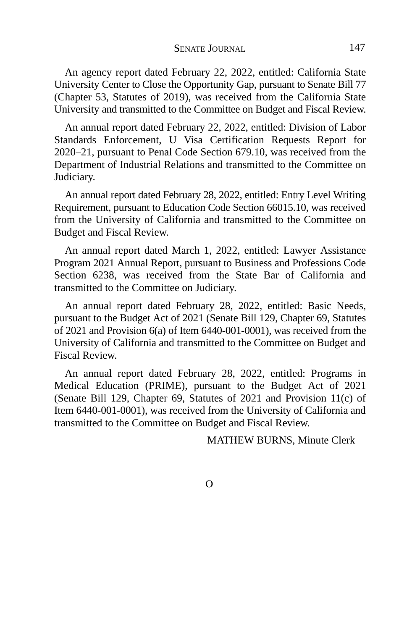An agency report dated February 22, 2022, entitled: California State University Center to Close the Opportunity Gap, pursuant to Senate Bill 77 (Chapter 53, Statutes of 2019), was received from the California State University and transmitted to the Committee on Budget and Fiscal Review.

An annual report dated February 22, 2022, entitled: Division of Labor Standards Enforcement, U Visa Certification Requests Report for 2020–21, pursuant to Penal Code Section 679.10, was received from the Department of Industrial Relations and transmitted to the Committee on Judiciary.

An annual report dated February 28, 2022, entitled: Entry Level Writing Requirement, pursuant to Education Code Section 66015.10, was received from the University of California and transmitted to the Committee on Budget and Fiscal Review.

An annual report dated March 1, 2022, entitled: Lawyer Assistance Program 2021 Annual Report, pursuant to Business and Professions Code Section 6238, was received from the State Bar of California and transmitted to the Committee on Judiciary.

An annual report dated February 28, 2022, entitled: Basic Needs, pursuant to the Budget Act of 2021 (Senate Bill 129, Chapter 69, Statutes of 2021 and Provision 6(a) of Item 6440-001-0001), was received from the University of California and transmitted to the Committee on Budget and Fiscal Review.

An annual report dated February 28, 2022, entitled: Programs in Medical Education (PRIME), pursuant to the Budget Act of 2021 (Senate Bill 129, Chapter 69, Statutes of 2021 and Provision 11(c) of Item 6440-001-0001), was received from the University of California and transmitted to the Committee on Budget and Fiscal Review.

MATHEW BURNS, Minute Clerk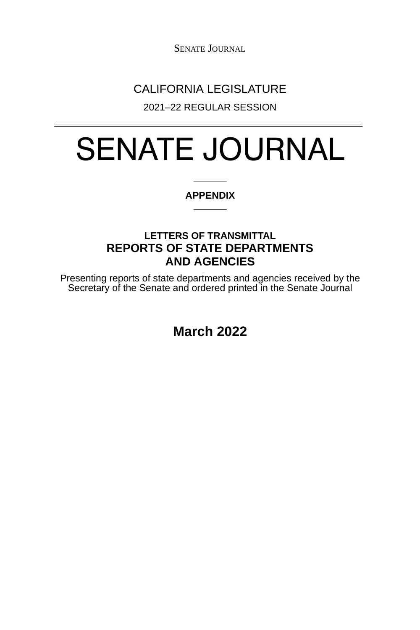SENATE JOURNAL

# CALIFORNIA LEGISLATURE

2021–22 REGULAR SESSION

# SENATE JOURNAL

### **APPENDIX**

## **LETTERS OF TRANSMITTAL REPORTS OF STATE DEPARTMENTS AND AGENCIES**

Presenting reports of state departments and agencies received by the Secretary of the Senate and ordered printed in the Senate Journal

**March 2022**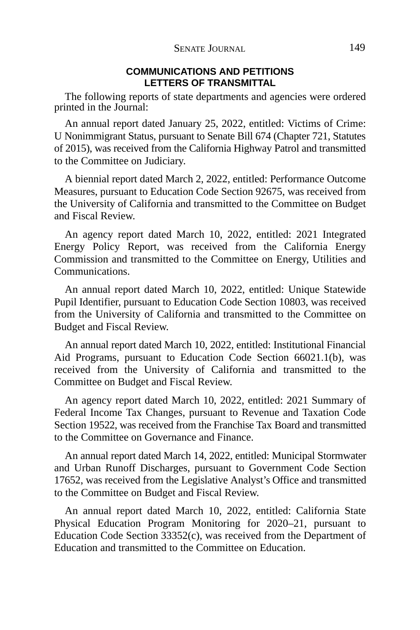#### **COMMUNICATIONS AND PETITIONS LETTERS OF TRANSMITTAL**

The following reports of state departments and agencies were ordered printed in the Journal:

An annual report dated January 25, 2022, entitled: Victims of Crime: U Nonimmigrant Status, pursuant to Senate Bill 674 (Chapter 721, Statutes of 2015), was received from the California Highway Patrol and transmitted to the Committee on Judiciary.

A biennial report dated March 2, 2022, entitled: Performance Outcome Measures, pursuant to Education Code Section 92675, was received from the University of California and transmitted to the Committee on Budget and Fiscal Review.

An agency report dated March 10, 2022, entitled: 2021 Integrated Energy Policy Report, was received from the California Energy Commission and transmitted to the Committee on Energy, Utilities and Communications.

An annual report dated March 10, 2022, entitled: Unique Statewide Pupil Identifier, pursuant to Education Code Section 10803, was received from the University of California and transmitted to the Committee on Budget and Fiscal Review.

An annual report dated March 10, 2022, entitled: Institutional Financial Aid Programs, pursuant to Education Code Section 66021.1(b), was received from the University of California and transmitted to the Committee on Budget and Fiscal Review.

An agency report dated March 10, 2022, entitled: 2021 Summary of Federal Income Tax Changes, pursuant to Revenue and Taxation Code Section 19522, was received from the Franchise Tax Board and transmitted to the Committee on Governance and Finance.

An annual report dated March 14, 2022, entitled: Municipal Stormwater and Urban Runoff Discharges, pursuant to Government Code Section 17652, was received from the Legislative Analyst's Office and transmitted to the Committee on Budget and Fiscal Review.

An annual report dated March 10, 2022, entitled: California State Physical Education Program Monitoring for 2020–21, pursuant to Education Code Section 33352(c), was received from the Department of Education and transmitted to the Committee on Education.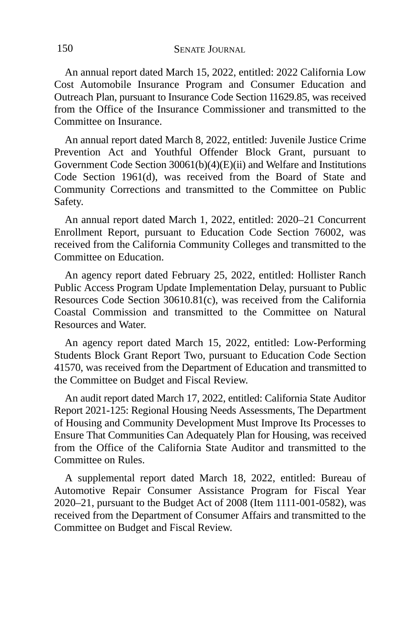An annual report dated March 15, 2022, entitled: 2022 California Low Cost Automobile Insurance Program and Consumer Education and Outreach Plan, pursuant to Insurance Code Section 11629.85, was received from the Office of the Insurance Commissioner and transmitted to the Committee on Insurance.

An annual report dated March 8, 2022, entitled: Juvenile Justice Crime Prevention Act and Youthful Offender Block Grant, pursuant to Government Code Section 30061(b)(4)(E)(ii) and Welfare and Institutions Code Section 1961(d), was received from the Board of State and Community Corrections and transmitted to the Committee on Public Safety.

An annual report dated March 1, 2022, entitled: 2020–21 Concurrent Enrollment Report, pursuant to Education Code Section 76002, was received from the California Community Colleges and transmitted to the Committee on Education.

An agency report dated February 25, 2022, entitled: Hollister Ranch Public Access Program Update Implementation Delay, pursuant to Public Resources Code Section 30610.81(c), was received from the California Coastal Commission and transmitted to the Committee on Natural Resources and Water.

An agency report dated March 15, 2022, entitled: Low-Performing Students Block Grant Report Two, pursuant to Education Code Section 41570, was received from the Department of Education and transmitted to the Committee on Budget and Fiscal Review.

An audit report dated March 17, 2022, entitled: California State Auditor Report 2021-125: Regional Housing Needs Assessments, The Department of Housing and Community Development Must Improve Its Processes to Ensure That Communities Can Adequately Plan for Housing, was received from the Office of the California State Auditor and transmitted to the Committee on Rules.

A supplemental report dated March 18, 2022, entitled: Bureau of Automotive Repair Consumer Assistance Program for Fiscal Year 2020–21, pursuant to the Budget Act of 2008 (Item 1111-001-0582), was received from the Department of Consumer Affairs and transmitted to the Committee on Budget and Fiscal Review.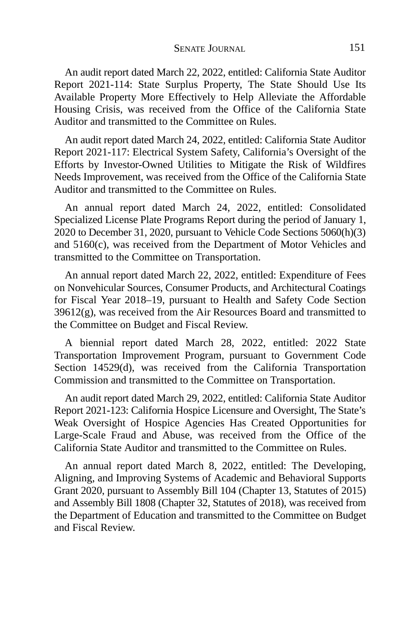An audit report dated March 22, 2022, entitled: California State Auditor Report 2021-114: State Surplus Property, The State Should Use Its Available Property More Effectively to Help Alleviate the Affordable Housing Crisis, was received from the Office of the California State Auditor and transmitted to the Committee on Rules.

An audit report dated March 24, 2022, entitled: California State Auditor Report 2021-117: Electrical System Safety, California's Oversight of the Efforts by Investor-Owned Utilities to Mitigate the Risk of Wildfires Needs Improvement, was received from the Office of the California State Auditor and transmitted to the Committee on Rules.

An annual report dated March 24, 2022, entitled: Consolidated Specialized License Plate Programs Report during the period of January 1, 2020 to December 31, 2020, pursuant to Vehicle Code Sections 5060(h)(3) and 5160(c), was received from the Department of Motor Vehicles and transmitted to the Committee on Transportation.

An annual report dated March 22, 2022, entitled: Expenditure of Fees on Nonvehicular Sources, Consumer Products, and Architectural Coatings for Fiscal Year 2018–19, pursuant to Health and Safety Code Section  $39612(g)$ , was received from the Air Resources Board and transmitted to the Committee on Budget and Fiscal Review.

A biennial report dated March 28, 2022, entitled: 2022 State Transportation Improvement Program, pursuant to Government Code Section 14529(d), was received from the California Transportation Commission and transmitted to the Committee on Transportation.

An audit report dated March 29, 2022, entitled: California State Auditor Report 2021-123: California Hospice Licensure and Oversight, The State's Weak Oversight of Hospice Agencies Has Created Opportunities for Large-Scale Fraud and Abuse, was received from the Office of the California State Auditor and transmitted to the Committee on Rules.

An annual report dated March 8, 2022, entitled: The Developing, Aligning, and Improving Systems of Academic and Behavioral Supports Grant 2020, pursuant to Assembly Bill 104 (Chapter 13, Statutes of 2015) and Assembly Bill 1808 (Chapter 32, Statutes of 2018), was received from the Department of Education and transmitted to the Committee on Budget and Fiscal Review.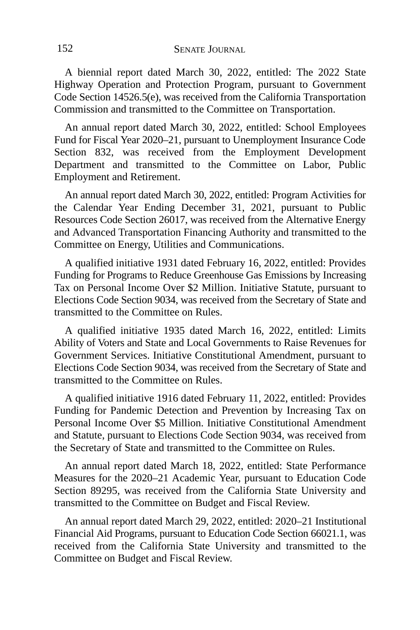A biennial report dated March 30, 2022, entitled: The 2022 State Highway Operation and Protection Program, pursuant to Government Code Section 14526.5(e), was received from the California Transportation Commission and transmitted to the Committee on Transportation.

An annual report dated March 30, 2022, entitled: School Employees Fund for Fiscal Year 2020–21, pursuant to Unemployment Insurance Code Section 832, was received from the Employment Development Department and transmitted to the Committee on Labor, Public Employment and Retirement.

An annual report dated March 30, 2022, entitled: Program Activities for the Calendar Year Ending December 31, 2021, pursuant to Public Resources Code Section 26017, was received from the Alternative Energy and Advanced Transportation Financing Authority and transmitted to the Committee on Energy, Utilities and Communications.

A qualified initiative 1931 dated February 16, 2022, entitled: Provides Funding for Programs to Reduce Greenhouse Gas Emissions by Increasing Tax on Personal Income Over \$2 Million. Initiative Statute, pursuant to Elections Code Section 9034, was received from the Secretary of State and transmitted to the Committee on Rules.

A qualified initiative 1935 dated March 16, 2022, entitled: Limits Ability of Voters and State and Local Governments to Raise Revenues for Government Services. Initiative Constitutional Amendment, pursuant to Elections Code Section 9034, was received from the Secretary of State and transmitted to the Committee on Rules.

A qualified initiative 1916 dated February 11, 2022, entitled: Provides Funding for Pandemic Detection and Prevention by Increasing Tax on Personal Income Over \$5 Million. Initiative Constitutional Amendment and Statute, pursuant to Elections Code Section 9034, was received from the Secretary of State and transmitted to the Committee on Rules.

An annual report dated March 18, 2022, entitled: State Performance Measures for the 2020–21 Academic Year, pursuant to Education Code Section 89295, was received from the California State University and transmitted to the Committee on Budget and Fiscal Review.

An annual report dated March 29, 2022, entitled: 2020–21 Institutional Financial Aid Programs, pursuant to Education Code Section 66021.1, was received from the California State University and transmitted to the Committee on Budget and Fiscal Review.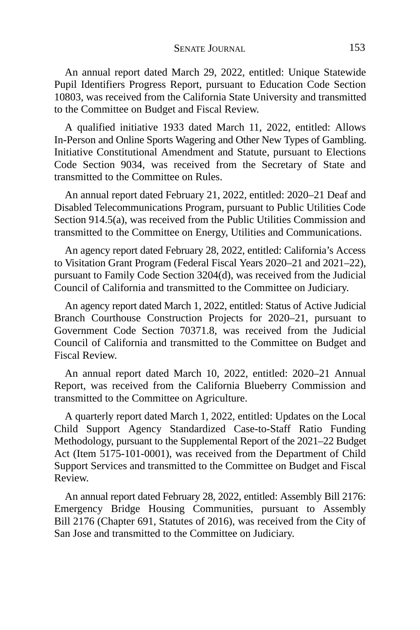An annual report dated March 29, 2022, entitled: Unique Statewide Pupil Identifiers Progress Report, pursuant to Education Code Section 10803, was received from the California State University and transmitted to the Committee on Budget and Fiscal Review.

A qualified initiative 1933 dated March 11, 2022, entitled: Allows In-Person and Online Sports Wagering and Other New Types of Gambling. Initiative Constitutional Amendment and Statute, pursuant to Elections Code Section 9034, was received from the Secretary of State and transmitted to the Committee on Rules.

An annual report dated February 21, 2022, entitled: 2020–21 Deaf and Disabled Telecommunications Program, pursuant to Public Utilities Code Section 914.5(a), was received from the Public Utilities Commission and transmitted to the Committee on Energy, Utilities and Communications.

An agency report dated February 28, 2022, entitled: California's Access to Visitation Grant Program (Federal Fiscal Years 2020–21 and 2021–22), pursuant to Family Code Section 3204(d), was received from the Judicial Council of California and transmitted to the Committee on Judiciary.

An agency report dated March 1, 2022, entitled: Status of Active Judicial Branch Courthouse Construction Projects for 2020–21, pursuant to Government Code Section 70371.8, was received from the Judicial Council of California and transmitted to the Committee on Budget and Fiscal Review.

An annual report dated March 10, 2022, entitled: 2020–21 Annual Report, was received from the California Blueberry Commission and transmitted to the Committee on Agriculture.

A quarterly report dated March 1, 2022, entitled: Updates on the Local Child Support Agency Standardized Case-to-Staff Ratio Funding Methodology, pursuant to the Supplemental Report of the 2021–22 Budget Act (Item 5175-101-0001), was received from the Department of Child Support Services and transmitted to the Committee on Budget and Fiscal Review.

An annual report dated February 28, 2022, entitled: Assembly Bill 2176: Emergency Bridge Housing Communities, pursuant to Assembly Bill 2176 (Chapter 691, Statutes of 2016), was received from the City of San Jose and transmitted to the Committee on Judiciary.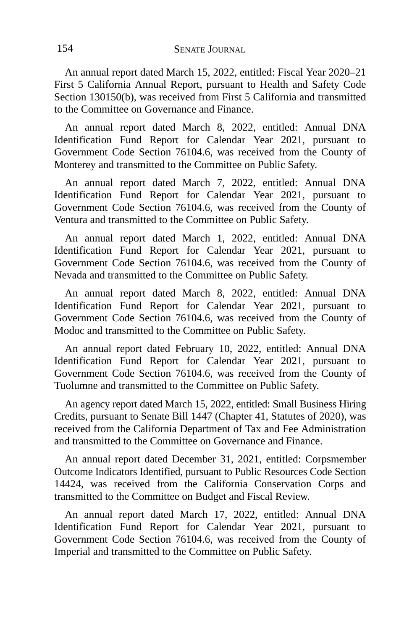An annual report dated March 15, 2022, entitled: Fiscal Year 2020–21 First 5 California Annual Report, pursuant to Health and Safety Code Section 130150(b), was received from First 5 California and transmitted to the Committee on Governance and Finance.

An annual report dated March 8, 2022, entitled: Annual DNA Identification Fund Report for Calendar Year 2021, pursuant to Government Code Section 76104.6, was received from the County of Monterey and transmitted to the Committee on Public Safety.

An annual report dated March 7, 2022, entitled: Annual DNA Identification Fund Report for Calendar Year 2021, pursuant to Government Code Section 76104.6, was received from the County of Ventura and transmitted to the Committee on Public Safety.

An annual report dated March 1, 2022, entitled: Annual DNA Identification Fund Report for Calendar Year 2021, pursuant to Government Code Section 76104.6, was received from the County of Nevada and transmitted to the Committee on Public Safety.

An annual report dated March 8, 2022, entitled: Annual DNA Identification Fund Report for Calendar Year 2021, pursuant to Government Code Section 76104.6, was received from the County of Modoc and transmitted to the Committee on Public Safety.

An annual report dated February 10, 2022, entitled: Annual DNA Identification Fund Report for Calendar Year 2021, pursuant to Government Code Section 76104.6, was received from the County of Tuolumne and transmitted to the Committee on Public Safety.

An agency report dated March 15, 2022, entitled: Small Business Hiring Credits, pursuant to Senate Bill 1447 (Chapter 41, Statutes of 2020), was received from the California Department of Tax and Fee Administration and transmitted to the Committee on Governance and Finance.

An annual report dated December 31, 2021, entitled: Corpsmember Outcome Indicators Identified, pursuant to Public Resources Code Section 14424, was received from the California Conservation Corps and transmitted to the Committee on Budget and Fiscal Review.

An annual report dated March 17, 2022, entitled: Annual DNA Identification Fund Report for Calendar Year 2021, pursuant to Government Code Section 76104.6, was received from the County of Imperial and transmitted to the Committee on Public Safety.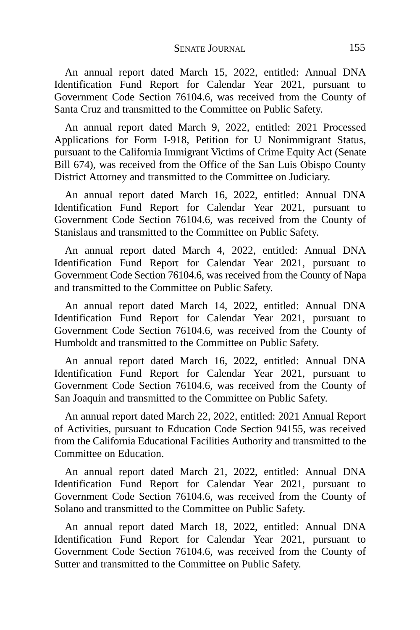An annual report dated March 15, 2022, entitled: Annual DNA Identification Fund Report for Calendar Year 2021, pursuant to Government Code Section 76104.6, was received from the County of Santa Cruz and transmitted to the Committee on Public Safety.

An annual report dated March 9, 2022, entitled: 2021 Processed Applications for Form I-918, Petition for U Nonimmigrant Status, pursuant to the California Immigrant Victims of Crime Equity Act (Senate Bill 674), was received from the Office of the San Luis Obispo County District Attorney and transmitted to the Committee on Judiciary.

An annual report dated March 16, 2022, entitled: Annual DNA Identification Fund Report for Calendar Year 2021, pursuant to Government Code Section 76104.6, was received from the County of Stanislaus and transmitted to the Committee on Public Safety.

An annual report dated March 4, 2022, entitled: Annual DNA Identification Fund Report for Calendar Year 2021, pursuant to Government Code Section 76104.6, was received from the County of Napa and transmitted to the Committee on Public Safety.

An annual report dated March 14, 2022, entitled: Annual DNA Identification Fund Report for Calendar Year 2021, pursuant to Government Code Section 76104.6, was received from the County of Humboldt and transmitted to the Committee on Public Safety.

An annual report dated March 16, 2022, entitled: Annual DNA Identification Fund Report for Calendar Year 2021, pursuant to Government Code Section 76104.6, was received from the County of San Joaquin and transmitted to the Committee on Public Safety.

An annual report dated March 22, 2022, entitled: 2021 Annual Report of Activities, pursuant to Education Code Section 94155, was received from the California Educational Facilities Authority and transmitted to the Committee on Education.

An annual report dated March 21, 2022, entitled: Annual DNA Identification Fund Report for Calendar Year 2021, pursuant to Government Code Section 76104.6, was received from the County of Solano and transmitted to the Committee on Public Safety.

An annual report dated March 18, 2022, entitled: Annual DNA Identification Fund Report for Calendar Year 2021, pursuant to Government Code Section 76104.6, was received from the County of Sutter and transmitted to the Committee on Public Safety.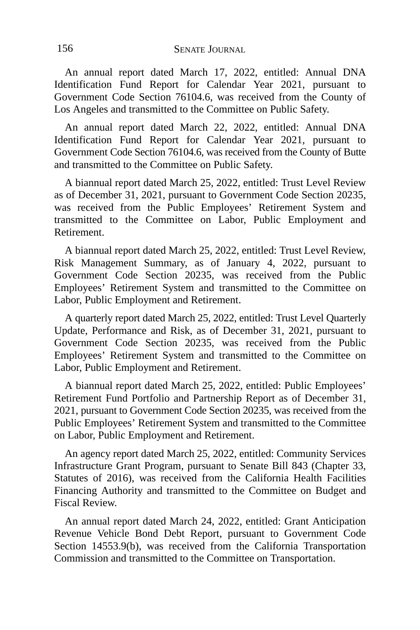An annual report dated March 17, 2022, entitled: Annual DNA Identification Fund Report for Calendar Year 2021, pursuant to Government Code Section 76104.6, was received from the County of Los Angeles and transmitted to the Committee on Public Safety.

An annual report dated March 22, 2022, entitled: Annual DNA Identification Fund Report for Calendar Year 2021, pursuant to Government Code Section 76104.6, was received from the County of Butte and transmitted to the Committee on Public Safety.

A biannual report dated March 25, 2022, entitled: Trust Level Review as of December 31, 2021, pursuant to Government Code Section 20235, was received from the Public Employees' Retirement System and transmitted to the Committee on Labor, Public Employment and Retirement.

A biannual report dated March 25, 2022, entitled: Trust Level Review, Risk Management Summary, as of January 4, 2022, pursuant to Government Code Section 20235, was received from the Public Employees' Retirement System and transmitted to the Committee on Labor, Public Employment and Retirement.

A quarterly report dated March 25, 2022, entitled: Trust Level Quarterly Update, Performance and Risk, as of December 31, 2021, pursuant to Government Code Section 20235, was received from the Public Employees' Retirement System and transmitted to the Committee on Labor, Public Employment and Retirement.

A biannual report dated March 25, 2022, entitled: Public Employees' Retirement Fund Portfolio and Partnership Report as of December 31, 2021, pursuant to Government Code Section 20235, was received from the Public Employees' Retirement System and transmitted to the Committee on Labor, Public Employment and Retirement.

An agency report dated March 25, 2022, entitled: Community Services Infrastructure Grant Program, pursuant to Senate Bill 843 (Chapter 33, Statutes of 2016), was received from the California Health Facilities Financing Authority and transmitted to the Committee on Budget and Fiscal Review.

An annual report dated March 24, 2022, entitled: Grant Anticipation Revenue Vehicle Bond Debt Report, pursuant to Government Code Section 14553.9(b), was received from the California Transportation Commission and transmitted to the Committee on Transportation.